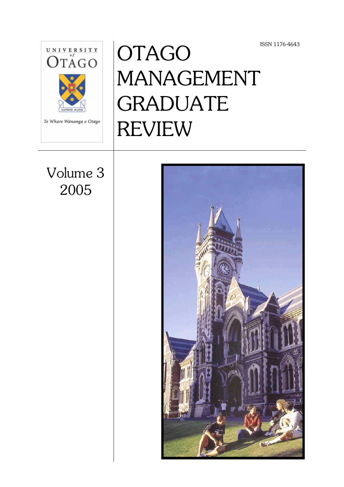ISSN 1176-4643



# OTAGO MANAGEMENT GRADUATE REVIEW

Volume 3 2005

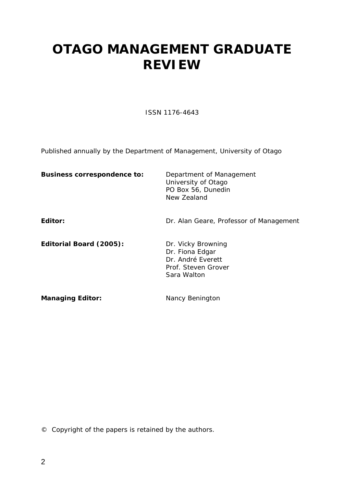## **OTAGO MANAGEMENT GRADUATE REVIEW**

ISSN 1176-4643

Published annually by the Department of Management, University of Otago

| <b>Business correspondence to:</b> | Department of Management<br>University of Otago<br>PO Box 56, Dunedin<br>New Zealand             |
|------------------------------------|--------------------------------------------------------------------------------------------------|
| Editor:                            | Dr. Alan Geare, Professor of Management                                                          |
| Editorial Board (2005):            | Dr. Vicky Browning<br>Dr. Fiona Edgar<br>Dr. André Everett<br>Prof. Steven Grover<br>Sara Walton |
| <b>Managing Editor:</b>            | Nancy Benington                                                                                  |

© Copyright of the papers is retained by the authors.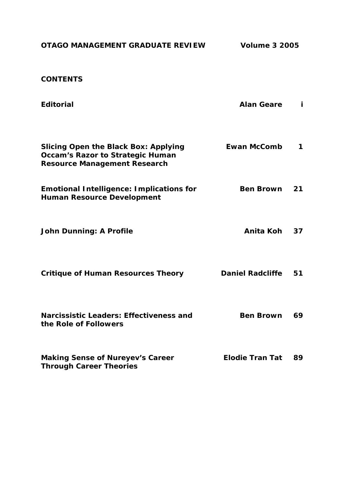| OTAGO MANAGEMENT GRADUATE REVIEW                                                                                              | <b>Volume 3 2005</b>    |    |  |
|-------------------------------------------------------------------------------------------------------------------------------|-------------------------|----|--|
| <b>CONTENTS</b>                                                                                                               |                         |    |  |
| <b>Editorial</b>                                                                                                              | <b>Alan Geare</b>       | j. |  |
| <b>Slicing Open the Black Box: Applying</b><br><b>Occam's Razor to Strategic Human</b><br><b>Resource Management Research</b> | <b>Ewan McComb</b>      | 1  |  |
| <b>Emotional Intelligence: Implications for</b><br><b>Human Resource Development</b>                                          | <b>Ben Brown</b>        | 21 |  |
| <b>John Dunning: A Profile</b>                                                                                                | Anita Koh               | 37 |  |
| <b>Critique of Human Resources Theory</b>                                                                                     | <b>Daniel Radcliffe</b> | 51 |  |
| Narcissistic Leaders: Effectiveness and<br>the Role of Followers                                                              | <b>Ben Brown</b>        | 69 |  |
| <b>Making Sense of Nureyev's Career</b><br><b>Through Career Theories</b>                                                     | <b>Elodie Tran Tat</b>  | 89 |  |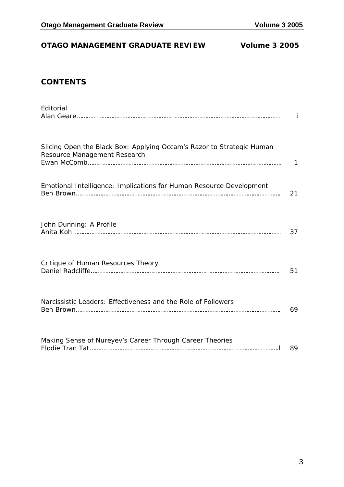#### **OTAGO MANAGEMENT GRADUATE REVIEW Volume 3 2005**

#### **CONTENTS**

| Editorial                                                                                             | j. |
|-------------------------------------------------------------------------------------------------------|----|
| Slicing Open the Black Box: Applying Occam's Razor to Strategic Human<br>Resource Management Research | 1  |
| Emotional Intelligence: Implications for Human Resource Development                                   | 21 |
| John Dunning: A Profile                                                                               | 37 |
| Critique of Human Resources Theory                                                                    | 51 |
| Narcissistic Leaders: Effectiveness and the Role of Followers                                         | 69 |
| Making Sense of Nureyev's Career Through Career Theories                                              | 89 |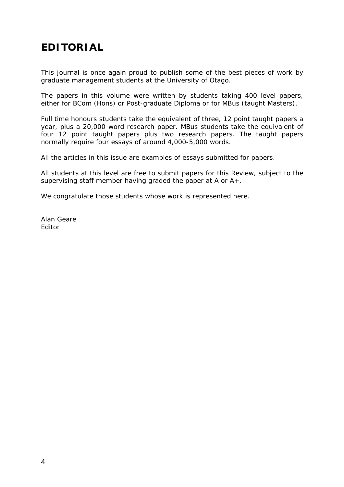## **EDITORIAL**

This journal is once again proud to publish some of the best pieces of work by graduate management students at the University of Otago.

The papers in this volume were written by students taking 400 level papers, either for BCom (Hons) or Post-graduate Diploma or for MBus (taught Masters).

Full time honours students take the equivalent of three, 12 point taught papers a year, plus a 20,000 word research paper. MBus students take the equivalent of four 12 point taught papers plus two research papers. The taught papers normally require four essays of around 4,000-5,000 words.

All the articles in this issue are examples of essays submitted for papers.

All students at this level are free to submit papers for this Review, subject to the supervising staff member having graded the paper at A or A+.

We congratulate those students whose work is represented here.

Alan Geare Editor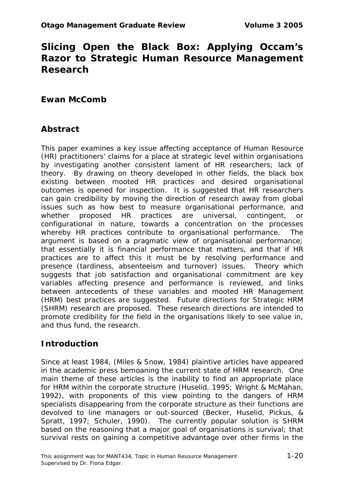### **Slicing Open the Black Box: Applying Occam's Razor to Strategic Human Resource Management Research**

#### **Ewan McComb**

#### **Abstract**

This paper examines a key issue affecting acceptance of Human Resource (HR) practitioners' claims for a place at strategic level within organisations by investigating another consistent lament of HR researchers; lack of theory. By drawing on theory developed in other fields, the black box existing between mooted HR practices and desired organisational outcomes is opened for inspection. It is suggested that HR researchers can gain credibility by moving the direction of research away from global issues such as how best to measure organisational performance, and whether proposed HR practices are universal, contingent, or configurational in nature, towards a concentration on the processes whereby HR practices contribute to organisational performance. The argument is based on a pragmatic view of organisational performance; that essentially it is financial performance that matters, and that if HR practices are to affect this it must be by resolving performance and presence (tardiness, absenteeism and turnover) issues. Theory which suggests that job satisfaction and organisational commitment are key variables affecting presence and performance is reviewed, and links between antecedents of these variables and mooted HR Management (HRM) best practices are suggested. Future directions for Strategic HRM (SHRM) research are proposed. These research directions are intended to promote credibility for the field in the organisations likely to see value in, and thus fund, the research.

#### **Introduction**

Since at least 1984, (Miles & Snow, 1984) plaintive articles have appeared in the academic press bemoaning the current state of HRM research. One main theme of these articles is the inability to find an appropriate place for HRM within the corporate structure (Huselid, 1995; Wright & McMahan, 1992), with proponents of this view pointing to the dangers of HRM specialists disappearing from the corporate structure as their functions are devolved to line managers or out-sourced (Becker, Huselid, Pickus, & Spratt, 1997; Schuler, 1990). The currently popular solution is SHRM based on the reasoning that a major goal of organisations is survival; that survival rests on gaining a competitive advantage over other firms in the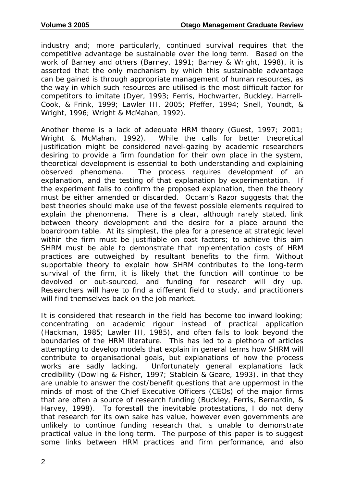industry and; more particularly, continued survival requires that the competitive advantage be sustainable over the long term. Based on the work of Barney and others (Barney, 1991; Barney & Wright, 1998), it is asserted that the only mechanism by which this sustainable advantage can be gained is through appropriate management of human resources, as the way in which such resources are utilised is the most difficult factor for competitors to imitate (Dyer, 1993; Ferris, Hochwarter, Buckley, Harrell-Cook, & Frink, 1999; Lawler III, 2005; Pfeffer, 1994; Snell, Youndt, & Wright, 1996; Wright & McMahan, 1992).

Another theme is a lack of adequate HRM theory (Guest, 1997; 2001; Wright & McMahan, 1992). While the calls for better theoretical justification might be considered navel-gazing by academic researchers desiring to provide a firm foundation for their own place in the system, theoretical development is essential to both understanding and explaining observed phenomena. The process requires development of an explanation, and the testing of that explanation by experimentation. If the experiment fails to confirm the proposed explanation, then the theory must be either amended or discarded. Occam's Razor suggests that the best theories should make use of the fewest possible elements required to explain the phenomena. There is a clear, although rarely stated, link between theory development and the desire for a place around the boardroom table. At its simplest, the plea for a presence at strategic level within the firm must be justifiable on cost factors; to achieve this aim SHRM must be able to demonstrate that implementation costs of HRM practices are outweighed by resultant benefits to the firm. Without supportable theory to explain how SHRM contributes to the long-term survival of the firm, it is likely that the function will continue to be devolved or out-sourced, and funding for research will dry up. Researchers will have to find a different field to study, and practitioners will find themselves back on the job market.

It is considered that research in the field has become too inward looking; concentrating on academic rigour instead of practical application (Hackman, 1985; Lawler III, 1985), and often fails to look beyond the boundaries of the HRM literature. This has led to a plethora of articles attempting to develop models that explain in general terms how SHRM will contribute to organisational goals, but explanations of how the process works are sadly lacking. Unfortunately general explanations lack credibility (Dowling & Fisher, 1997; Stablein & Geare, 1993), in that they are unable to answer the cost/benefit questions that are uppermost in the minds of most of the Chief Executive Officers (CEOs) of the major firms that are often a source of research funding (Buckley, Ferris, Bernardin, & Harvey, 1998). To forestall the inevitable protestations, I do not deny that research for its own sake has value, however even governments are unlikely to continue funding research that is unable to demonstrate practical value in the long term. The purpose of this paper is to suggest some links between HRM practices and firm performance, and also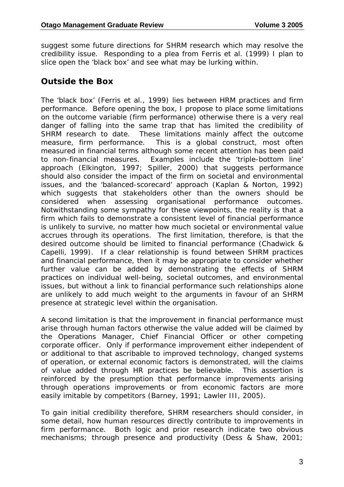suggest some future directions for SHRM research which may resolve the credibility issue. Responding to a plea from Ferris et al. (1999) I plan to slice open the 'black box' and see what may be lurking within.

#### **Outside the Box**

The 'black box' (Ferris et al., 1999) lies between HRM practices and firm performance. Before opening the box, I propose to place some limitations on the outcome variable (firm performance) otherwise there is a very real danger of falling into the same trap that has limited the credibility of SHRM research to date. These limitations mainly affect the outcome measure, firm performance. This is a global construct, most often measured in financial terms although some recent attention has been paid to non-financial measures. Examples include the 'triple-bottom line' approach (Elkington, 1997; Spiller, 2000) that suggests performance should also consider the impact of the firm on societal and environmental issues, and the 'balanced-scorecard' approach (Kaplan & Norton, 1992) which suggests that stakeholders other than the owners should be considered when assessing organisational performance outcomes. Notwithstanding some sympathy for these viewpoints, the reality is that a firm which fails to demonstrate a consistent level of financial performance is unlikely to survive, no matter how much societal or environmental value accrues through its operations. The first limitation, therefore, is that the desired outcome should be limited to financial performance (Chadwick & Capelli, 1999). If a clear relationship is found between SHRM practices and financial performance, then it may be appropriate to consider whether further value can be added by demonstrating the effects of SHRM practices on individual well-being, societal outcomes, and environmental issues, but without a link to financial performance such relationships alone are unlikely to add much weight to the arguments in favour of an SHRM presence at strategic level within the organisation.

A second limitation is that the improvement in financial performance must arise through human factors otherwise the value added will be claimed by the Operations Manager, Chief Financial Officer or other competing corporate officer. Only if performance improvement either independent of or additional to that ascribable to improved technology, changed systems of operation, or external economic factors is demonstrated, will the claims of value added through HR practices be believable. This assertion is reinforced by the presumption that performance improvements arising through operations improvements or from economic factors are more easily imitable by competitors (Barney, 1991; Lawler III, 2005).

To gain initial credibility therefore, SHRM researchers should consider, in some detail, how human resources directly contribute to improvements in firm performance. Both logic and prior research indicate two obvious mechanisms; through presence and productivity (Dess & Shaw, 2001;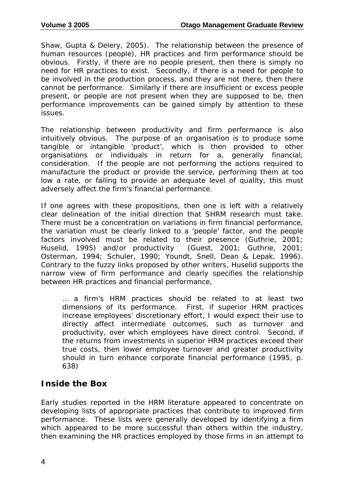Shaw, Gupta & Delery, 2005). The relationship between the presence of human resources (people), HR practices and firm performance should be obvious. Firstly, if there are no people present, then there is simply no need for HR practices to exist. Secondly, if there is a need for people to be involved in the production process, and they are not there, then there cannot be performance. Similarly if there are insufficient or excess people present, or people are not present when they are supposed to be, then performance improvements can be gained simply by attention to these issues.

The relationship between productivity and firm performance is also intuitively obvious. The purpose of an organisation is to produce some tangible or intangible 'product', which is then provided to other organisations or individuals in return for a, generally financial, consideration. If the people are not performing the actions required to manufacture the product or provide the service, performing them at too low a rate, or failing to provide an adequate level of quality, this must adversely affect the firm's financial performance.

If one agrees with these propositions, then one is left with a relatively clear delineation of the initial direction that SHRM research must take. There must be a concentration on variations in firm financial performance, the variation must be clearly linked to a 'people' factor, and the people factors involved must be related to their presence (Guthrie, 2001; Huselid, 1995) and/or productivity (Guest, 2001; Guthrie, 2001; Osterman, 1994; Schuler, 1990; Youndt, Snell, Dean & Lepak, 1996). Contrary to the fuzzy links proposed by other writers, Huselid supports the narrow view of firm performance and clearly specifies the relationship between HR practices and financial performance,

… a firm's HRM practices should be related to at least two dimensions of its performance. First, if superior HRM practices increase employees' discretionary effort, I would expect their use to directly affect intermediate outcomes, such as turnover and productivity, over which employees have direct control. Second, if the returns from investments in superior HRM practices exceed their true costs, then lower employee turnover and greater productivity should in turn enhance corporate financial performance (1995, p. 638)

#### **Inside the Box**

Early studies reported in the HRM literature appeared to concentrate on developing lists of appropriate practices that contribute to improved firm performance. These lists were generally developed by identifying a firm which appeared to be more successful than others within the industry, then examining the HR practices employed by those firms in an attempt to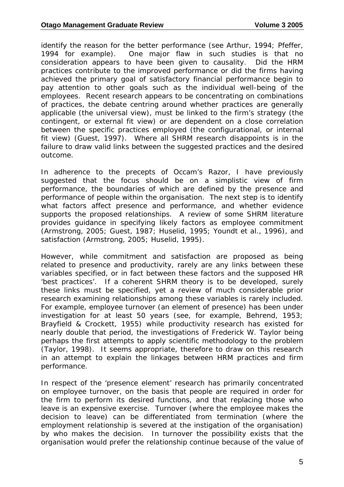identify the reason for the better performance (see Arthur, 1994; Pfeffer, 1994 for example). One major flaw in such studies is that no consideration appears to have been given to causality. Did the HRM practices contribute to the improved performance or did the firms having achieved the primary goal of satisfactory financial performance begin to pay attention to other goals such as the individual well-being of the employees. Recent research appears to be concentrating on combinations of practices, the debate centring around whether practices are generally applicable (the universal view), must be linked to the firm's strategy (the contingent, or external fit view) or are dependent on a close correlation between the specific practices employed (the configurational, or internal fit view) (Guest, 1997). Where all SHRM research disappoints is in the failure to draw valid links between the suggested practices and the desired outcome.

In adherence to the precepts of Occam's Razor, I have previously suggested that the focus should be on a simplistic view of firm performance, the boundaries of which are defined by the presence and performance of people within the organisation. The next step is to identify what factors affect presence and performance, and whether evidence supports the proposed relationships. A review of some SHRM literature provides guidance in specifying likely factors as employee commitment (Armstrong, 2005; Guest, 1987; Huselid, 1995; Youndt et al., 1996), and satisfaction (Armstrong, 2005; Huselid, 1995).

However, while commitment and satisfaction are proposed as being related to presence and productivity, rarely are any links between these variables specified, or in fact between these factors and the supposed HR 'best practices'. If a coherent SHRM theory is to be developed, surely these links must be specified, yet a review of much considerable prior research examining relationships among these variables is rarely included. For example, employee turnover (an element of presence) has been under investigation for at least 50 years (see, for example, Behrend, 1953; Brayfield & Crockett, 1955) while productivity research has existed for nearly double that period, the investigations of Frederick W. Taylor being perhaps the first attempts to apply scientific methodology to the problem (Taylor, 1998). It seems appropriate, therefore to draw on this research in an attempt to explain the linkages between HRM practices and firm performance.

In respect of the 'presence element' research has primarily concentrated on employee turnover, on the basis that people are required in order for the firm to perform its desired functions, and that replacing those who leave is an expensive exercise. Turnover (where the employee makes the decision to leave) can be differentiated from termination (where the employment relationship is severed at the instigation of the organisation) by who makes the decision. In turnover the possibility exists that the organisation would prefer the relationship continue because of the value of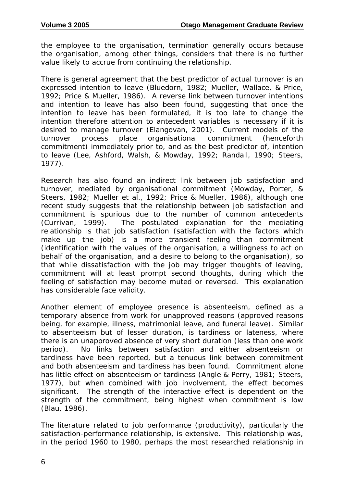the employee to the organisation, termination generally occurs because the organisation, among other things, considers that there is no further value likely to accrue from continuing the relationship.

There is general agreement that the best predictor of actual turnover is an expressed intention to leave (Bluedorn, 1982; Mueller, Wallace, & Price, 1992; Price & Mueller, 1986). A reverse link between turnover intentions and intention to leave has also been found, suggesting that once the intention to leave has been formulated, it is too late to change the intention therefore attention to antecedent variables is necessary if it is desired to manage turnover (Elangovan, 2001). Current models of the turnover process place organisational commitment (henceforth commitment) immediately prior to, and as the best predictor of, intention to leave (Lee, Ashford, Walsh, & Mowday, 1992; Randall, 1990; Steers, 1977).

Research has also found an indirect link between job satisfaction and turnover, mediated by organisational commitment (Mowday, Porter, & Steers, 1982; Mueller et al., 1992; Price & Mueller, 1986), although one recent study suggests that the relationship between job satisfaction and commitment is spurious due to the number of common antecedents (Currivan, 1999). The postulated explanation for the mediating relationship is that job satisfaction (satisfaction with the factors which make up the job) is a more transient feeling than commitment (identification with the values of the organisation, a willingness to act on behalf of the organisation, and a desire to belong to the organisation), so that while dissatisfaction with the job may trigger thoughts of leaving, commitment will at least prompt second thoughts, during which the feeling of satisfaction may become muted or reversed. This explanation has considerable face validity.

Another element of employee presence is absenteeism, defined as a temporary absence from work for unapproved reasons (approved reasons being, for example, illness, matrimonial leave, and funeral leave). Similar to absenteeism but of lesser duration, is tardiness or lateness, where there is an unapproved absence of very short duration (less than one work period). No links between satisfaction and either absenteeism or tardiness have been reported, but a tenuous link between commitment and both absenteeism and tardiness has been found. Commitment alone has little effect on absenteeism or tardiness (Angle & Perry, 1981; Steers, 1977), but when combined with job involvement, the effect becomes significant. The strength of the interactive effect is dependent on the strength of the commitment, being highest when commitment is low (Blau, 1986).

The literature related to job performance (productivity), particularly the satisfaction-performance relationship, is extensive. This relationship was, in the period 1960 to 1980, perhaps the most researched relationship in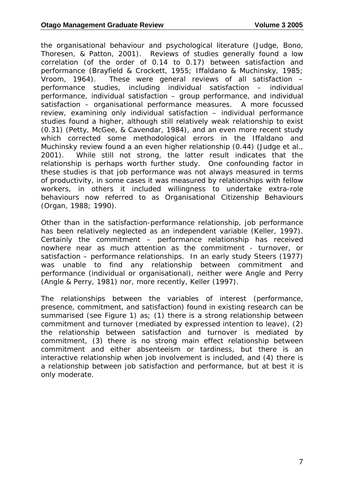the organisational behaviour and psychological literature (Judge, Bono, Thoresen, & Patton, 2001). Reviews of studies generally found a low correlation (of the order of 0.14 to 0.17) between satisfaction and performance (Brayfield & Crockett, 1955; Iffaldano & Muchinsky, 1985; Vroom, 1964). These were general reviews of all satisfaction – performance studies, including individual satisfaction – individual performance, individual satisfaction – group performance, and individual satisfaction – organisational performance measures. A more focussed review, examining only individual satisfaction – individual performance studies found a higher, although still relatively weak relationship to exist (0.31) (Petty, McGee, & Cavendar, 1984), and an even more recent study which corrected some methodological errors in the Iffaldano and Muchinsky review found a an even higher relationship (0.44) (Judge et al., 2001). While still not strong, the latter result indicates that the relationship is perhaps worth further study. One confounding factor in these studies is that job performance was not always measured in terms of productivity, in some cases it was measured by relationships with fellow workers, in others it included willingness to undertake extra-role behaviours now referred to as Organisational Citizenship Behaviours (Organ, 1988; 1990).

Other than in the satisfaction-performance relationship, job performance has been relatively neglected as an independent variable (Keller, 1997). Certainly the commitment – performance relationship has received nowhere near as much attention as the commitment - turnover, or satisfaction – performance relationships. In an early study Steers (1977) was unable to find any relationship between commitment and performance (individual or organisational), neither were Angle and Perry (Angle & Perry, 1981) nor, more recently, Keller (1997).

The relationships between the variables of interest (performance, presence, commitment, and satisfaction) found in existing research can be summarised (see Figure 1) as; (1) there is a strong relationship between commitment and turnover (mediated by expressed intention to leave), (2) the relationship between satisfaction and turnover is mediated by commitment, (3) there is no strong main effect relationship between commitment and either absenteeism or tardiness, but there is an interactive relationship when job involvement is included, and (4) there is a relationship between job satisfaction and performance, but at best it is only moderate.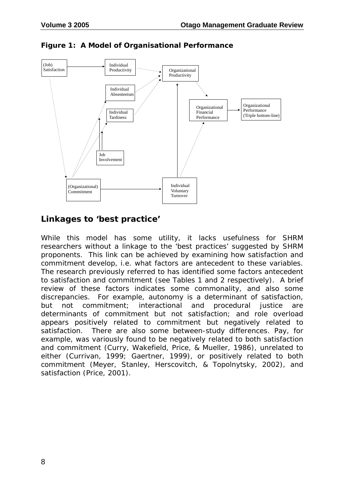

**Figure 1: A Model of Organisational Performance** 

#### **Linkages to 'best practice'**

While this model has some utility, it lacks usefulness for SHRM researchers without a linkage to the 'best practices' suggested by SHRM proponents. This link can be achieved by examining how satisfaction and commitment develop, i.e. what factors are antecedent to these variables. The research previously referred to has identified some factors antecedent to satisfaction and commitment (see Tables 1 and 2 respectively). A brief review of these factors indicates some commonality, and also some discrepancies. For example, autonomy is a determinant of satisfaction, but not commitment; interactional and procedural justice are determinants of commitment but not satisfaction; and role overload appears positively related to commitment but negatively related to satisfaction. There are also some between-study differences. Pay, for example, was variously found to be negatively related to both satisfaction and commitment (Curry, Wakefield, Price, & Mueller, 1986), unrelated to either (Currivan, 1999; Gaertner, 1999), or positively related to both commitment (Meyer, Stanley, Herscovitch, & Topolnytsky, 2002), and satisfaction (Price, 2001).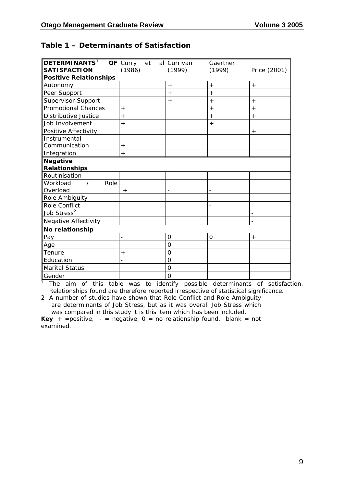#### **Table 1 – Determinants of Satisfaction**

| <b>DETERMINANTS1</b><br><b>SATISFACTION</b> | OF Curry<br>et<br>(1986) | al Currivan<br>(1999) | Gaertner<br>(1999) | Price (2001) |
|---------------------------------------------|--------------------------|-----------------------|--------------------|--------------|
| <b>Positive Relationships</b>               |                          |                       |                    |              |
| Autonomy                                    |                          | $+$                   | $+$                | $^{+}$       |
| Peer Support                                |                          | $+$                   | $\,+\,$            |              |
| <b>Supervisor Support</b>                   |                          | $+$                   | $+$                | $+$          |
| <b>Promotional Chances</b>                  | $+$                      |                       | $+$                | $+$          |
| Distributive Justice                        | $^{+}$                   |                       | $^{+}$             | $^{+}$       |
| Job Involvement                             | $^{+}$                   |                       | $^{+}$             |              |
| Positive Affectivity                        |                          |                       |                    | $^{+}$       |
| Instrumental                                |                          |                       |                    |              |
| Communication                               | $^{+}$                   |                       |                    |              |
| Integration                                 | $\ddot{}$                |                       |                    |              |
| <b>Negative</b><br><b>Relationships</b>     |                          |                       |                    |              |
| Routinisation                               |                          |                       |                    |              |
| Workload<br>Role                            |                          |                       |                    |              |
| Overload                                    | $+$                      |                       |                    |              |
| Role Ambiguity                              |                          |                       |                    |              |
| Role Conflict                               |                          |                       |                    |              |
| Job Stress <sup>2</sup>                     |                          |                       |                    |              |
| <b>Negative Affectivity</b>                 |                          |                       |                    |              |
| No relationship                             |                          |                       |                    |              |
| Pay                                         | $\overline{a}$           | $\mathbf 0$           | 0                  | $^{+}$       |
| Age                                         |                          | $\Omega$              |                    |              |
| Tenure                                      | $^{+}$                   | $\Omega$              |                    |              |
| Education                                   |                          | $\mathbf 0$           |                    |              |
| <b>Marital Status</b>                       |                          | $\overline{O}$        |                    |              |
| Gender                                      |                          | $\overline{O}$        |                    |              |

<sup>1</sup> The aim of this table was to identify possible determinants of satisfaction. Relationships found are therefore reported irrespective of statistical significance.

2 A number of studies have shown that Role Conflict and Role Ambiguity are determinants of Job Stress, but as it was overall Job Stress which was compared in this study it is this item which has been included.

**Key** + = positive,  $-$  = negative,  $0 =$  no relationship found, blank = not examined.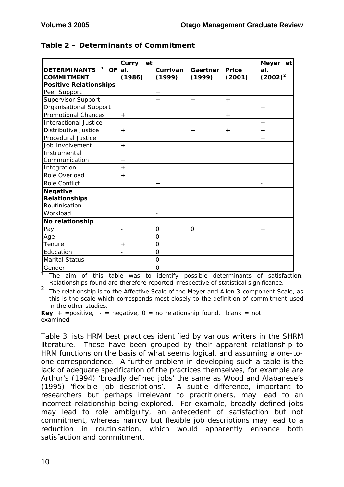| <b>DETERMINANTS</b><br>$\mathbf{1}$<br>OF al. | Curry<br>et | Currivan       | Gaertner | <b>Price</b> | Meyer et<br>al. |
|-----------------------------------------------|-------------|----------------|----------|--------------|-----------------|
| <b>COMMITMENT</b>                             | (1986)      | (1999)         | (1999)   | (2001)       | $(2002)^2$      |
| <b>Positive Relationships</b>                 |             |                |          |              |                 |
| Peer Support                                  |             | $\,{}^{+}\,$   |          |              |                 |
| <b>Supervisor Support</b>                     |             | $+$            | $+$      | $^{+}$       |                 |
| Organisational Support                        |             |                |          |              | $+$             |
| <b>Promotional Chances</b>                    | $+$         |                |          | $+$          |                 |
| <b>Interactional Justice</b>                  |             |                |          |              | $^{+}$          |
| Distributive Justice                          | $+$         |                | $+$      | $+$          | $+$             |
| Procedural Justice                            |             |                |          |              | $\,{}^+$        |
| Job Involvement                               | $+$         |                |          |              |                 |
| Instrumental                                  |             |                |          |              |                 |
| Communication                                 | $^{+}$      |                |          |              |                 |
| Integration                                   | $+$         |                |          |              |                 |
| Role Overload                                 | $^{+}$      |                |          |              |                 |
| Role Conflict                                 |             | $+$            |          |              |                 |
| <b>Negative</b>                               |             |                |          |              |                 |
| <b>Relationships</b>                          |             |                |          |              |                 |
| Routinisation                                 |             |                |          |              |                 |
| Workload                                      |             |                |          |              |                 |
| No relationship                               |             |                |          |              |                 |
| Pay                                           |             | 0              | O        |              | $\,{}^+$        |
| Age                                           |             | $\overline{O}$ |          |              |                 |
| Tenure                                        | $+$         | 0              |          |              |                 |
| Education                                     |             | $\overline{O}$ |          |              |                 |
| <b>Marital Status</b>                         |             | 0              |          |              |                 |
| Gender                                        |             | 0              |          |              |                 |

#### **Table 2 – Determinants of Commitment**

<sup>1</sup> The aim of this table was to identify possible determinants of satisfaction. Relationships found are therefore reported irrespective of statistical significance.

<sup>2</sup> The relationship is to the Affective Scale of the Meyer and Allen 3-component Scale, as this is the scale which corresponds most closely to the definition of commitment used in the other studies.

**Key** + =positive,  $-$  = negative,  $0 =$  no relationship found, blank = not examined.

Table 3 lists HRM best practices identified by various writers in the SHRM literature. These have been grouped by their apparent relationship to HRM functions on the basis of what seems logical, and assuming a one-toone correspondence. A further problem in developing such a table is the lack of adequate specification of the practices themselves, for example are Arthur's (1994) 'broadly defined jobs' the same as Wood and Alabanese's (1995) 'flexible job descriptions'. A subtle difference, important to researchers but perhaps irrelevant to practitioners, may lead to an incorrect relationship being explored. For example, broadly defined jobs may lead to role ambiguity, an antecedent of satisfaction but not commitment, whereas narrow but flexible job descriptions may lead to a reduction in routinisation, which would apparently enhance both satisfaction and commitment.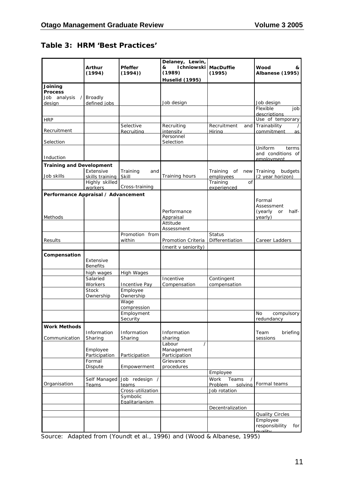#### **Table 3: HRM 'Best Practices'**

|                                     | Arthur<br>(1994)       | Pfeffer<br>(1994)      | Delaney, Lewin,<br>Ichniowski<br>&<br>(1989)<br><b>Huselid</b> (1995) | <b>MacDuffie</b><br>(1995) | Wood<br>&<br>Albanese (1995)       |
|-------------------------------------|------------------------|------------------------|-----------------------------------------------------------------------|----------------------------|------------------------------------|
| Joining                             |                        |                        |                                                                       |                            |                                    |
| <b>Process</b>                      |                        |                        |                                                                       |                            |                                    |
| Job analysis                        | Broadly                |                        |                                                                       |                            |                                    |
| design                              | defined jobs           |                        | Job design                                                            |                            | Job design<br>Flexible<br>job      |
|                                     |                        |                        |                                                                       |                            | descriptions                       |
| <b>HRP</b>                          |                        |                        |                                                                       |                            | Use of temporary                   |
|                                     |                        | Selective              | Recruiting                                                            | Recruitment<br>and         | Trainability                       |
| Recruitment                         |                        | Recruiting             | intensity<br>Personnel                                                | Hirina                     | commitment<br>as I                 |
| Selection                           |                        |                        | Selection                                                             |                            |                                    |
|                                     |                        |                        |                                                                       |                            | Uniform<br>terms                   |
|                                     |                        |                        |                                                                       |                            | and conditions of                  |
| Induction                           |                        |                        |                                                                       |                            | emnloyment                         |
| <b>Training and Development</b>     | Extensive              | Training               |                                                                       | Training<br>new            | Training<br>budgets                |
| Job skills                          | skills training        | and<br>Skill           | Training hours                                                        | of<br>employees            | (2 year horizon)                   |
|                                     | Highly skilled         |                        |                                                                       | Training<br>of             |                                    |
|                                     | workers                | Cross-training         |                                                                       | experienced                |                                    |
| Performance Appraisal / Advancement |                        |                        |                                                                       |                            |                                    |
|                                     |                        |                        |                                                                       |                            | Formal                             |
|                                     |                        |                        |                                                                       |                            | Assessment                         |
| Methods                             |                        |                        | Performance<br>Appraisal                                              |                            | half-<br>(yearly)<br>or<br>yearly) |
|                                     |                        |                        | Attitude                                                              |                            |                                    |
|                                     |                        |                        | Assessment                                                            |                            |                                    |
|                                     |                        | Promotion from         |                                                                       | <b>Status</b>              |                                    |
| Results                             |                        | within                 | Promotion Criteria                                                    | Differentiation            | Career Ladders                     |
|                                     |                        |                        | (merit v seniority)                                                   |                            |                                    |
| Compensation                        |                        |                        |                                                                       |                            |                                    |
|                                     | Extensive              |                        |                                                                       |                            |                                    |
|                                     | <b>Benefits</b>        |                        |                                                                       |                            |                                    |
|                                     | high wages<br>Salaried | High Wages             | Incentive                                                             | Contingent                 |                                    |
|                                     | Workers                | Incentive Pay          | Compensation                                                          | compensation               |                                    |
|                                     | <b>Stock</b>           | Employee               |                                                                       |                            |                                    |
|                                     | Ownership              | Ownership              |                                                                       |                            |                                    |
|                                     |                        | Wage                   |                                                                       |                            |                                    |
|                                     |                        | compression            |                                                                       |                            |                                    |
|                                     |                        | Employment<br>Security |                                                                       |                            | No<br>compulsory<br>redundancy     |
|                                     |                        |                        |                                                                       |                            |                                    |
| <b>Work Methods</b>                 | Information            | Information            | Information                                                           |                            | Team<br>briefing                   |
| Communication                       | Sharing                | Sharing                | sharing                                                               |                            | sessions                           |
|                                     |                        |                        | Labour                                                                |                            |                                    |
|                                     | Employee               |                        | Management                                                            |                            |                                    |
|                                     | Participation          | Participation          | Participation<br>Grievance                                            |                            |                                    |
|                                     | Formal<br>Dispute      | Empowerment            | procedures                                                            |                            |                                    |
|                                     |                        |                        |                                                                       | Employee                   |                                    |
|                                     | Self Managed           | Job redesign           |                                                                       | Work<br>Teams              |                                    |
| Organisation                        | Teams                  | teams                  |                                                                       | Problem<br>solving         | Formal teams                       |
|                                     |                        | Cross-utilization      |                                                                       | Job rotation               |                                    |
|                                     |                        | Symbolic               |                                                                       |                            |                                    |
|                                     |                        | Egalitarianism         |                                                                       | Decentralization           |                                    |
|                                     |                        |                        |                                                                       |                            | <b>Quality Circles</b>             |
|                                     |                        |                        |                                                                       |                            | Employee                           |
|                                     |                        |                        |                                                                       |                            | responsibility<br>for              |

**ource:** Adapted from (Youndt et al., 1996) and (Wood & Albanese, 1995) **Source:** Adapted from (Youndt et al., 1996) and (Wood & Albanese, 1995)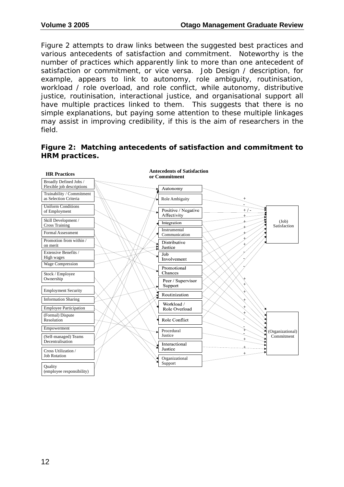Figure 2 attempts to draw links between the suggested best practices and various antecedents of satisfaction and commitment. Noteworthy is the number of practices which apparently link to more than one antecedent of satisfaction or commitment, or vice versa. Job Design / description, for example, appears to link to autonomy, role ambiguity, routinisation, workload / role overload, and role conflict, while autonomy, distributive iustice, routinisation, interactional justice, and organisational support all have multiple practices linked to them. This suggests that there is no simple explanations, but paying some attention to these multiple linkages may assist in improving credibility, if this is the aim of researchers in the field.



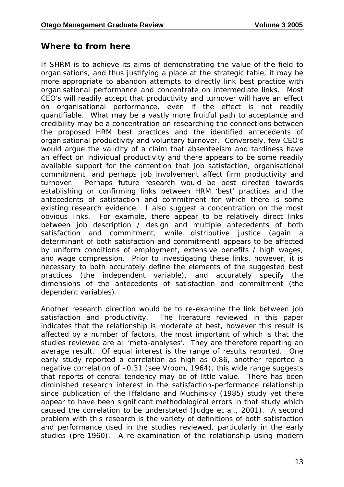#### **Where to from here**

If SHRM is to achieve its aims of demonstrating the value of the field to organisations, and thus justifying a place at the strategic table, it may be more appropriate to abandon attempts to directly link best practice with organisational performance and concentrate on intermediate links. Most CEO's will readily accept that productivity and turnover will have an effect on organisational performance, even if the effect is not readily quantifiable. What may be a vastly more fruitful path to acceptance and credibility may be a concentration on researching the connections between the proposed HRM best practices and the identified antecedents of organisational productivity and voluntary turnover. Conversely, few CEO's would argue the validity of a claim that absenteeism and tardiness have an effect on individual productivity and there appears to be some readily available support for the contention that job satisfaction, organisational commitment, and perhaps job involvement affect firm productivity and turnover. Perhaps future research would be best directed towards establishing or confirming links between HRM 'best' practices and the antecedents of satisfaction and commitment for which there is some existing research evidence. I also suggest a concentration on the most obvious links. For example, there appear to be relatively direct links between job description / design and multiple antecedents of both satisfaction and commitment, while distributive justice (again determinant of both satisfaction and commitment) appears to be affected by uniform conditions of employment, extensive benefits / high wages, and wage compression. Prior to investigating these links, however, it is necessary to both accurately define the elements of the suggested best practices (the independent variable), and accurately specify the dimensions of the antecedents of satisfaction and commitment (the dependent variables).

Another research direction would be to re-examine the link between job satisfaction and productivity. The literature reviewed in this paper indicates that the relationship is moderate at best, however this result is affected by a number of factors, the most important of which is that the studies reviewed are all 'meta-analyses'. They are therefore reporting an average result. Of equal interest is the range of results reported. One early study reported a correlation as high as 0.86, another reported a negative correlation of –0.31 (see Vroom, 1964), this wide range suggests that reports of central tendency may be of little value. There has been diminished research interest in the satisfaction-performance relationship since publication of the Iffaldano and Muchinsky (1985) study yet there appear to have been significant methodological errors in that study which caused the correlation to be understated (Judge et al., 2001). A second problem with this research is the variety of definitions of both satisfaction and performance used in the studies reviewed, particularly in the early studies (pre-1960). A re-examination of the relationship using modern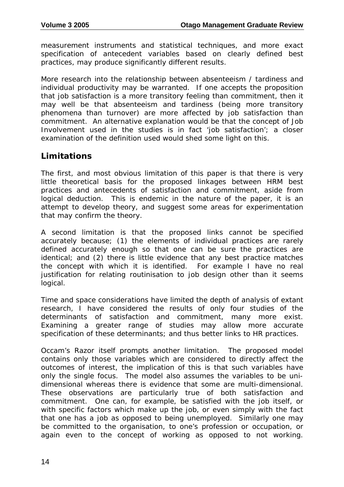measurement instruments and statistical techniques, and more exact specification of antecedent variables based on clearly defined best practices, may produce significantly different results.

More research into the relationship between absenteeism / tardiness and individual productivity may be warranted. If one accepts the proposition that job satisfaction is a more transitory feeling than commitment, then it may well be that absenteeism and tardiness (being more transitory phenomena than turnover) are more affected by job satisfaction than commitment. An alternative explanation would be that the concept of Job Involvement used in the studies is in fact 'job satisfaction'; a closer examination of the definition used would shed some light on this.

#### **Limitations**

The first, and most obvious limitation of this paper is that there is very little theoretical basis for the proposed linkages between HRM best practices and antecedents of satisfaction and commitment, aside from logical deduction. This is endemic in the nature of the paper, it is an attempt to develop theory, and suggest some areas for experimentation that may confirm the theory.

A second limitation is that the proposed links cannot be specified accurately because; (1) the elements of individual practices are rarely defined accurately enough so that one can be sure the practices are identical; and (2) there is little evidence that any best practice matches the concept with which it is identified. For example I have no real justification for relating routinisation to job design other than it seems logical.

Time and space considerations have limited the depth of analysis of extant research, I have considered the results of only four studies of the determinants of satisfaction and commitment, many more exist. Examining a greater range of studies may allow more accurate specification of these determinants; and thus better links to HR practices.

Occam's Razor itself prompts another limitation. The proposed model contains only those variables which are considered to directly affect the outcomes of interest, the implication of this is that such variables have only the single focus. The model also assumes the variables to be unidimensional whereas there is evidence that some are multi-dimensional. These observations are particularly true of both satisfaction and commitment. One can, for example, be satisfied with the job itself, or with specific factors which make up the job, or even simply with the fact that one has a job as opposed to being unemployed. Similarly one may be committed to the organisation, to one's profession or occupation, or again even to the concept of working as opposed to not working.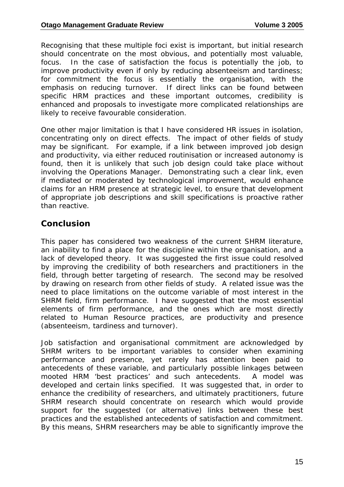Recognising that these multiple foci exist is important, but initial research should concentrate on the most obvious, and potentially most valuable, focus. In the case of satisfaction the focus is potentially the job, to improve productivity even if only by reducing absenteeism and tardiness; for commitment the focus is essentially the organisation, with the emphasis on reducing turnover. If direct links can be found between specific HRM practices and these important outcomes, credibility is enhanced and proposals to investigate more complicated relationships are likely to receive favourable consideration.

One other major limitation is that I have considered HR issues in isolation, concentrating only on direct effects. The impact of other fields of study may be significant. For example, if a link between improved job design and productivity, via either reduced routinisation or increased autonomy is found, then it is unlikely that such job design could take place without involving the Operations Manager. Demonstrating such a clear link, even if mediated or moderated by technological improvement, would enhance claims for an HRM presence at strategic level, to ensure that development of appropriate job descriptions and skill specifications is proactive rather than reactive.

#### **Conclusion**

This paper has considered two weakness of the current SHRM literature, an inability to find a place for the discipline within the organisation, and a lack of developed theory. It was suggested the first issue could resolved by improving the credibility of both researchers and practitioners in the field, through better targeting of research. The second may be resolved by drawing on research from other fields of study. A related issue was the need to place limitations on the outcome variable of most interest in the SHRM field, firm performance. I have suggested that the most essential elements of firm performance, and the ones which are most directly related to Human Resource practices, are productivity and presence (absenteeism, tardiness and turnover).

Job satisfaction and organisational commitment are acknowledged by SHRM writers to be important variables to consider when examining performance and presence, yet rarely has attention been paid to antecedents of these variable, and particularly possible linkages between mooted HRM 'best practices' and such antecedents. A model was developed and certain links specified. It was suggested that, in order to enhance the credibility of researchers, and ultimately practitioners, future SHRM research should concentrate on research which would provide support for the suggested (or alternative) links between these best practices and the established antecedents of satisfaction and commitment. By this means, SHRM researchers may be able to significantly improve the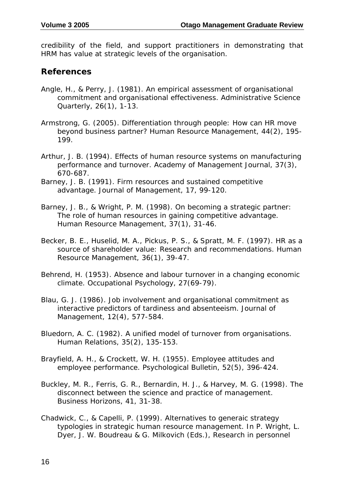credibility of the field, and support practitioners in demonstrating that HRM has value at strategic levels of the organisation.

#### **References**

- Angle, H., & Perry, J. (1981). An empirical assessment of organisational commitment and organisational effectiveness. *Administrative Science Quarterly, 26*(1), 1-13.
- Armstrong, G. (2005). Differentiation through people: How can HR move beyond business partner? *Human Resource Management, 44*(2), 195- 199.
- Arthur, J. B. (1994). Effects of human resource systems on manufacturing performance and turnover. *Academy of Management Journal, 37*(3), 670-687.
- Barney, J. B. (1991). Firm resources and sustained competitive advantage. *Journal of Management, 17*, 99-120.
- Barney, J. B., & Wright, P. M. (1998). On becoming a strategic partner: The role of human resources in gaining competitive advantage. *Human Resource Management, 37*(1), 31-46.
- Becker, B. E., Huselid, M. A., Pickus, P. S., & Spratt, M. F. (1997). HR as a source of shareholder value: Research and recommendations. *Human Resource Management, 36*(1), 39-47.
- Behrend, H. (1953). Absence and labour turnover in a changing economic climate. *Occupational Psychology, 27*(69-79).
- Blau, G. J. (1986). Job involvement and organisational commitment as interactive predictors of tardiness and absenteeism. *Journal of Management, 12*(4), 577-584.
- Bluedorn, A. C. (1982). A unified model of turnover from organisations. *Human Relations, 35*(2), 135-153.
- Brayfield, A. H., & Crockett, W. H. (1955). Employee attitudes and employee performance. *Psychological Bulletin, 52*(5), 396-424.
- Buckley, M. R., Ferris, G. R., Bernardin, H. J., & Harvey, M. G. (1998). The disconnect between the science and practice of management. *Business Horizons, 41*, 31-38.
- Chadwick, C., & Capelli, P. (1999). Alternatives to generaic strategy typologies in strategic human resource management. In P. Wright, L. Dyer, J. W. Boudreau & G. Milkovich (Eds.), *Research in personnel*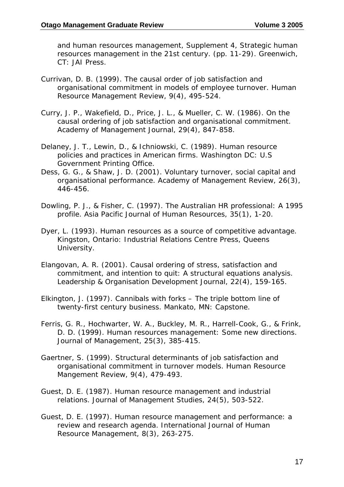*and human resources management, Supplement 4, Strategic human resources management in the 21st century.* (pp. 11-29). Greenwich, CT: JAI Press.

- Currivan, D. B. (1999). The causal order of job satisfaction and organisational commitment in models of employee turnover. *Human Resource Management Review, 9*(4), 495-524.
- Curry, J. P., Wakefield, D., Price, J. L., & Mueller, C. W. (1986). On the causal ordering of job satisfaction and organisational commitment. *Academy of Management Journal, 29*(4), 847-858.
- Delaney, J. T., Lewin, D., & Ichniowski, C. (1989). *Human resource policies and practices in American firms*. Washington DC: U.S Government Printing Office.
- Dess, G. G., & Shaw, J. D. (2001). Voluntary turnover, social capital and organisational performance. *Academy of Management Review, 26*(3), 446-456.
- Dowling, P. J., & Fisher, C. (1997). The Australian HR professional: A 1995 profile. *Asia Pacific Journal of Human Resources, 35*(1), 1-20.
- Dyer, L. (1993). *Human resources as a source of competitive advantage*. Kingston, Ontario: Industrial Relations Centre Press, Queens University.
- Elangovan, A. R. (2001). Causal ordering of stress, satisfaction and commitment, and intention to quit: A structural equations analysis. *Leadership & Organisation Development Journal, 22*(4), 159-165.
- Elkington, J. (1997). *Cannibals with forks The triple bottom line of twenty-first century business*. Mankato, MN: Capstone.
- Ferris, G. R., Hochwarter, W. A., Buckley, M. R., Harrell-Cook, G., & Frink, D. D. (1999). Human resources management: Some new directions. *Journal of Management, 25*(3), 385-415.
- Gaertner, S. (1999). Structural determinants of job satisfaction and organisational commitment in turnover models. *Human Resource Mangement Review, 9*(4), 479-493.
- Guest, D. E. (1987). Human resource management and industrial relations. *Journal of Management Studies, 24*(5), 503-522.
- Guest, D. E. (1997). Human resource management and performance: a review and research agenda. *International Journal of Human Resource Management, 8*(3), 263-275.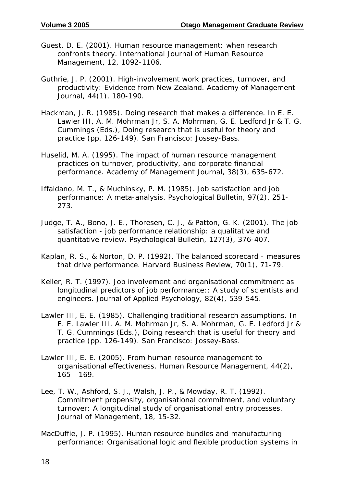- Guest, D. E. (2001). Human resource management: when research confronts theory. *International Journal of Human Resource Management, 12*, 1092-1106.
- Guthrie, J. P. (2001). High-involvement work practices, turnover, and productivity: Evidence from New Zealand. *Academy of Management Journal, 44*(1), 180-190.
- Hackman, J. R. (1985). Doing research that makes a difference. In E. E. Lawler III, A. M. Mohrman Jr, S. A. Mohrman, G. E. Ledford Jr & T. G. Cummings (Eds.), *Doing research that is useful for theory and practice* (pp. 126-149). San Francisco: Jossey-Bass.
- Huselid, M. A. (1995). The impact of human resource management practices on turnover, productivity, and corporate financial performance. *Academy of Management Journal, 38*(3), 635-672.
- Iffaldano, M. T., & Muchinsky, P. M. (1985). Job satisfaction and job performance: A meta-analysis. *Psychological Bulletin, 97*(2), 251- 273.
- Judge, T. A., Bono, J. E., Thoresen, C. J., & Patton, G. K. (2001). The job satisfaction - job performance relationship: a qualitative and quantitative review. *Psychological Bulletin, 127*(3), 376-407.
- Kaplan, R. S., & Norton, D. P. (1992). The balanced scorecard measures that drive performance. *Harvard Business Review, 70*(1), 71-79.
- Keller, R. T. (1997). Job involvement and organisational commitment as longitudinal predictors of job performance:: A study of scientists and engineers. *Journal of Applied Psychology, 82*(4), 539-545.
- Lawler III, E. E. (1985). Challenging traditional research assumptions. In E. E. Lawler III, A. M. Mohrman Jr, S. A. Mohrman, G. E. Ledford Jr & T. G. Cummings (Eds.), *Doing research that is useful for theory and practice* (pp. 126-149). San Francisco: Jossey-Bass.
- Lawler III, E. E. (2005). From human resource management to organisational effectiveness. *Human Resource Management, 44*(2), 165 - 169.
- Lee, T. W., Ashford, S. J., Walsh, J. P., & Mowday, R. T. (1992). Commitment propensity, organisational commitment, and voluntary turnover: A longitudinal study of organisational entry processes. *Journal of Management, 18*, 15-32.
- MacDuffie, J. P. (1995). Human resource bundles and manufacturing performance: Organisational logic and flexible production systems in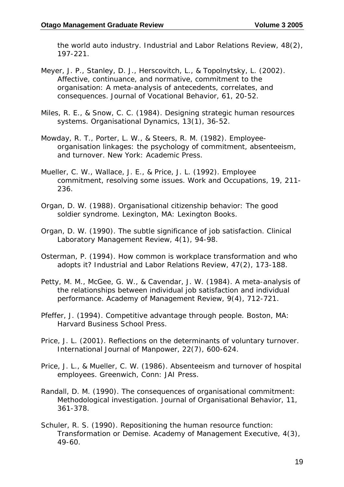the world auto industry. *Industrial and Labor Relations Review, 48*(2), 197-221.

- Meyer, J. P., Stanley, D. J., Herscovitch, L., & Topolnytsky, L. (2002). Affective, continuance, and normative, commitment to the organisation: A meta-analysis of antecedents, correlates, and consequences. *Journal of Vocational Behavior, 61*, 20-52.
- Miles, R. E., & Snow, C. C. (1984). Designing strategic human resources systems. *Organisational Dynamics, 13*(1), 36-52.
- Mowday, R. T., Porter, L. W., & Steers, R. M. (1982). *Employeeorganisation linkages: the psychology of commitment, absenteeism, and turnover*. New York: Academic Press.
- Mueller, C. W., Wallace, J. E., & Price, J. L. (1992). Employee commitment, resolving some issues. *Work and Occupations, 19*, 211- 236.
- Organ, D. W. (1988). *Organisational citizenship behavior: The good soldier syndrome*. Lexington, MA: Lexington Books.
- Organ, D. W. (1990). The subtle significance of job satisfaction. *Clinical Laboratory Management Review, 4*(1), 94-98.
- Osterman, P. (1994). How common is workplace transformation and who adopts it? *Industrial and Labor Relations Review, 47*(2), 173-188.
- Petty, M. M., McGee, G. W., & Cavendar, J. W. (1984). A meta-analysis of the relationships between individual job satisfaction and individual performance. *Academy of Management Review, 9*(4), 712-721.
- Pfeffer, J. (1994). *Competitive advantage through people*. Boston, MA: Harvard Business School Press.
- Price, J. L. (2001). Reflections on the determinants of voluntary turnover. *International Journal of Manpower, 22*(7), 600-624.
- Price, J. L., & Mueller, C. W. (1986). *Absenteeism and turnover of hospital employees*. Greenwich, Conn: JAI Press.
- Randall, D. M. (1990). The consequences of organisational commitment: Methodological investigation. *Journal of Organisational Behavior, 11*, 361-378.
- Schuler, R. S. (1990). Repositioning the human resource function: Transformation or Demise. *Academy of Management Executive, 4*(3), 49-60.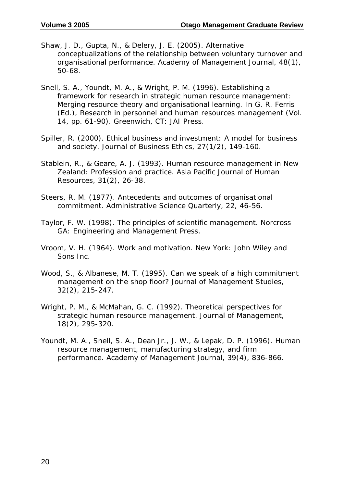- Shaw, J. D., Gupta, N., & Delery, J. E. (2005). Alternative conceptualizations of the relationship between voluntary turnover and organisational performance. *Academy of Management Journal, 48*(1), 50-68.
- Snell, S. A., Youndt, M. A., & Wright, P. M. (1996). Establishing a framework for research in strategic human resource management: Merging resource theory and organisational learning. In G. R. Ferris (Ed.), *Research in personnel and human resources management* (Vol. 14, pp. 61-90). Greenwich, CT: JAI Press.
- Spiller, R. (2000). Ethical business and investment: A model for business and society. *Journal of Business Ethics, 27*(1/2), 149-160.
- Stablein, R., & Geare, A. J. (1993). Human resource management in New Zealand: Profession and practice. *Asia Pacific Journal of Human Resources, 31*(2), 26-38.
- Steers, R. M. (1977). Antecedents and outcomes of organisational commitment. *Administrative Science Quarterly, 22*, 46-56.
- Taylor, F. W. (1998). *The principles of scientific management*. Norcross GA: Engineering and Management Press.
- Vroom, V. H. (1964). *Work and motivation*. New York: John Wiley and Sons Inc.
- Wood, S., & Albanese, M. T. (1995). Can we speak of a high commitment management on the shop floor? *Journal of Management Studies, 32*(2), 215-247.
- Wright, P. M., & McMahan, G. C. (1992). Theoretical perspectives for strategic human resource management. *Journal of Management, 18*(2), 295-320.
- Youndt, M. A., Snell, S. A., Dean Jr., J. W., & Lepak, D. P. (1996). Human resource management, manufacturing strategy, and firm performance. *Academy of Management Journal, 39*(4), 836-866.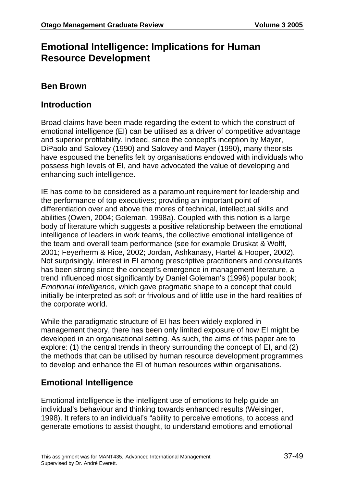## **Emotional Intelligence: Implications for Human Resource Development**

#### **Ben Brown**

#### **Introduction**

Broad claims have been made regarding the extent to which the construct of emotional intelligence (EI) can be utilised as a driver of competitive advantage and superior profitability. Indeed, since the concept's inception by Mayer, DiPaolo and Salovey (1990) and Salovey and Mayer (1990), many theorists have espoused the benefits felt by organisations endowed with individuals who possess high levels of EI, and have advocated the value of developing and enhancing such intelligence.

IE has come to be considered as a paramount requirement for leadership and the performance of top executives; providing an important point of differentiation over and above the mores of technical, intellectual skills and abilities (Owen, 2004; Goleman, 1998a). Coupled with this notion is a large body of literature which suggests a positive relationship between the emotional intelligence of leaders in work teams, the collective emotional intelligence of the team and overall team performance (see for example Druskat & Wolff, 2001; Feyerherm & Rice, 2002; Jordan, Ashkanasy, Hartel & Hooper, 2002). Not surprisingly, interest in EI among prescriptive practitioners and consultants has been strong since the concept's emergence in management literature, a trend influenced most significantly by Daniel Goleman's (1996) popular book; *Emotional Intelligence*, which gave pragmatic shape to a concept that could initially be interpreted as soft or frivolous and of little use in the hard realities of the corporate world.

While the paradigmatic structure of EI has been widely explored in management theory, there has been only limited exposure of how EI might be developed in an organisational setting. As such, the aims of this paper are to explore: (1) the central trends in theory surrounding the concept of EI, and (2) the methods that can be utilised by human resource development programmes to develop and enhance the EI of human resources within organisations.

#### **Emotional Intelligence**

Emotional intelligence is the intelligent use of emotions to help guide an individual's behaviour and thinking towards enhanced results (Weisinger, 1998). It refers to an individual's "ability to perceive emotions, to access and generate emotions to assist thought, to understand emotions and emotional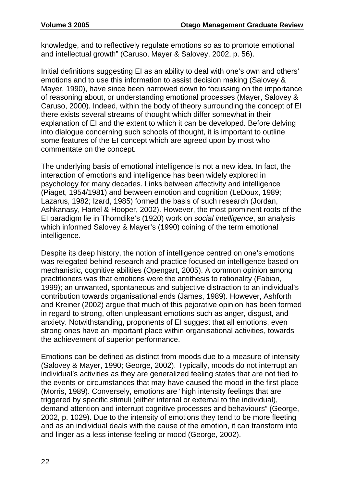knowledge, and to reflectively regulate emotions so as to promote emotional and intellectual growth" (Caruso, Mayer & Salovey, 2002, p. 56).

Initial definitions suggesting EI as an ability to deal with one's own and others' emotions and to use this information to assist decision making (Salovey & Mayer, 1990), have since been narrowed down to focussing on the importance of reasoning about, or understanding emotional processes (Mayer, Salovey & Caruso, 2000). Indeed, within the body of theory surrounding the concept of EI there exists several streams of thought which differ somewhat in their explanation of EI and the extent to which it can be developed. Before delving into dialogue concerning such schools of thought, it is important to outline some features of the EI concept which are agreed upon by most who commentate on the concept.

The underlying basis of emotional intelligence is not a new idea. In fact, the interaction of emotions and intelligence has been widely explored in psychology for many decades. Links between affectivity and intelligence (Piaget, 1954/1981) and between emotion and cognition (LeDoux, 1989; Lazarus, 1982; Izard, 1985) formed the basis of such research (Jordan, Ashkanasy, Hartel & Hooper, 2002). However, the most prominent roots of the EI paradigm lie in Thorndike's (1920) work on *social intelligence*, an analysis which informed Salovey & Mayer's (1990) coining of the term emotional intelligence.

Despite its deep history, the notion of intelligence centred on one's emotions was relegated behind research and practice focused on intelligence based on mechanistic, cognitive abilities (Opengart, 2005). A common opinion among practitioners was that emotions were the antithesis to rationality (Fabian, 1999); an unwanted, spontaneous and subjective distraction to an individual's contribution towards organisational ends (James, 1989). However, Ashforth and Kreiner (2002) argue that much of this pejorative opinion has been formed in regard to strong, often unpleasant emotions such as anger, disgust, and anxiety. Notwithstanding, proponents of EI suggest that all emotions, even strong ones have an important place within organisational activities, towards the achievement of superior performance.

Emotions can be defined as distinct from moods due to a measure of intensity (Salovey & Mayer, 1990; George, 2002). Typically, moods do not interrupt an individual's activities as they are generalized feeling states that are not tied to the events or circumstances that may have caused the mood in the first place (Morris, 1989). Conversely, emotions are "high intensity feelings that are triggered by specific stimuli (either internal or external to the individual), demand attention and interrupt cognitive processes and behaviours" (George, 2002, p. 1029). Due to the intensity of emotions they tend to be more fleeting and as an individual deals with the cause of the emotion, it can transform into and linger as a less intense feeling or mood (George, 2002).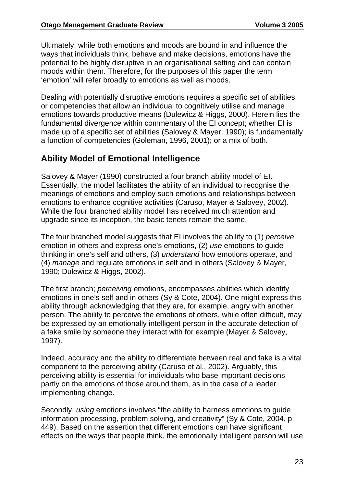Ultimately, while both emotions and moods are bound in and influence the ways that individuals think, behave and make decisions, emotions have the potential to be highly disruptive in an organisational setting and can contain moods within them. Therefore, for the purposes of this paper the term 'emotion' will refer broadly to emotions as well as moods.

Dealing with potentially disruptive emotions requires a specific set of abilities, or competencies that allow an individual to cognitively utilise and manage emotions towards productive means (Dulewicz & Higgs, 2000). Herein lies the fundamental divergence within commentary of the EI concept; whether EI is made up of a specific set of abilities (Salovey & Mayer, 1990); is fundamentally a function of competencies (Goleman, 1996, 2001); or a mix of both.

#### **Ability Model of Emotional Intelligence**

Salovey & Mayer (1990) constructed a four branch ability model of EI. Essentially, the model facilitates the ability of an individual to recognise the meanings of emotions and employ such emotions and relationships between emotions to enhance cognitive activities (Caruso, Mayer & Salovey, 2002). While the four branched ability model has received much attention and upgrade since its inception, the basic tenets remain the same.

The four branched model suggests that EI involves the ability to (1) *perceive* emotion in others and express one's emotions, (2) *use* emotions to guide thinking in one's self and others, (3) *understand* how emotions operate, and (4) *manage* and regulate emotions in self and in others (Salovey & Mayer, 1990; Dulewicz & Higgs, 2002).

The first branch; *perceiving* emotions, encompasses abilities which identify emotions in one's self and in others (Sy & Cote, 2004). One might express this ability through acknowledging that they are, for example, angry with another person. The ability to perceive the emotions of others, while often difficult, may be expressed by an emotionally intelligent person in the accurate detection of a fake smile by someone they interact with for example (Mayer & Salovey, 1997).

Indeed, accuracy and the ability to differentiate between real and fake is a vital component to the perceiving ability (Caruso et al., 2002). Arguably, this perceiving ability is essential for individuals who base important decisions partly on the emotions of those around them, as in the case of a leader implementing change.

Secondly, *using* emotions involves "the ability to harness emotions to guide information processing, problem solving, and creativity" (Sy & Cote, 2004, p. 449). Based on the assertion that different emotions can have significant effects on the ways that people think, the emotionally intelligent person will use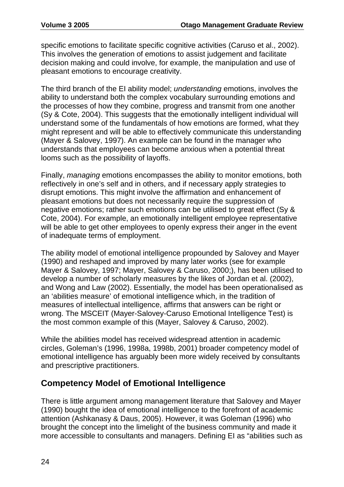specific emotions to facilitate specific cognitive activities (Caruso et al., 2002). This involves the generation of emotions to assist judgement and facilitate decision making and could involve, for example, the manipulation and use of pleasant emotions to encourage creativity.

The third branch of the EI ability model; *understanding* emotions, involves the ability to understand both the complex vocabulary surrounding emotions and the processes of how they combine, progress and transmit from one another (Sy & Cote, 2004). This suggests that the emotionally intelligent individual will understand some of the fundamentals of how emotions are formed, what they might represent and will be able to effectively communicate this understanding (Mayer & Salovey, 1997). An example can be found in the manager who understands that employees can become anxious when a potential threat looms such as the possibility of layoffs.

Finally, *managing* emotions encompasses the ability to monitor emotions, both reflectively in one's self and in others, and if necessary apply strategies to disrupt emotions. This might involve the affirmation and enhancement of pleasant emotions but does not necessarily require the suppression of negative emotions; rather such emotions can be utilised to great effect (Sy & Cote, 2004). For example, an emotionally intelligent employee representative will be able to get other employees to openly express their anger in the event of inadequate terms of employment.

The ability model of emotional intelligence propounded by Salovey and Mayer (1990) and reshaped and improved by many later works (see for example Mayer & Salovey, 1997; Mayer, Salovey & Caruso, 2000;), has been utilised to develop a number of scholarly measures by the likes of Jordan et al. (2002), and Wong and Law (2002). Essentially, the model has been operationalised as an 'abilities measure' of emotional intelligence which, in the tradition of measures of intellectual intelligence, affirms that answers can be right or wrong. The MSCEIT (Mayer-Salovey-Caruso Emotional Intelligence Test) is the most common example of this (Mayer, Salovey & Caruso, 2002).

While the abilities model has received widespread attention in academic circles, Goleman's (1996, 1998a, 1998b, 2001) broader competency model of emotional intelligence has arguably been more widely received by consultants and prescriptive practitioners.

#### **Competency Model of Emotional Intelligence**

There is little argument among management literature that Salovey and Mayer (1990) bought the idea of emotional intelligence to the forefront of academic attention (Ashkanasy & Daus, 2005). However, it was Goleman (1996) who brought the concept into the limelight of the business community and made it more accessible to consultants and managers. Defining EI as "abilities such as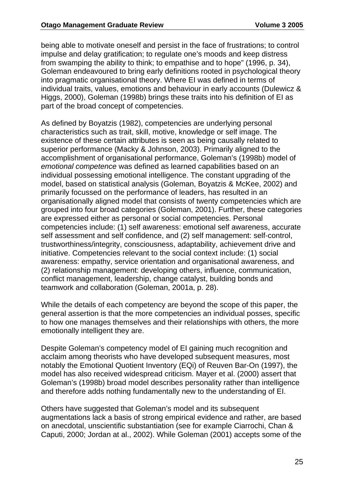being able to motivate oneself and persist in the face of frustrations; to control impulse and delay gratification; to regulate one's moods and keep distress from swamping the ability to think; to empathise and to hope" (1996, p. 34), Goleman endeavoured to bring early definitions rooted in psychological theory into pragmatic organisational theory. Where EI was defined in terms of individual traits, values, emotions and behaviour in early accounts (Dulewicz & Higgs, 2000), Goleman (1998b) brings these traits into his definition of EI as part of the broad concept of competencies.

As defined by Boyatzis (1982), competencies are underlying personal characteristics such as trait, skill, motive, knowledge or self image. The existence of these certain attributes is seen as being causally related to superior performance (Macky & Johnson, 2003). Primarily aligned to the accomplishment of organisational performance, Goleman's (1998b) model of *emotional competence* was defined as learned capabilities based on an individual possessing emotional intelligence. The constant upgrading of the model, based on statistical analysis (Goleman, Boyatzis & McKee, 2002) and primarily focussed on the performance of leaders, has resulted in an organisationally aligned model that consists of twenty competencies which are grouped into four broad categories (Goleman, 2001). Further, these categories are expressed either as personal or social competencies. Personal competencies include: (1) self awareness: emotional self awareness, accurate self assessment and self confidence, and (2) self management: self-control, trustworthiness/integrity, consciousness, adaptability, achievement drive and initiative. Competencies relevant to the social context include: (1) social awareness: empathy, service orientation and organisational awareness, and (2) relationship management: developing others, influence, communication, conflict management, leadership, change catalyst, building bonds and teamwork and collaboration (Goleman, 2001a, p. 28).

While the details of each competency are beyond the scope of this paper, the general assertion is that the more competencies an individual posses, specific to how one manages themselves and their relationships with others, the more emotionally intelligent they are.

Despite Goleman's competency model of EI gaining much recognition and acclaim among theorists who have developed subsequent measures, most notably the Emotional Quotient Inventory (EQi) of Reuven Bar-On (1997), the model has also received widespread criticism. Mayer et al. (2000) assert that Goleman's (1998b) broad model describes personality rather than intelligence and therefore adds nothing fundamentally new to the understanding of EI.

Others have suggested that Goleman's model and its subsequent augmentations lack a basis of strong empirical evidence and rather, are based on anecdotal, unscientific substantiation (see for example Ciarrochi, Chan & Caputi, 2000; Jordan at al., 2002). While Goleman (2001) accepts some of the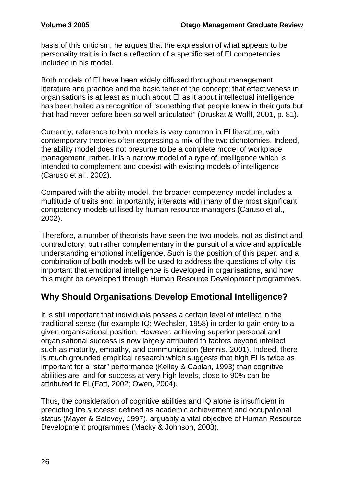basis of this criticism, he argues that the expression of what appears to be personality trait is in fact a reflection of a specific set of EI competencies included in his model.

Both models of EI have been widely diffused throughout management literature and practice and the basic tenet of the concept; that effectiveness in organisations is at least as much about EI as it about intellectual intelligence has been hailed as recognition of "something that people knew in their guts but that had never before been so well articulated" (Druskat & Wolff, 2001, p. 81).

Currently, reference to both models is very common in EI literature, with contemporary theories often expressing a mix of the two dichotomies. Indeed, the ability model does not presume to be a complete model of workplace management, rather, it is a narrow model of a type of intelligence which is intended to complement and coexist with existing models of intelligence (Caruso et al., 2002).

Compared with the ability model, the broader competency model includes a multitude of traits and, importantly, interacts with many of the most significant competency models utilised by human resource managers (Caruso et al., 2002).

Therefore, a number of theorists have seen the two models, not as distinct and contradictory, but rather complementary in the pursuit of a wide and applicable understanding emotional intelligence. Such is the position of this paper, and a combination of both models will be used to address the questions of why it is important that emotional intelligence is developed in organisations, and how this might be developed through Human Resource Development programmes.

#### **Why Should Organisations Develop Emotional Intelligence?**

It is still important that individuals posses a certain level of intellect in the traditional sense (for example IQ; Wechsler, 1958) in order to gain entry to a given organisational position. However, achieving superior personal and organisational success is now largely attributed to factors beyond intellect such as maturity, empathy, and communication (Bennis, 2001). Indeed, there is much grounded empirical research which suggests that high EI is twice as important for a "star" performance (Kelley & Caplan, 1993) than cognitive abilities are, and for success at very high levels, close to 90% can be attributed to EI (Fatt, 2002; Owen, 2004).

Thus, the consideration of cognitive abilities and IQ alone is insufficient in predicting life success; defined as academic achievement and occupational status (Mayer & Salovey, 1997), arguably a vital objective of Human Resource Development programmes (Macky & Johnson, 2003).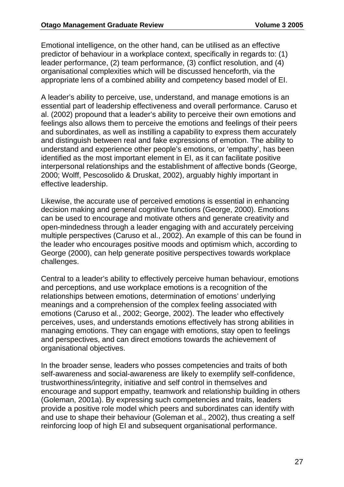Emotional intelligence, on the other hand, can be utilised as an effective predictor of behaviour in a workplace context, specifically in regards to: (1) leader performance, (2) team performance, (3) conflict resolution, and (4) organisational complexities which will be discussed henceforth, via the appropriate lens of a combined ability and competency based model of EI.

A leader's ability to perceive, use, understand, and manage emotions is an essential part of leadership effectiveness and overall performance. Caruso et al. (2002) propound that a leader's ability to perceive their own emotions and feelings also allows them to perceive the emotions and feelings of their peers and subordinates, as well as instilling a capability to express them accurately and distinguish between real and fake expressions of emotion. The ability to understand and experience other people's emotions, or 'empathy', has been identified as the most important element in EI, as it can facilitate positive interpersonal relationships and the establishment of affective bonds (George, 2000; Wolff, Pescosolido & Druskat, 2002), arguably highly important in effective leadership.

Likewise, the accurate use of perceived emotions is essential in enhancing decision making and general cognitive functions (George, 2000). Emotions can be used to encourage and motivate others and generate creativity and open-mindedness through a leader engaging with and accurately perceiving multiple perspectives (Caruso et al., 2002). An example of this can be found in the leader who encourages positive moods and optimism which, according to George (2000), can help generate positive perspectives towards workplace challenges.

Central to a leader's ability to effectively perceive human behaviour, emotions and perceptions, and use workplace emotions is a recognition of the relationships between emotions, determination of emotions' underlying meanings and a comprehension of the complex feeling associated with emotions (Caruso et al., 2002; George, 2002). The leader who effectively perceives, uses, and understands emotions effectively has strong abilities in managing emotions. They can engage with emotions, stay open to feelings and perspectives, and can direct emotions towards the achievement of organisational objectives.

In the broader sense, leaders who posses competencies and traits of both self-awareness and social-awareness are likely to exemplify self-confidence, trustworthiness/integrity, initiative and self control in themselves and encourage and support empathy, teamwork and relationship building in others (Goleman, 2001a). By expressing such competencies and traits, leaders provide a positive role model which peers and subordinates can identify with and use to shape their behaviour (Goleman et al., 2002), thus creating a self reinforcing loop of high EI and subsequent organisational performance.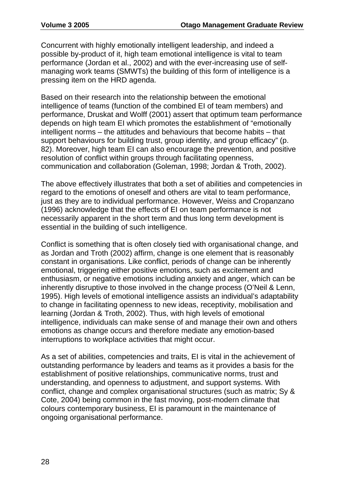Concurrent with highly emotionally intelligent leadership, and indeed a possible by-product of it, high team emotional intelligence is vital to team performance (Jordan et al., 2002) and with the ever-increasing use of selfmanaging work teams (SMWTs) the building of this form of intelligence is a pressing item on the HRD agenda.

Based on their research into the relationship between the emotional intelligence of teams (function of the combined EI of team members) and performance, Druskat and Wolff (2001) assert that optimum team performance depends on high team EI which promotes the establishment of "emotionally intelligent norms – the attitudes and behaviours that become habits – that support behaviours for building trust, group identity, and group efficacy" (p. 82). Moreover, high team EI can also encourage the prevention, and positive resolution of conflict within groups through facilitating openness, communication and collaboration (Goleman, 1998; Jordan & Troth, 2002).

The above effectively illustrates that both a set of abilities and competencies in regard to the emotions of oneself and others are vital to team performance, just as they are to individual performance. However, Weiss and Cropanzano (1996) acknowledge that the effects of EI on team performance is not necessarily apparent in the short term and thus long term development is essential in the building of such intelligence.

Conflict is something that is often closely tied with organisational change, and as Jordan and Troth (2002) affirm, change is one element that is reasonably constant in organisations. Like conflict, periods of change can be inherently emotional, triggering either positive emotions, such as excitement and enthusiasm, or negative emotions including anxiety and anger, which can be inherently disruptive to those involved in the change process (O'Neil & Lenn, 1995). High levels of emotional intelligence assists an individual's adaptability to change in facilitating openness to new ideas, receptivity, mobilisation and learning (Jordan & Troth, 2002). Thus, with high levels of emotional intelligence, individuals can make sense of and manage their own and others emotions as change occurs and therefore mediate any emotion-based interruptions to workplace activities that might occur.

As a set of abilities, competencies and traits, EI is vital in the achievement of outstanding performance by leaders and teams as it provides a basis for the establishment of positive relationships, communicative norms, trust and understanding, and openness to adjustment, and support systems. With conflict, change and complex organisational structures (such as matrix; Sy & Cote, 2004) being common in the fast moving, post-modern climate that colours contemporary business, EI is paramount in the maintenance of ongoing organisational performance.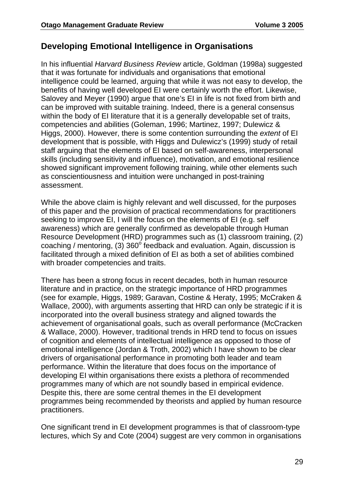#### **Developing Emotional Intelligence in Organisations**

In his influential *Harvard Business Review* article, Goldman (1998a) suggested that it was fortunate for individuals and organisations that emotional intelligence could be learned, arguing that while it was not easy to develop, the benefits of having well developed EI were certainly worth the effort. Likewise, Salovey and Meyer (1990) argue that one's EI in life is not fixed from birth and can be improved with suitable training. Indeed, there is a general consensus within the body of EI literature that it is a generally developable set of traits, competencies and abilities (Goleman, 1996; Martinez, 1997; Dulewicz & Higgs, 2000). However, there is some contention surrounding the *extent* of EI development that is possible, with Higgs and Dulewicz's (1999) study of retail staff arguing that the elements of EI based on self-awareness, interpersonal skills (including sensitivity and influence), motivation, and emotional resilience showed significant improvement following training, while other elements such as conscientiousness and intuition were unchanged in post-training assessment.

While the above claim is highly relevant and well discussed, for the purposes of this paper and the provision of practical recommendations for practitioners seeking to improve EI, I will the focus on the elements of EI (e.g. self awareness) which are generally confirmed as developable through Human Resource Development (HRD) programmes such as (1) classroom training, (2) coaching / mentoring, (3)  $360^\circ$  feedback and evaluation. Again, discussion is facilitated through a mixed definition of EI as both a set of abilities combined with broader competencies and traits.

There has been a strong focus in recent decades, both in human resource literature and in practice, on the strategic importance of HRD programmes (see for example, Higgs, 1989; Garavan, Costine & Heraty, 1995; McCraken & Wallace, 2000), with arguments asserting that HRD can only be strategic if it is incorporated into the overall business strategy and aligned towards the achievement of organisational goals, such as overall performance (McCracken & Wallace, 2000). However, traditional trends in HRD tend to focus on issues of cognition and elements of intellectual intelligence as opposed to those of emotional intelligence (Jordan & Troth, 2002) which I have shown to be clear drivers of organisational performance in promoting both leader and team performance. Within the literature that does focus on the importance of developing EI within organisations there exists a plethora of recommended programmes many of which are not soundly based in empirical evidence. Despite this, there are some central themes in the EI development programmes being recommended by theorists and applied by human resource practitioners.

One significant trend in EI development programmes is that of classroom-type lectures, which Sy and Cote (2004) suggest are very common in organisations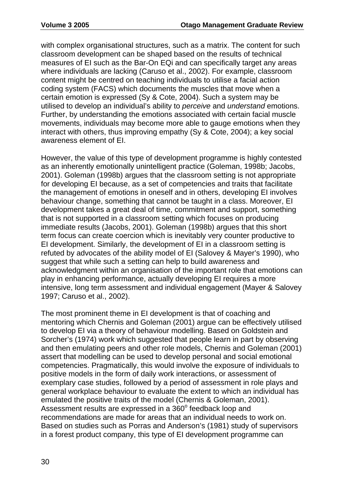with complex organisational structures, such as a matrix. The content for such classroom development can be shaped based on the results of technical measures of EI such as the Bar-On EQi and can specifically target any areas where individuals are lacking (Caruso et al., 2002). For example, classroom content might be centred on teaching individuals to utilise a facial action coding system (FACS) which documents the muscles that move when a certain emotion is expressed (Sy & Cote, 2004). Such a system may be utilised to develop an individual's ability to *perceive* and *understand* emotions. Further, by understanding the emotions associated with certain facial muscle movements, individuals may become more able to gauge emotions when they interact with others, thus improving empathy (Sy & Cote, 2004); a key social awareness element of EI.

However, the value of this type of development programme is highly contested as an inherently emotionally unintelligent practice (Goleman, 1998b; Jacobs, 2001). Goleman (1998b) argues that the classroom setting is not appropriate for developing EI because, as a set of competencies and traits that facilitate the management of emotions in oneself and in others, developing EI involves behaviour change, something that cannot be taught in a class. Moreover, EI development takes a great deal of time, commitment and support, something that is not supported in a classroom setting which focuses on producing immediate results (Jacobs, 2001). Goleman (1998b) argues that this short term focus can create coercion which is inevitably very counter productive to EI development. Similarly, the development of EI in a classroom setting is refuted by advocates of the ability model of EI (Salovey & Mayer's 1990), who suggest that while such a setting can help to build awareness and acknowledgment within an organisation of the important role that emotions can play in enhancing performance, actually developing EI requires a more intensive, long term assessment and individual engagement (Mayer & Salovey 1997; Caruso et al., 2002).

The most prominent theme in EI development is that of coaching and mentoring which Chernis and Goleman (2001) argue can be effectively utilised to develop EI via a theory of behaviour modelling. Based on Goldstein and Sorcher's (1974) work which suggested that people learn in part by observing and then emulating peers and other role models, Chernis and Goleman (2001) assert that modelling can be used to develop personal and social emotional competencies. Pragmatically, this would involve the exposure of individuals to positive models in the form of daily work interactions, or assessment of exemplary case studies, followed by a period of assessment in role plays and general workplace behaviour to evaluate the extent to which an individual has emulated the positive traits of the model (Chernis & Goleman, 2001). Assessment results are expressed in a 360° feedback loop and recommendations are made for areas that an individual needs to work on. Based on studies such as Porras and Anderson's (1981) study of supervisors in a forest product company, this type of EI development programme can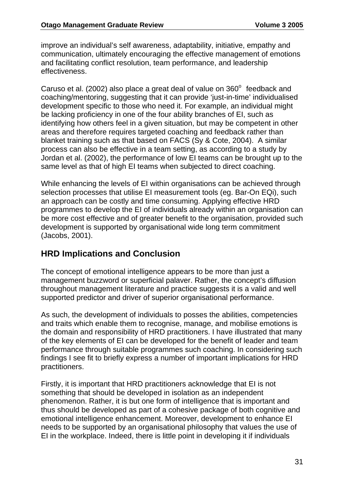improve an individual's self awareness, adaptability, initiative, empathy and communication, ultimately encouraging the effective management of emotions and facilitating conflict resolution, team performance, and leadership effectiveness.

Caruso et al. (2002) also place a great deal of value on  $360^\circ$  feedback and coaching/mentoring, suggesting that it can provide 'just-in-time' individualised development specific to those who need it. For example, an individual might be lacking proficiency in one of the four ability branches of EI, such as identifying how others feel in a given situation, but may be competent in other areas and therefore requires targeted coaching and feedback rather than blanket training such as that based on FACS (Sy & Cote, 2004). A similar process can also be effective in a team setting, as according to a study by Jordan et al. (2002), the performance of low EI teams can be brought up to the same level as that of high EI teams when subjected to direct coaching.

While enhancing the levels of EI within organisations can be achieved through selection processes that utilise EI measurement tools (eg. Bar-On EQi), such an approach can be costly and time consuming. Applying effective HRD programmes to develop the EI of individuals already within an organisation can be more cost effective and of greater benefit to the organisation, provided such development is supported by organisational wide long term commitment (Jacobs, 2001).

#### **HRD Implications and Conclusion**

The concept of emotional intelligence appears to be more than just a management buzzword or superficial palaver. Rather, the concept's diffusion throughout management literature and practice suggests it is a valid and well supported predictor and driver of superior organisational performance.

As such, the development of individuals to posses the abilities, competencies and traits which enable them to recognise, manage, and mobilise emotions is the domain and responsibility of HRD practitioners. I have illustrated that many of the key elements of EI can be developed for the benefit of leader and team performance through suitable programmes such coaching. In considering such findings I see fit to briefly express a number of important implications for HRD practitioners.

Firstly, it is important that HRD practitioners acknowledge that EI is not something that should be developed in isolation as an independent phenomenon. Rather, it is but one form of intelligence that is important and thus should be developed as part of a cohesive package of both cognitive and emotional intelligence enhancement. Moreover, development to enhance EI needs to be supported by an organisational philosophy that values the use of EI in the workplace. Indeed, there is little point in developing it if individuals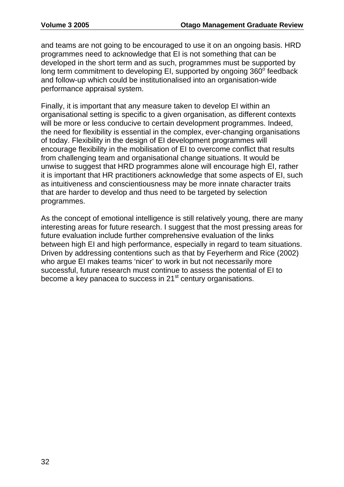and teams are not going to be encouraged to use it on an ongoing basis. HRD programmes need to acknowledge that EI is not something that can be developed in the short term and as such, programmes must be supported by long term commitment to developing EI, supported by ongoing  $360^\circ$  feedback and follow-up which could be institutionalised into an organisation-wide performance appraisal system.

Finally, it is important that any measure taken to develop EI within an organisational setting is specific to a given organisation, as different contexts will be more or less conducive to certain development programmes. Indeed, the need for flexibility is essential in the complex, ever-changing organisations of today. Flexibility in the design of EI development programmes will encourage flexibility in the mobilisation of EI to overcome conflict that results from challenging team and organisational change situations. It would be unwise to suggest that HRD programmes alone will encourage high EI, rather it is important that HR practitioners acknowledge that some aspects of EI, such as intuitiveness and conscientiousness may be more innate character traits that are harder to develop and thus need to be targeted by selection programmes.

As the concept of emotional intelligence is still relatively young, there are many interesting areas for future research. I suggest that the most pressing areas for future evaluation include further comprehensive evaluation of the links between high EI and high performance, especially in regard to team situations. Driven by addressing contentions such as that by Feyerherm and Rice (2002) who argue EI makes teams 'nicer' to work in but not necessarily more successful, future research must continue to assess the potential of EI to become a key panacea to success in 21st century organisations.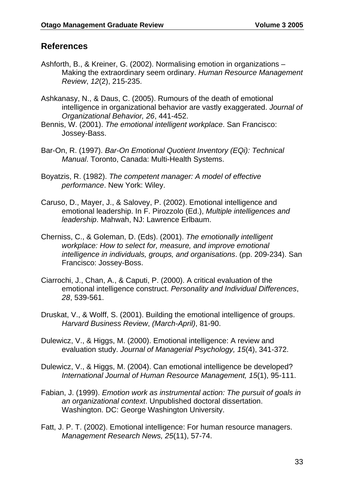### **References**

- Ashforth, B., & Kreiner, G. (2002). Normalising emotion in organizations Making the extraordinary seem ordinary. *Human Resource Management Review*, *12*(2), 215-235.
- Ashkanasy, N., & Daus, C. (2005). Rumours of the death of emotional intelligence in organizational behavior are vastly exaggerated. *Journal of Organizational Behavior, 26*, 441-452.
- Bennis, W. (2001). *The emotional intelligent workplace*. San Francisco: Jossey-Bass.
- Bar-On, R. (1997). *Bar-On Emotional Quotient Inventory (EQi): Technical Manual*. Toronto, Canada: Multi-Health Systems.
- Boyatzis, R. (1982). *The competent manager: A model of effective performance*. New York: Wiley.
- Caruso, D., Mayer, J., & Salovey, P. (2002). Emotional intelligence and emotional leadership. In F. Pirozzolo (Ed.), *Multiple intelligences and leadership*. Mahwah, NJ: Lawrence Erlbaum.
- Cherniss, C., & Goleman, D. (Eds). (2001). *The emotionally intelligent workplace: How to select for, measure, and improve emotional intelligence in individuals, groups, and organisations*. (pp. 209-234). San Francisco: Jossey-Boss.
- Ciarrochi, J., Chan, A., & Caputi, P. (2000). A critical evaluation of the emotional intelligence construct. *Personality and Individual Differences*, *28*, 539-561.
- Druskat, V., & Wolff, S. (2001). Building the emotional intelligence of groups. *Harvard Business Review*, *(March-April)*, 81-90.
- Dulewicz, V., & Higgs, M. (2000). Emotional intelligence: A review and evaluation study. *Journal of Managerial Psychology, 15*(4), 341-372.
- Dulewicz, V., & Higgs, M. (2004). Can emotional intelligence be developed? *International Journal of Human Resource Management, 15*(1), 95-111.
- Fabian, J. (1999). *Emotion work as instrumental action: The pursuit of goals in an organizational context*. Unpublished doctoral dissertation. Washington. DC: George Washington University.
- Fatt, J. P. T. (2002). Emotional intelligence: For human resource managers. *Management Research News, 25*(11), 57-74.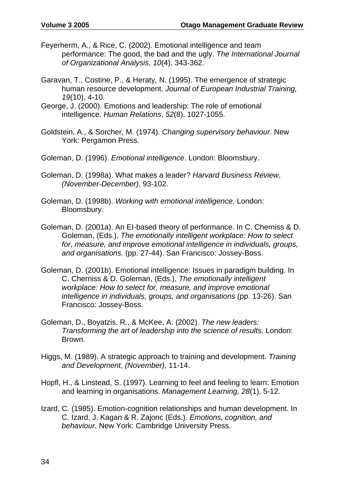- Feyerherm, A., & Rice, C. (2002). Emotional intelligence and team performance: The good, the bad and the ugly. *The International Journal of Organizational Analysis*, *10*(4), 343-362.
- Garavan, T., Costine, P., & Heraty, N. (1995). The emergence of strategic human resource development. *Journal of European Industrial Training, 19*(10), 4-10.
- George, J. (2000). Emotions and leadership: The role of emotional intelligence. *Human Relations*, *52*(8), 1027-1055.
- Goldstein, A., & Sorcher, M. (1974). *Changing supervisory behaviour*. New York: Pergamon Press.
- Goleman, D. (1996). *Emotional intelligence*. London: Bloomsbury.
- Goleman, D. (1998a). What makes a leader? *Harvard Business Review*, *(November-December)*, 93-102.
- Goleman, D. (1998b). *Working with emotional intelligence*. London: Bloomsbury.
- Goleman, D. (2001a). An EI-based theory of performance. In C. Cherniss & D. Goleman, (Eds.), *The emotionally intelligent workplace: How to select for, measure, and improve emotional intelligence in individuals, groups, and organisations.* (pp. 27-44). San Francisco: Jossey-Boss.
- Goleman, D. (2001b). Emotional intelligence: Issues in paradigm building. In C. Cherniss & D. Goleman, (Eds.), *The emotionally intelligent workplace: How to select for, measure, and improve emotional intelligence in individuals, groups, and organisations* (pp. 13-26). San Francisco: Jossey-Boss.
- Goleman, D., Boyatzis, R., & McKee, A. (2002). *The new leaders: Transforming the art of leadership into the science of results*. London: Brown.
- Higgs, M. (1989). A strategic approach to training and development. *Training and Development, (November),* 11-14.
- Hopfl, H., & Linstead, S. (1997). Learning to feel and feeling to learn: Emotion and learning in organisations. *Management Learning, 28*(1), 5-12.
- Izard, C. (1985). Emotion-cognition relationships and human development. In C. Izard, J. Kagan & R. Zajonc (Eds.). *Emotions, cognition, and behaviour*, New York: Cambridge University Press.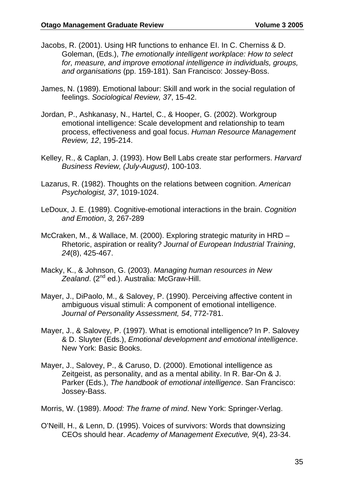- Jacobs, R. (2001). Using HR functions to enhance EI. In C. Cherniss & D. Goleman, (Eds.), *The emotionally intelligent workplace: How to select for, measure, and improve emotional intelligence in individuals, groups, and organisations* (pp. 159-181). San Francisco: Jossey-Boss.
- James, N. (1989). Emotional labour: Skill and work in the social regulation of feelings. *Sociological Review, 37*, 15-42.
- Jordan, P., Ashkanasy, N., Hartel, C., & Hooper, G. (2002). Workgroup emotional intelligence: Scale development and relationship to team process, effectiveness and goal focus. *Human Resource Management Review, 12*, 195-214.
- Kelley, R., & Caplan, J. (1993). How Bell Labs create star performers. *Harvard Business Review, (July-August)*, 100-103.
- Lazarus, R. (1982). Thoughts on the relations between cognition. *American Psychologist, 37*, 1019-1024.
- LeDoux, J. E. (1989). Cognitive-emotional interactions in the brain. *Cognition and Emotion*, *3,* 267-289
- McCraken, M., & Wallace, M. (2000). Exploring strategic maturity in HRD Rhetoric, aspiration or reality? *Journal of European Industrial Training*, *24*(8), 425-467.
- Macky, K., & Johnson, G. (2003). *Managing human resources in New*  Zealand. (2<sup>nd</sup> ed.). Australia: McGraw-Hill.
- Mayer, J., DiPaolo, M., & Salovey, P. (1990). Perceiving affective content in ambiguous visual stimuli: A component of emotional intelligence. *Journal of Personality Assessment, 54*, 772-781.
- Mayer, J., & Salovey, P. (1997). What is emotional intelligence? In P. Salovey & D. Sluyter (Eds.), *Emotional development and emotional intelligence*. New York: Basic Books.
- Mayer, J., Salovey, P., & Caruso, D. (2000). Emotional intelligence as Zeitgeist, as personality, and as a mental ability. In R. Bar-On & J. Parker (Eds.), *The handbook of emotional intelligence*. San Francisco: Jossey-Bass.
- Morris, W. (1989). *Mood: The frame of mind*. New York: Springer-Verlag.
- O'Neill, H., & Lenn, D. (1995). Voices of survivors: Words that downsizing CEOs should hear. *Academy of Management Executive, 9*(4), 23-34.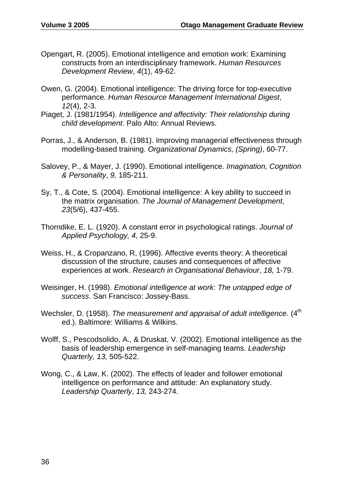- Opengart, R. (2005). Emotional intelligence and emotion work: Examining constructs from an interdisciplinary framework. *Human Resources Development Review*, *4*(1), 49-62.
- Owen, G. (2004). Emotional intelligence: The driving force for top-executive performance. *Human Resource Management International Digest*, *12*(4), 2-3.
- Piaget, J. (1981/1954). *Intelligence and affectivity: Their relationship during child development*. Palo Alto: Annual Reviews.
- Porras, J., & Anderson, B. (1981). Improving managerial effectiveness through modelling-based training. *Organizational Dynamics, (Spring)*, 60-77.
- Salovey, P., & Mayer, J. (1990). Emotional intelligence. *Imagination, Cognition & Personality*, *9,* 185-211.
- Sy, T., & Cote, S. (2004). Emotional intelligence: A key ability to succeed in the matrix organisation. *The Journal of Management Development*, *23*(5/6), 437-455.
- Thorndike, E. L. (1920). A constant error in psychological ratings. *Journal of Applied Psychology, 4,* 25-9.
- Weiss, H., & Cropanzano, R, (1996). Affective events theory: A theoretical discussion of the structure, causes and consequences of affective experiences at work. *Research in Organisational Behaviour*, *18,* 1-79.
- Weisinger, H. (1998). *Emotional intelligence at work: The untapped edge of success*. San Francisco: Jossey-Bass.
- Wechsler, D. (1958). *The measurement and appraisal of adult intelligence*. (4<sup>th</sup> ed.). Baltimore: Williams & Wilkins.
- Wolff, S., Pescodsolido, A., & Druskat, V. (2002). Emotional intelligence as the basis of leadership emergence in self-managing teams. *Leadership Quarterly, 13,* 505-522.
- Wong, C., & Law, K. (2002). The effects of leader and follower emotional intelligence on performance and attitude: An explanatory study. *Leadership Quarterly*, *13,* 243-274.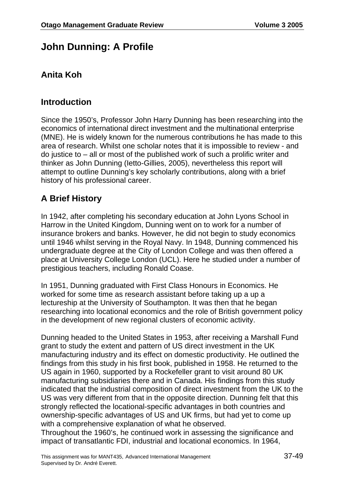# **John Dunning: A Profile**

## **Anita Koh**

### **Introduction**

Since the 1950's, Professor John Harry Dunning has been researching into the economics of international direct investment and the multinational enterprise (MNE). He is widely known for the numerous contributions he has made to this area of research. Whilst one scholar notes that it is impossible to review - and do justice to – all or most of the published work of such a prolific writer and thinker as John Dunning (Ietto-Gillies, 2005), nevertheless this report will attempt to outline Dunning's key scholarly contributions, along with a brief history of his professional career.

# **A Brief History**

In 1942, after completing his secondary education at John Lyons School in Harrow in the United Kingdom, Dunning went on to work for a number of insurance brokers and banks. However, he did not begin to study economics until 1946 whilst serving in the Royal Navy. In 1948, Dunning commenced his undergraduate degree at the City of London College and was then offered a place at University College London (UCL). Here he studied under a number of prestigious teachers, including Ronald Coase.

In 1951, Dunning graduated with First Class Honours in Economics. He worked for some time as research assistant before taking up a up a lectureship at the University of Southampton. It was then that he began researching into locational economics and the role of British government policy in the development of new regional clusters of economic activity.

Dunning headed to the United States in 1953, after receiving a Marshall Fund grant to study the extent and pattern of US direct investment in the UK manufacturing industry and its effect on domestic productivity. He outlined the findings from this study in his first book, published in 1958. He returned to the US again in 1960, supported by a Rockefeller grant to visit around 80 UK manufacturing subsidiaries there and in Canada. His findings from this study indicated that the industrial composition of direct investment from the UK to the US was very different from that in the opposite direction. Dunning felt that this strongly reflected the locational-specific advantages in both countries and ownership-specific advantages of US and UK firms, but had yet to come up with a comprehensive explanation of what he observed.

Throughout the 1960's, he continued work in assessing the significance and impact of transatlantic FDI, industrial and locational economics. In 1964,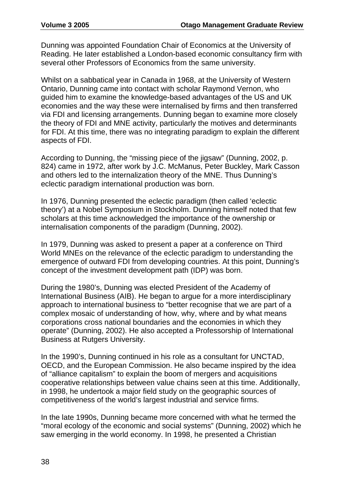Dunning was appointed Foundation Chair of Economics at the University of Reading. He later established a London-based economic consultancy firm with several other Professors of Economics from the same university.

Whilst on a sabbatical year in Canada in 1968, at the University of Western Ontario, Dunning came into contact with scholar Raymond Vernon, who guided him to examine the knowledge-based advantages of the US and UK economies and the way these were internalised by firms and then transferred via FDI and licensing arrangements. Dunning began to examine more closely the theory of FDI and MNE activity, particularly the motives and determinants for FDI. At this time, there was no integrating paradigm to explain the different aspects of FDI.

According to Dunning, the "missing piece of the jigsaw" (Dunning, 2002, p. 824) came in 1972, after work by J.C. McManus, Peter Buckley, Mark Casson and others led to the internalization theory of the MNE. Thus Dunning's eclectic paradigm international production was born.

In 1976, Dunning presented the eclectic paradigm (then called 'eclectic theory') at a Nobel Symposium in Stockholm. Dunning himself noted that few scholars at this time acknowledged the importance of the ownership or internalisation components of the paradigm (Dunning, 2002).

In 1979, Dunning was asked to present a paper at a conference on Third World MNEs on the relevance of the eclectic paradigm to understanding the emergence of outward FDI from developing countries. At this point, Dunning's concept of the investment development path (IDP) was born.

During the 1980's, Dunning was elected President of the Academy of International Business (AIB). He began to argue for a more interdisciplinary approach to international business to "better recognise that we are part of a complex mosaic of understanding of how, why, where and by what means corporations cross national boundaries and the economies in which they operate" (Dunning, 2002). He also accepted a Professorship of International Business at Rutgers University.

In the 1990's, Dunning continued in his role as a consultant for UNCTAD, OECD, and the European Commission. He also became inspired by the idea of "alliance capitalism" to explain the boom of mergers and acquisitions cooperative relationships between value chains seen at this time. Additionally, in 1998, he undertook a major field study on the geographic sources of competitiveness of the world's largest industrial and service firms.

In the late 1990s, Dunning became more concerned with what he termed the "moral ecology of the economic and social systems" (Dunning, 2002) which he saw emerging in the world economy. In 1998, he presented a Christian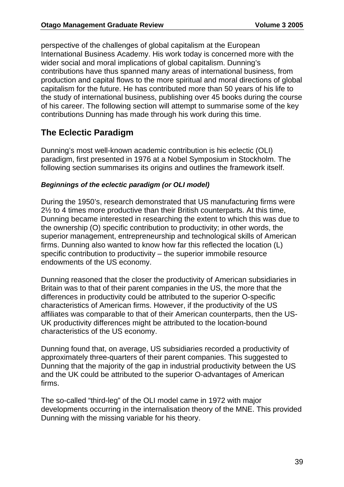perspective of the challenges of global capitalism at the European International Business Academy. His work today is concerned more with the wider social and moral implications of global capitalism. Dunning's contributions have thus spanned many areas of international business, from production and capital flows to the more spiritual and moral directions of global capitalism for the future. He has contributed more than 50 years of his life to the study of international business, publishing over 45 books during the course of his career. The following section will attempt to summarise some of the key contributions Dunning has made through his work during this time.

## **The Eclectic Paradigm**

Dunning's most well-known academic contribution is his eclectic (OLI) paradigm, first presented in 1976 at a Nobel Symposium in Stockholm. The following section summarises its origins and outlines the framework itself.

#### *Beginnings of the eclectic paradigm (or OLI model)*

During the 1950's, research demonstrated that US manufacturing firms were 2½ to 4 times more productive than their British counterparts. At this time, Dunning became interested in researching the extent to which this was due to the ownership (O) specific contribution to productivity; in other words, the superior management, entrepreneurship and technological skills of American firms. Dunning also wanted to know how far this reflected the location (L) specific contribution to productivity – the superior immobile resource endowments of the US economy.

Dunning reasoned that the closer the productivity of American subsidiaries in Britain was to that of their parent companies in the US, the more that the differences in productivity could be attributed to the superior O-specific characteristics of American firms. However, if the productivity of the US affiliates was comparable to that of their American counterparts, then the US-UK productivity differences might be attributed to the location-bound characteristics of the US economy.

Dunning found that, on average, US subsidiaries recorded a productivity of approximately three-quarters of their parent companies. This suggested to Dunning that the majority of the gap in industrial productivity between the US and the UK could be attributed to the superior O-advantages of American firms.

The so-called "third-leg" of the OLI model came in 1972 with major developments occurring in the internalisation theory of the MNE. This provided Dunning with the missing variable for his theory.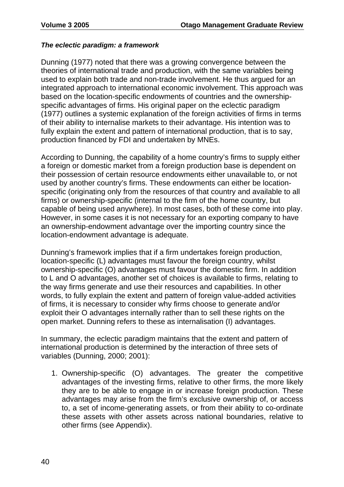#### *The eclectic paradigm: a framework*

Dunning (1977) noted that there was a growing convergence between the theories of international trade and production, with the same variables being used to explain both trade and non-trade involvement. He thus argued for an integrated approach to international economic involvement. This approach was based on the location-specific endowments of countries and the ownershipspecific advantages of firms. His original paper on the eclectic paradigm (1977) outlines a systemic explanation of the foreign activities of firms in terms of their ability to internalise markets to their advantage. His intention was to fully explain the extent and pattern of international production, that is to say, production financed by FDI and undertaken by MNEs.

According to Dunning, the capability of a home country's firms to supply either a foreign or domestic market from a foreign production base is dependent on their possession of certain resource endowments either unavailable to, or not used by another country's firms. These endowments can either be locationspecific (originating only from the resources of that country and available to all firms) or ownership-specific (internal to the firm of the home country, but capable of being used anywhere). In most cases, both of these come into play. However, in some cases it is not necessary for an exporting company to have an ownership-endowment advantage over the importing country since the location-endowment advantage is adequate.

Dunning's framework implies that if a firm undertakes foreign production, location-specific (L) advantages must favour the foreign country, whilst ownership-specific (O) advantages must favour the domestic firm. In addition to L and O advantages, another set of choices is available to firms, relating to the way firms generate and use their resources and capabilities. In other words, to fully explain the extent and pattern of foreign value-added activities of firms, it is necessary to consider why firms choose to generate and/or exploit their O advantages internally rather than to sell these rights on the open market. Dunning refers to these as internalisation (I) advantages.

In summary, the eclectic paradigm maintains that the extent and pattern of international production is determined by the interaction of three sets of variables (Dunning, 2000; 2001):

1. Ownership-specific (O) advantages. The greater the competitive advantages of the investing firms, relative to other firms, the more likely they are to be able to engage in or increase foreign production. These advantages may arise from the firm's exclusive ownership of, or access to, a set of income-generating assets, or from their ability to co-ordinate these assets with other assets across national boundaries, relative to other firms (see Appendix).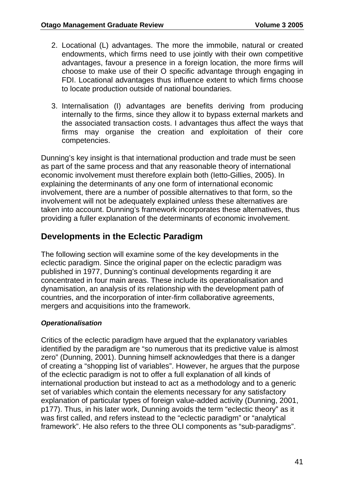- 2. Locational (L) advantages. The more the immobile, natural or created endowments, which firms need to use jointly with their own competitive advantages, favour a presence in a foreign location, the more firms will choose to make use of their O specific advantage through engaging in FDI. Locational advantages thus influence extent to which firms choose to locate production outside of national boundaries.
- 3. Internalisation (I) advantages are benefits deriving from producing internally to the firms, since they allow it to bypass external markets and the associated transaction costs. I advantages thus affect the ways that firms may organise the creation and exploitation of their core competencies.

Dunning's key insight is that international production and trade must be seen as part of the same process and that any reasonable theory of international economic involvement must therefore explain both (Ietto-Gillies, 2005). In explaining the determinants of any one form of international economic involvement, there are a number of possible alternatives to that form, so the involvement will not be adequately explained unless these alternatives are taken into account. Dunning's framework incorporates these alternatives, thus providing a fuller explanation of the determinants of economic involvement.

### **Developments in the Eclectic Paradigm**

The following section will examine some of the key developments in the eclectic paradigm. Since the original paper on the eclectic paradigm was published in 1977, Dunning's continual developments regarding it are concentrated in four main areas. These include its operationalisation and dynamisation, an analysis of its relationship with the development path of countries, and the incorporation of inter-firm collaborative agreements, mergers and acquisitions into the framework.

#### *Operationalisation*

Critics of the eclectic paradigm have argued that the explanatory variables identified by the paradigm are "so numerous that its predictive value is almost zero" (Dunning, 2001). Dunning himself acknowledges that there is a danger of creating a "shopping list of variables". However, he argues that the purpose of the eclectic paradigm is not to offer a full explanation of all kinds of international production but instead to act as a methodology and to a generic set of variables which contain the elements necessary for any satisfactory explanation of particular types of foreign value-added activity (Dunning, 2001, p177). Thus, in his later work, Dunning avoids the term "eclectic theory" as it was first called, and refers instead to the "eclectic paradigm" or "analytical framework". He also refers to the three OLI components as "sub-paradigms".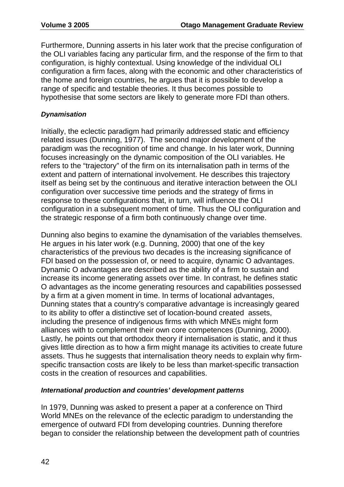Furthermore, Dunning asserts in his later work that the precise configuration of the OLI variables facing any particular firm, and the response of the firm to that configuration, is highly contextual. Using knowledge of the individual OLI configuration a firm faces, along with the economic and other characteristics of the home and foreign countries, he argues that it is possible to develop a range of specific and testable theories. It thus becomes possible to hypothesise that some sectors are likely to generate more FDI than others.

#### *Dynamisation*

Initially, the eclectic paradigm had primarily addressed static and efficiency related issues (Dunning, 1977). The second major development of the paradigm was the recognition of time and change. In his later work, Dunning focuses increasingly on the dynamic composition of the OLI variables. He refers to the "trajectory" of the firm on its internalisation path in terms of the extent and pattern of international involvement. He describes this trajectory itself as being set by the continuous and iterative interaction between the OLI configuration over successive time periods and the strategy of firms in response to these configurations that, in turn, will influence the OLI configuration in a subsequent moment of time. Thus the OLI configuration and the strategic response of a firm both continuously change over time.

Dunning also begins to examine the dynamisation of the variables themselves. He argues in his later work (e.g. Dunning, 2000) that one of the key characteristics of the previous two decades is the increasing significance of FDI based on the possession of, or need to acquire, dynamic O advantages. Dynamic O advantages are described as the ability of a firm to sustain and increase its income generating assets over time. In contrast, he defines static O advantages as the income generating resources and capabilities possessed by a firm at a given moment in time. In terms of locational advantages, Dunning states that a country's comparative advantage is increasingly geared to its ability to offer a distinctive set of location-bound created assets, including the presence of indigenous firms with which MNEs might form alliances with to complement their own core competences (Dunning, 2000). Lastly, he points out that orthodox theory if internalisation is static, and it thus gives little direction as to how a firm might manage its activities to create future assets. Thus he suggests that internalisation theory needs to explain why firmspecific transaction costs are likely to be less than market-specific transaction costs in the creation of resources and capabilities.

#### *International production and countries' development patterns*

In 1979, Dunning was asked to present a paper at a conference on Third World MNEs on the relevance of the eclectic paradigm to understanding the emergence of outward FDI from developing countries. Dunning therefore began to consider the relationship between the development path of countries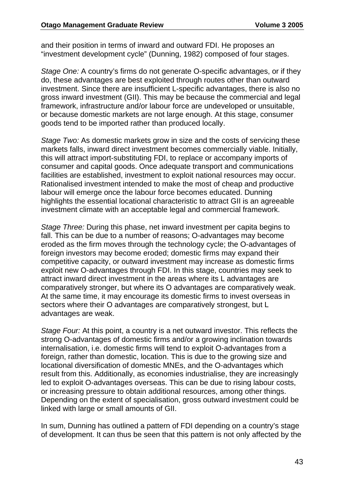and their position in terms of inward and outward FDI. He proposes an "investment development cycle" (Dunning, 1982) composed of four stages.

*Stage One:* A country's firms do not generate O-specific advantages, or if they do, these advantages are best exploited through routes other than outward investment. Since there are insufficient L-specific advantages, there is also no gross inward investment (GII). This may be because the commercial and legal framework, infrastructure and/or labour force are undeveloped or unsuitable, or because domestic markets are not large enough. At this stage, consumer goods tend to be imported rather than produced locally.

*Stage Two:* As domestic markets grow in size and the costs of servicing these markets falls, inward direct investment becomes commercially viable. Initially, this will attract import-substituting FDI, to replace or accompany imports of consumer and capital goods. Once adequate transport and communications facilities are established, investment to exploit national resources may occur. Rationalised investment intended to make the most of cheap and productive labour will emerge once the labour force becomes educated. Dunning highlights the essential locational characteristic to attract GII is an agreeable investment climate with an acceptable legal and commercial framework.

*Stage Three:* During this phase, net inward investment per capita begins to fall. This can be due to a number of reasons; O-advantages may become eroded as the firm moves through the technology cycle; the O-advantages of foreign investors may become eroded; domestic firms may expand their competitive capacity, or outward investment may increase as domestic firms exploit new O-advantages through FDI. In this stage, countries may seek to attract inward direct investment in the areas where its L advantages are comparatively stronger, but where its O advantages are comparatively weak. At the same time, it may encourage its domestic firms to invest overseas in sectors where their O advantages are comparatively strongest, but L advantages are weak.

*Stage Four:* At this point, a country is a net outward investor. This reflects the strong O-advantages of domestic firms and/or a growing inclination towards internalisation, i.e. domestic firms will tend to exploit O-advantages from a foreign, rather than domestic, location. This is due to the growing size and locational diversification of domestic MNEs, and the O-advantages which result from this. Additionally, as economies industrialise, they are increasingly led to exploit O-advantages overseas. This can be due to rising labour costs, or increasing pressure to obtain additional resources, among other things. Depending on the extent of specialisation, gross outward investment could be linked with large or small amounts of GII.

In sum, Dunning has outlined a pattern of FDI depending on a country's stage of development. It can thus be seen that this pattern is not only affected by the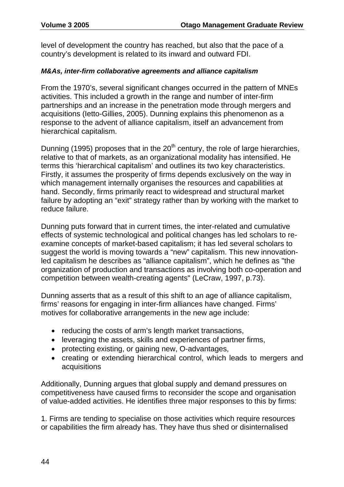level of development the country has reached, but also that the pace of a country's development is related to its inward and outward FDI.

#### *M&As, inter-firm collaborative agreements and alliance capitalism*

From the 1970's, several significant changes occurred in the pattern of MNEs activities. This included a growth in the range and number of inter-firm partnerships and an increase in the penetration mode through mergers and acquisitions (Ietto-Gillies, 2005). Dunning explains this phenomenon as a response to the advent of alliance capitalism, itself an advancement from hierarchical capitalism.

Dunning (1995) proposes that in the  $20<sup>th</sup>$  century, the role of large hierarchies, relative to that of markets, as an organizational modality has intensified. He terms this 'hierarchical capitalism' and outlines its two key characteristics. Firstly, it assumes the prosperity of firms depends exclusively on the way in which management internally organises the resources and capabilities at hand. Secondly, firms primarily react to widespread and structural market failure by adopting an "exit" strategy rather than by working with the market to reduce failure.

Dunning puts forward that in current times, the inter-related and cumulative effects of systemic technological and political changes has led scholars to reexamine concepts of market-based capitalism; it has led several scholars to suggest the world is moving towards a "new" capitalism. This new innovationled capitalism he describes as "alliance capitalism", which he defines as "the organization of production and transactions as involving both co-operation and competition between wealth-creating agents" (LeCraw, 1997, p.73).

Dunning asserts that as a result of this shift to an age of alliance capitalism, firms' reasons for engaging in inter-firm alliances have changed. Firms' motives for collaborative arrangements in the new age include:

- reducing the costs of arm's length market transactions,
- leveraging the assets, skills and experiences of partner firms,
- protecting existing, or gaining new, O-advantages,
- creating or extending hierarchical control, which leads to mergers and acquisitions

Additionally, Dunning argues that global supply and demand pressures on competitiveness have caused firms to reconsider the scope and organisation of value-added activities. He identifies three major responses to this by firms:

1. Firms are tending to specialise on those activities which require resources or capabilities the firm already has. They have thus shed or disinternalised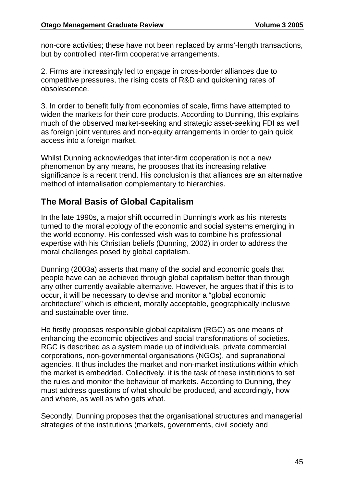non-core activities; these have not been replaced by arms'-length transactions, but by controlled inter-firm cooperative arrangements.

2. Firms are increasingly led to engage in cross-border alliances due to competitive pressures, the rising costs of R&D and quickening rates of obsolescence.

3. In order to benefit fully from economies of scale, firms have attempted to widen the markets for their core products. According to Dunning, this explains much of the observed market-seeking and strategic asset-seeking FDI as well as foreign joint ventures and non-equity arrangements in order to gain quick access into a foreign market.

Whilst Dunning acknowledges that inter-firm cooperation is not a new phenomenon by any means, he proposes that its increasing relative significance is a recent trend. His conclusion is that alliances are an alternative method of internalisation complementary to hierarchies.

## **The Moral Basis of Global Capitalism**

In the late 1990s, a major shift occurred in Dunning's work as his interests turned to the moral ecology of the economic and social systems emerging in the world economy. His confessed wish was to combine his professional expertise with his Christian beliefs (Dunning, 2002) in order to address the moral challenges posed by global capitalism.

Dunning (2003a) asserts that many of the social and economic goals that people have can be achieved through global capitalism better than through any other currently available alternative. However, he argues that if this is to occur, it will be necessary to devise and monitor a "global economic architecture" which is efficient, morally acceptable, geographically inclusive and sustainable over time.

He firstly proposes responsible global capitalism (RGC) as one means of enhancing the economic objectives and social transformations of societies. RGC is described as a system made up of individuals, private commercial corporations, non-governmental organisations (NGOs), and supranational agencies. It thus includes the market and non-market institutions within which the market is embedded. Collectively, it is the task of these institutions to set the rules and monitor the behaviour of markets. According to Dunning, they must address questions of what should be produced, and accordingly, how and where, as well as who gets what.

Secondly, Dunning proposes that the organisational structures and managerial strategies of the institutions (markets, governments, civil society and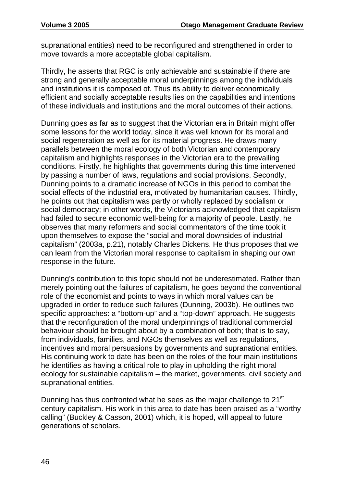supranational entities) need to be reconfigured and strengthened in order to move towards a more acceptable global capitalism.

Thirdly, he asserts that RGC is only achievable and sustainable if there are strong and generally acceptable moral underpinnings among the individuals and institutions it is composed of. Thus its ability to deliver economically efficient and socially acceptable results lies on the capabilities and intentions of these individuals and institutions and the moral outcomes of their actions.

Dunning goes as far as to suggest that the Victorian era in Britain might offer some lessons for the world today, since it was well known for its moral and social regeneration as well as for its material progress. He draws many parallels between the moral ecology of both Victorian and contemporary capitalism and highlights responses in the Victorian era to the prevailing conditions. Firstly, he highlights that governments during this time intervened by passing a number of laws, regulations and social provisions. Secondly, Dunning points to a dramatic increase of NGOs in this period to combat the social effects of the industrial era, motivated by humanitarian causes. Thirdly, he points out that capitalism was partly or wholly replaced by socialism or social democracy; in other words, the Victorians acknowledged that capitalism had failed to secure economic well-being for a majority of people. Lastly, he observes that many reformers and social commentators of the time took it upon themselves to expose the "social and moral downsides of industrial capitalism" (2003a, p.21), notably Charles Dickens. He thus proposes that we can learn from the Victorian moral response to capitalism in shaping our own response in the future.

Dunning's contribution to this topic should not be underestimated. Rather than merely pointing out the failures of capitalism, he goes beyond the conventional role of the economist and points to ways in which moral values can be upgraded in order to reduce such failures (Dunning, 2003b). He outlines two specific approaches: a "bottom-up" and a "top-down" approach. He suggests that the reconfiguration of the moral underpinnings of traditional commercial behaviour should be brought about by a combination of both; that is to say, from individuals, families, and NGOs themselves as well as regulations, incentives and moral persuasions by governments and supranational entities. His continuing work to date has been on the roles of the four main institutions he identifies as having a critical role to play in upholding the right moral ecology for sustainable capitalism – the market, governments, civil society and supranational entities.

Dunning has thus confronted what he sees as the major challenge to 21<sup>st</sup> century capitalism. His work in this area to date has been praised as a "worthy calling" (Buckley & Casson, 2001) which, it is hoped, will appeal to future generations of scholars.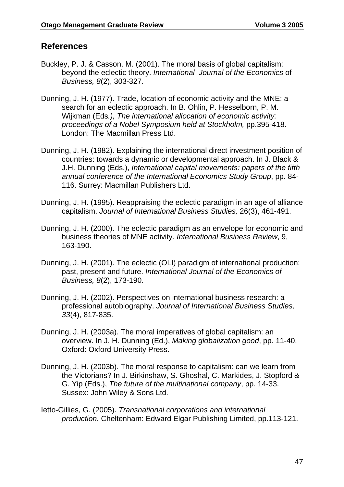### **References**

- Buckley, P. J. & Casson, M. (2001). The moral basis of global capitalism: beyond the eclectic theory. *International Journal of the Economics* of *Business, 8*(2), 303-327.
- Dunning, J. H. (1977). Trade, location of economic activity and the MNE: a search for an eclectic approach. In B. Ohlin, P. Hesselborn, P. M. Wijkman (Eds*.), The international allocation of economic activity: proceedings of a Nobel Symposium held at Stockholm,* pp.395-418. London: The Macmillan Press Ltd.
- Dunning, J. H. (1982). Explaining the international direct investment position of countries: towards a dynamic or developmental approach. In J. Black & J.H. Dunning (Eds.), *International capital movements: papers of the fifth annual conference of the International Economics Study Group*, pp. 84- 116. Surrey: Macmillan Publishers Ltd.
- Dunning, J. H. (1995). Reappraising the eclectic paradigm in an age of alliance capitalism. *Journal of International Business Studies,* 26(3), 461-491.
- Dunning, J. H. (2000). The eclectic paradigm as an envelope for economic and business theories of MNE activity. *International Business Review*, 9, 163-190.
- Dunning, J. H. (2001). The eclectic (OLI) paradigm of international production: past, present and future. *International Journal of the Economics of Business, 8*(2), 173-190.
- Dunning, J. H. (2002). Perspectives on international business research: a professional autobiography. *Journal of International Business Studies, 33*(4), 817-835.
- Dunning, J. H. (2003a). The moral imperatives of global capitalism: an overview. In J. H. Dunning (Ed.), *Making globalization good*, pp. 11-40. Oxford: Oxford University Press.
- Dunning, J. H. (2003b). The moral response to capitalism: can we learn from the Victorians? In J. Birkinshaw, S. Ghoshal, C. Markides, J. Stopford & G. Yip (Eds.), *The future of the multinational company*, pp. 14-33. Sussex: John Wiley & Sons Ltd.
- Ietto-Gillies, G. (2005). *Transnational corporations and international production.* Cheltenham: Edward Elgar Publishing Limited, pp.113-121.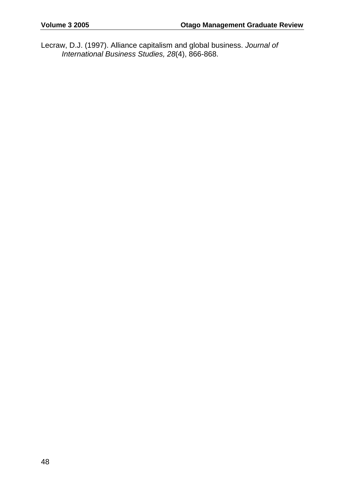Lecraw, D.J. (1997). Alliance capitalism and global business. *Journal of International Business Studies, 28*(4), 866-868.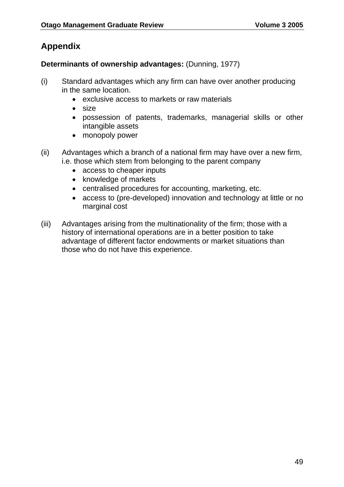# **Appendix**

#### **Determinants of ownership advantages:** (Dunning, 1977)

- (i) Standard advantages which any firm can have over another producing in the same location.
	- exclusive access to markets or raw materials
	- size
	- possession of patents, trademarks, managerial skills or other intangible assets
	- monopoly power
- (ii) Advantages which a branch of a national firm may have over a new firm, i.e. those which stem from belonging to the parent company
	- access to cheaper inputs
	- knowledge of markets
	- centralised procedures for accounting, marketing, etc.
	- access to (pre-developed) innovation and technology at little or no marginal cost
- (iii) Advantages arising from the multinationality of the firm; those with a history of international operations are in a better position to take advantage of different factor endowments or market situations than those who do not have this experience.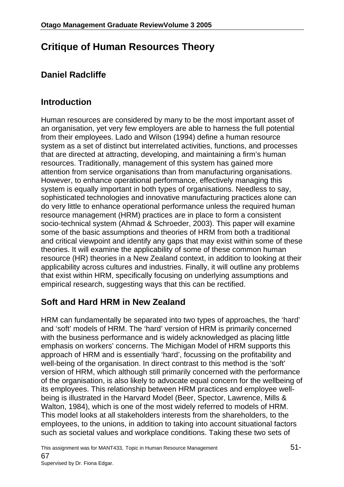# **Critique of Human Resources Theory**

# **Daniel Radcliffe**

# **Introduction**

Human resources are considered by many to be the most important asset of an organisation, yet very few employers are able to harness the full potential from their employees. Lado and Wilson (1994) define a human resource system as a set of distinct but interrelated activities, functions, and processes that are directed at attracting, developing, and maintaining a firm's human resources. Traditionally, management of this system has gained more attention from service organisations than from manufacturing organisations. However, to enhance operational performance, effectively managing this system is equally important in both types of organisations. Needless to say, sophisticated technologies and innovative manufacturing practices alone can do very little to enhance operational performance unless the required human resource management (HRM) practices are in place to form a consistent socio-technical system (Ahmad & Schroeder, 2003). This paper will examine some of the basic assumptions and theories of HRM from both a traditional and critical viewpoint and identify any gaps that may exist within some of these theories. It will examine the applicability of some of these common human resource (HR) theories in a New Zealand context, in addition to looking at their applicability across cultures and industries. Finally, it will outline any problems that exist within HRM, specifically focusing on underlying assumptions and empirical research, suggesting ways that this can be rectified.

# **Soft and Hard HRM in New Zealand**

HRM can fundamentally be separated into two types of approaches, the 'hard' and 'soft' models of HRM. The 'hard' version of HRM is primarily concerned with the business performance and is widely acknowledged as placing little emphasis on workers' concerns. The Michigan Model of HRM supports this approach of HRM and is essentially 'hard', focussing on the profitability and well-being of the organisation. In direct contrast to this method is the 'soft' version of HRM, which although still primarily concerned with the performance of the organisation, is also likely to advocate equal concern for the wellbeing of its employees. This relationship between HRM practices and employee wellbeing is illustrated in the Harvard Model (Beer, Spector, Lawrence, Mills & Walton, 1984), which is one of the most widely referred to models of HRM. This model looks at all stakeholders interests from the shareholders, to the employees, to the unions, in addition to taking into account situational factors such as societal values and workplace conditions. Taking these two sets of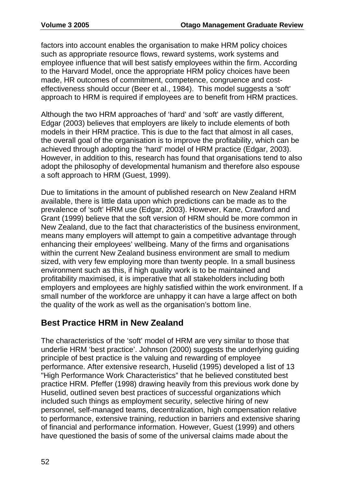factors into account enables the organisation to make HRM policy choices such as appropriate resource flows, reward systems, work systems and employee influence that will best satisfy employees within the firm. According to the Harvard Model, once the appropriate HRM policy choices have been made, HR outcomes of commitment, competence, congruence and costeffectiveness should occur (Beer et al., 1984). This model suggests a 'soft' approach to HRM is required if employees are to benefit from HRM practices.

Although the two HRM approaches of 'hard' and 'soft' are vastly different, Edgar (2003) believes that employers are likely to include elements of both models in their HRM practice. This is due to the fact that almost in all cases, the overall goal of the organisation is to improve the profitability, which can be achieved through adopting the 'hard' model of HRM practice (Edgar, 2003). However, in addition to this, research has found that organisations tend to also adopt the philosophy of developmental humanism and therefore also espouse a soft approach to HRM (Guest, 1999).

Due to limitations in the amount of published research on New Zealand HRM available, there is little data upon which predictions can be made as to the prevalence of 'soft' HRM use (Edgar, 2003). However, Kane, Crawford and Grant (1999) believe that the soft version of HRM should be more common in New Zealand, due to the fact that characteristics of the business environment, means many employers will attempt to gain a competitive advantage through enhancing their employees' wellbeing. Many of the firms and organisations within the current New Zealand business environment are small to medium sized, with very few employing more than twenty people. In a small business environment such as this, if high quality work is to be maintained and profitability maximised, it is imperative that all stakeholders including both employers and employees are highly satisfied within the work environment. If a small number of the workforce are unhappy it can have a large affect on both the quality of the work as well as the organisation's bottom line.

# **Best Practice HRM in New Zealand**

The characteristics of the 'soft' model of HRM are very similar to those that underlie HRM 'best practice'. Johnson (2000) suggests the underlying guiding principle of best practice is the valuing and rewarding of employee performance. After extensive research, Huselid (1995) developed a list of 13 "High Performance Work Characteristics" that he believed constituted best practice HRM. Pfeffer (1998) drawing heavily from this previous work done by Huselid, outlined seven best practices of successful organizations which included such things as employment security, selective hiring of new personnel, self-managed teams, decentralization, high compensation relative to performance, extensive training, reduction in barriers and extensive sharing of financial and performance information. However, Guest (1999) and others have questioned the basis of some of the universal claims made about the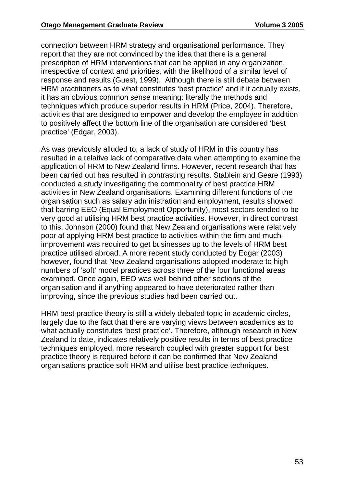connection between HRM strategy and organisational performance. They report that they are not convinced by the idea that there is a general prescription of HRM interventions that can be applied in any organization, irrespective of context and priorities, with the likelihood of a similar level of response and results (Guest, 1999). Although there is still debate between HRM practitioners as to what constitutes 'best practice' and if it actually exists, it has an obvious common sense meaning: literally the methods and techniques which produce superior results in HRM (Price, 2004). Therefore, activities that are designed to empower and develop the employee in addition to positively affect the bottom line of the organisation are considered 'best practice' (Edgar, 2003).

As was previously alluded to, a lack of study of HRM in this country has resulted in a relative lack of comparative data when attempting to examine the application of HRM to New Zealand firms. However, recent research that has been carried out has resulted in contrasting results. Stablein and Geare (1993) conducted a study investigating the commonality of best practice HRM activities in New Zealand organisations. Examining different functions of the organisation such as salary administration and employment, results showed that barring EEO (Equal Employment Opportunity), most sectors tended to be very good at utilising HRM best practice activities. However, in direct contrast to this, Johnson (2000) found that New Zealand organisations were relatively poor at applying HRM best practice to activities within the firm and much improvement was required to get businesses up to the levels of HRM best practice utilised abroad. A more recent study conducted by Edgar (2003) however, found that New Zealand organisations adopted moderate to high numbers of 'soft' model practices across three of the four functional areas examined. Once again, EEO was well behind other sections of the organisation and if anything appeared to have deteriorated rather than improving, since the previous studies had been carried out.

HRM best practice theory is still a widely debated topic in academic circles, largely due to the fact that there are varying views between academics as to what actually constitutes 'best practice'. Therefore, although research in New Zealand to date, indicates relatively positive results in terms of best practice techniques employed, more research coupled with greater support for best practice theory is required before it can be confirmed that New Zealand organisations practice soft HRM and utilise best practice techniques.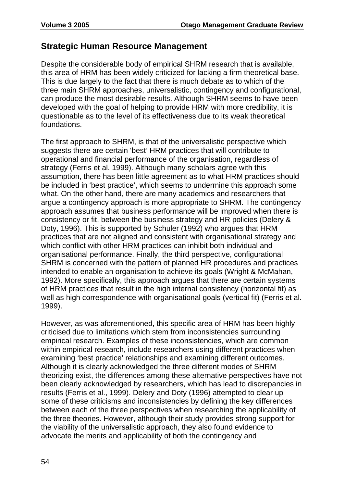### **Strategic Human Resource Management**

Despite the considerable body of empirical SHRM research that is available, this area of HRM has been widely criticized for lacking a firm theoretical base. This is due largely to the fact that there is much debate as to which of the three main SHRM approaches, universalistic, contingency and configurational, can produce the most desirable results. Although SHRM seems to have been developed with the goal of helping to provide HRM with more credibility, it is questionable as to the level of its effectiveness due to its weak theoretical foundations.

The first approach to SHRM, is that of the universalistic perspective which suggests there are certain 'best' HRM practices that will contribute to operational and financial performance of the organisation, regardless of strategy (Ferris et al. 1999). Although many scholars agree with this assumption, there has been little agreement as to what HRM practices should be included in 'best practice', which seems to undermine this approach some what. On the other hand, there are many academics and researchers that argue a contingency approach is more appropriate to SHRM. The contingency approach assumes that business performance will be improved when there is consistency or fit, between the business strategy and HR policies (Delery & Doty, 1996). This is supported by Schuler (1992) who argues that HRM practices that are not aligned and consistent with organisational strategy and which conflict with other HRM practices can inhibit both individual and organisational performance. Finally, the third perspective, configurational SHRM is concerned with the pattern of planned HR procedures and practices intended to enable an organisation to achieve its goals (Wright & McMahan, 1992). More specifically, this approach argues that there are certain systems of HRM practices that result in the high internal consistency (horizontal fit) as well as high correspondence with organisational goals (vertical fit) (Ferris et al. 1999).

However, as was aforementioned, this specific area of HRM has been highly criticised due to limitations which stem from inconsistencies surrounding empirical research. Examples of these inconsistencies, which are common within empirical research, include researchers using different practices when examining 'best practice' relationships and examining different outcomes. Although it is clearly acknowledged the three different modes of SHRM theorizing exist, the differences among these alternative perspectives have not been clearly acknowledged by researchers, which has lead to discrepancies in results (Ferris et al., 1999). Delery and Doty (1996) attempted to clear up some of these criticisms and inconsistencies by defining the key differences between each of the three perspectives when researching the applicability of the three theories. However, although their study provides strong support for the viability of the universalistic approach, they also found evidence to advocate the merits and applicability of both the contingency and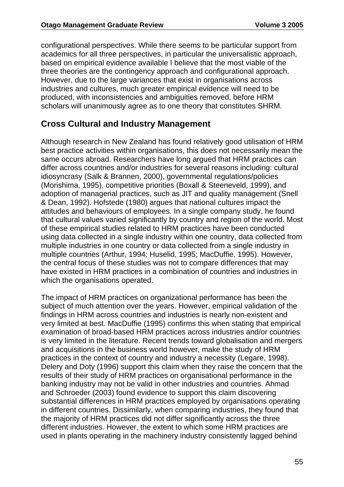configurational perspectives. While there seems to be particular support from academics for all three perspectives, in particular the universalistic approach, based on empirical evidence available I believe that the most viable of the three theories are the contingency approach and configurational approach. However, due to the large variances that exist in organisations across industries and cultures, much greater empirical evidence will need to be produced, with inconsistencies and ambiguities removed, before HRM scholars will unanimously agree as to one theory that constitutes SHRM.

# **Cross Cultural and Industry Management**

Although research in New Zealand has found relatively good utilisation of HRM best practice activities within organisations, this does not necessarily mean the same occurs abroad. Researchers have long argued that HRM practices can differ across countries and/or industries for several reasons including: cultural idiosyncrasy (Salk & Brannen, 2000), governmental regulations/policies (Morishima, 1995), competitive priorities (Boxall & Steeneveld, 1999), and adoption of managerial practices, such as JIT and quality management (Snell & Dean, 1992). Hofstede (1980) argues that national cultures impact the attitudes and behaviours of employees. In a single company study, he found that cultural values varied significantly by country and region of the world. Most of these empirical studies related to HRM practices have been conducted using data collected in a single industry within one country, data collected from multiple industries in one country or data collected from a single industry in multiple countries (Arthur, 1994; Huselid, 1995; MacDuffie, 1995). However, the central focus of these studies was not to compare differences that may have existed in HRM practices in a combination of countries and industries in which the organisations operated.

The impact of HRM practices on organizational performance has been the subject of much attention over the years. However, empirical validation of the findings in HRM across countries and industries is nearly non-existent and very limited at best. MacDuffie (1995) confirms this when stating that empirical examination of broad-based HRM practices across industries and/or countries is very limited in the literature. Recent trends toward globalisation and mergers and acquisitions in the business world however, make the study of HRM practices in the context of country and industry a necessity (Legare, 1998). Delery and Doty (1996) support this claim when they raise the concern that the results of their study of HRM practices on organisational performance in the banking industry may not be valid in other industries and countries. Ahmad and Schroeder (2003) found evidence to support this claim discovering substantial differences in HRM practices employed by organisations operating in different countries. Dissimilarly, when comparing industries, they found that the majority of HRM practices did not differ significantly across the three different industries. However, the extent to which some HRM practices are used in plants operating in the machinery industry consistently lagged behind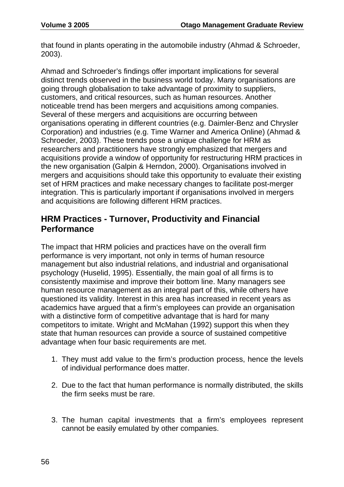that found in plants operating in the automobile industry (Ahmad & Schroeder, 2003).

Ahmad and Schroeder's findings offer important implications for several distinct trends observed in the business world today. Many organisations are going through globalisation to take advantage of proximity to suppliers, customers, and critical resources, such as human resources. Another noticeable trend has been mergers and acquisitions among companies. Several of these mergers and acquisitions are occurring between organisations operating in different countries (e.g. Daimler-Benz and Chrysler Corporation) and industries (e.g. Time Warner and America Online) (Ahmad & Schroeder, 2003). These trends pose a unique challenge for HRM as researchers and practitioners have strongly emphasized that mergers and acquisitions provide a window of opportunity for restructuring HRM practices in the new organisation (Galpin & Herndon, 2000). Organisations involved in mergers and acquisitions should take this opportunity to evaluate their existing set of HRM practices and make necessary changes to facilitate post-merger integration. This is particularly important if organisations involved in mergers and acquisitions are following different HRM practices.

### **HRM Practices - Turnover, Productivity and Financial Performance**

The impact that HRM policies and practices have on the overall firm performance is very important, not only in terms of human resource management but also industrial relations, and industrial and organisational psychology (Huselid, 1995). Essentially, the main goal of all firms is to consistently maximise and improve their bottom line. Many managers see human resource management as an integral part of this, while others have questioned its validity. Interest in this area has increased in recent years as academics have argued that a firm's employees can provide an organisation with a distinctive form of competitive advantage that is hard for many competitors to imitate. Wright and McMahan (1992) support this when they state that human resources can provide a source of sustained competitive advantage when four basic requirements are met.

- 1. They must add value to the firm's production process, hence the levels of individual performance does matter.
- 2. Due to the fact that human performance is normally distributed, the skills the firm seeks must be rare.
- 3. The human capital investments that a firm's employees represent cannot be easily emulated by other companies.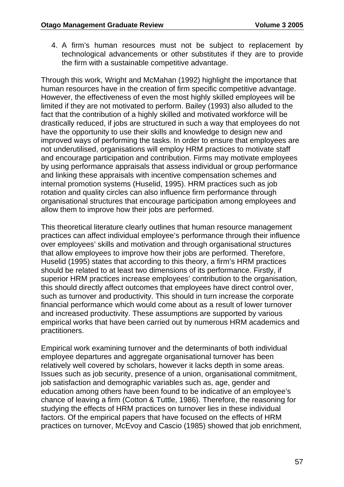4. A firm's human resources must not be subject to replacement by technological advancements or other substitutes if they are to provide the firm with a sustainable competitive advantage.

Through this work, Wright and McMahan (1992) highlight the importance that human resources have in the creation of firm specific competitive advantage. However, the effectiveness of even the most highly skilled employees will be limited if they are not motivated to perform. Bailey (1993) also alluded to the fact that the contribution of a highly skilled and motivated workforce will be drastically reduced, if jobs are structured in such a way that employees do not have the opportunity to use their skills and knowledge to design new and improved ways of performing the tasks. In order to ensure that employees are not underutilised, organisations will employ HRM practices to motivate staff and encourage participation and contribution. Firms may motivate employees by using performance appraisals that assess individual or group performance and linking these appraisals with incentive compensation schemes and internal promotion systems (Huselid, 1995). HRM practices such as job rotation and quality circles can also influence firm performance through organisational structures that encourage participation among employees and allow them to improve how their jobs are performed.

This theoretical literature clearly outlines that human resource management practices can affect individual employee's performance through their influence over employees' skills and motivation and through organisational structures that allow employees to improve how their jobs are performed. Therefore, Huselid (1995) states that according to this theory, a firm's HRM practices should be related to at least two dimensions of its performance. Firstly, if superior HRM practices increase employees' contribution to the organisation, this should directly affect outcomes that employees have direct control over, such as turnover and productivity. This should in turn increase the corporate financial performance which would come about as a result of lower turnover and increased productivity. These assumptions are supported by various empirical works that have been carried out by numerous HRM academics and practitioners.

Empirical work examining turnover and the determinants of both individual employee departures and aggregate organisational turnover has been relatively well covered by scholars, however it lacks depth in some areas. Issues such as job security, presence of a union, organisational commitment, job satisfaction and demographic variables such as, age, gender and education among others have been found to be indicative of an employee's chance of leaving a firm (Cotton & Tuttle, 1986). Therefore, the reasoning for studying the effects of HRM practices on turnover lies in these individual factors. Of the empirical papers that have focused on the effects of HRM practices on turnover, McEvoy and Cascio (1985) showed that job enrichment,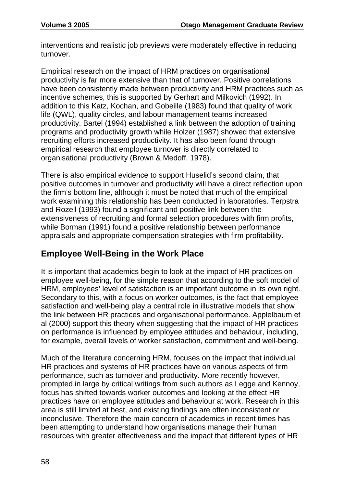interventions and realistic job previews were moderately effective in reducing turnover.

Empirical research on the impact of HRM practices on organisational productivity is far more extensive than that of turnover. Positive correlations have been consistently made between productivity and HRM practices such as incentive schemes, this is supported by Gerhart and Milkovich (1992). In addition to this Katz, Kochan, and Gobeille (1983) found that quality of work life (QWL), quality circles, and labour management teams increased productivity. Bartel (1994) established a link between the adoption of training programs and productivity growth while Holzer (1987) showed that extensive recruiting efforts increased productivity. It has also been found through empirical research that employee turnover is directly correlated to organisational productivity (Brown & Medoff, 1978).

There is also empirical evidence to support Huselid's second claim, that positive outcomes in turnover and productivity will have a direct reflection upon the firm's bottom line, although it must be noted that much of the empirical work examining this relationship has been conducted in laboratories. Terpstra and Rozell (1993) found a significant and positive link between the extensiveness of recruiting and formal selection procedures with firm profits, while Borman (1991) found a positive relationship between performance appraisals and appropriate compensation strategies with firm profitability.

# **Employee Well-Being in the Work Place**

It is important that academics begin to look at the impact of HR practices on employee well-being, for the simple reason that according to the soft model of HRM, employees' level of satisfaction is an important outcome in its own right. Secondary to this, with a focus on worker outcomes, is the fact that employee satisfaction and well-being play a central role in illustrative models that show the link between HR practices and organisational performance. Applelbaum et al (2000) support this theory when suggesting that the impact of HR practices on performance is influenced by employee attitudes and behaviour, including, for example, overall levels of worker satisfaction, commitment and well-being.

Much of the literature concerning HRM, focuses on the impact that individual HR practices and systems of HR practices have on various aspects of firm performance, such as turnover and productivity. More recently however, prompted in large by critical writings from such authors as Legge and Kennoy, focus has shifted towards worker outcomes and looking at the effect HR practices have on employee attitudes and behaviour at work. Research in this area is still limited at best, and existing findings are often inconsistent or inconclusive. Therefore the main concern of academics in recent times has been attempting to understand how organisations manage their human resources with greater effectiveness and the impact that different types of HR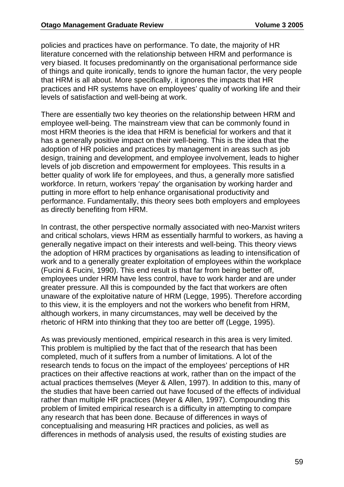policies and practices have on performance. To date, the majority of HR literature concerned with the relationship between HRM and performance is very biased. It focuses predominantly on the organisational performance side of things and quite ironically, tends to ignore the human factor, the very people that HRM is all about. More specifically, it ignores the impacts that HR practices and HR systems have on employees' quality of working life and their levels of satisfaction and well-being at work.

There are essentially two key theories on the relationship between HRM and employee well-being. The mainstream view that can be commonly found in most HRM theories is the idea that HRM is beneficial for workers and that it has a generally positive impact on their well-being. This is the idea that the adoption of HR policies and practices by management in areas such as job design, training and development, and employee involvement, leads to higher levels of job discretion and empowerment for employees. This results in a better quality of work life for employees, and thus, a generally more satisfied workforce. In return, workers 'repay' the organisation by working harder and putting in more effort to help enhance organisational productivity and performance. Fundamentally, this theory sees both employers and employees as directly benefiting from HRM.

In contrast, the other perspective normally associated with neo-Marxist writers and critical scholars, views HRM as essentially harmful to workers, as having a generally negative impact on their interests and well-being. This theory views the adoption of HRM practices by organisations as leading to intensification of work and to a generally greater exploitation of employees within the workplace (Fucini & Fucini, 1990). This end result is that far from being better off, employees under HRM have less control, have to work harder and are under greater pressure. All this is compounded by the fact that workers are often unaware of the exploitative nature of HRM (Legge, 1995). Therefore according to this view, it is the employers and not the workers who benefit from HRM, although workers, in many circumstances, may well be deceived by the rhetoric of HRM into thinking that they too are better off (Legge, 1995).

As was previously mentioned, empirical research in this area is very limited. This problem is multiplied by the fact that of the research that has been completed, much of it suffers from a number of limitations. A lot of the research tends to focus on the impact of the employees' perceptions of HR practices on their affective reactions at work, rather than on the impact of the actual practices themselves (Meyer & Allen, 1997). In addition to this, many of the studies that have been carried out have focused of the effects of individual rather than multiple HR practices (Meyer & Allen, 1997). Compounding this problem of limited empirical research is a difficulty in attempting to compare any research that has been done. Because of differences in ways of conceptualising and measuring HR practices and policies, as well as differences in methods of analysis used, the results of existing studies are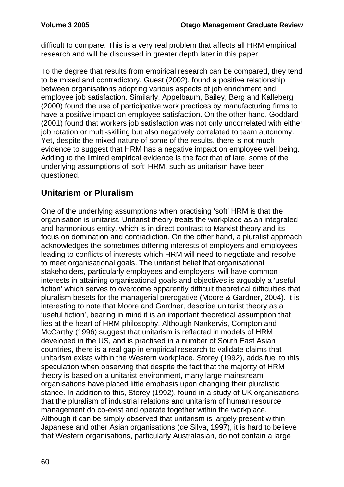difficult to compare. This is a very real problem that affects all HRM empirical research and will be discussed in greater depth later in this paper.

To the degree that results from empirical research can be compared, they tend to be mixed and contradictory. Guest (2002), found a positive relationship between organisations adopting various aspects of job enrichment and employee job satisfaction. Similarly, Appelbaum, Bailey, Berg and Kalleberg (2000) found the use of participative work practices by manufacturing firms to have a positive impact on employee satisfaction. On the other hand, Goddard (2001) found that workers job satisfaction was not only uncorrelated with either job rotation or multi-skilling but also negatively correlated to team autonomy. Yet, despite the mixed nature of some of the results, there is not much evidence to suggest that HRM has a negative impact on employee well being. Adding to the limited empirical evidence is the fact that of late, some of the underlying assumptions of 'soft' HRM, such as unitarism have been questioned.

# **Unitarism or Pluralism**

One of the underlying assumptions when practising 'soft' HRM is that the organisation is unitarist. Unitarist theory treats the workplace as an integrated and harmonious entity, which is in direct contrast to Marxist theory and its focus on domination and contradiction. On the other hand, a pluralist approach acknowledges the sometimes differing interests of employers and employees leading to conflicts of interests which HRM will need to negotiate and resolve to meet organisational goals. The unitarist belief that organisational stakeholders, particularly employees and employers, will have common interests in attaining organisational goals and objectives is arguably a 'useful fiction' which serves to overcome apparently difficult theoretical difficulties that pluralism besets for the managerial prerogative (Moore & Gardner, 2004). It is interesting to note that Moore and Gardner, describe unitarist theory as a 'useful fiction', bearing in mind it is an important theoretical assumption that lies at the heart of HRM philosophy. Although Nankervis, Compton and McCarthy (1996) suggest that unitarism is reflected in models of HRM developed in the US, and is practised in a number of South East Asian countries, there is a real gap in empirical research to validate claims that unitarism exists within the Western workplace. Storey (1992), adds fuel to this speculation when observing that despite the fact that the majority of HRM theory is based on a unitarist environment, many large mainstream organisations have placed little emphasis upon changing their pluralistic stance. In addition to this, Storey (1992), found in a study of UK organisations that the pluralism of industrial relations and unitarism of human resource management do co-exist and operate together within the workplace. Although it can be simply observed that unitarism is largely present within Japanese and other Asian organisations (de Silva, 1997), it is hard to believe that Western organisations, particularly Australasian, do not contain a large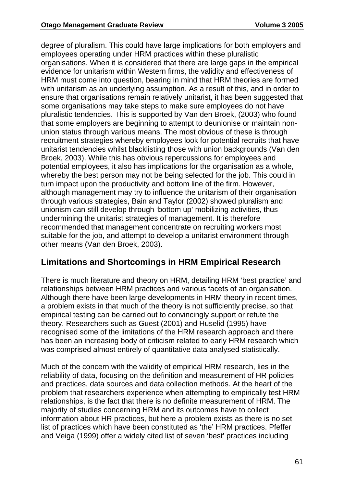degree of pluralism. This could have large implications for both employers and employees operating under HRM practices within these pluralistic organisations. When it is considered that there are large gaps in the empirical evidence for unitarism within Western firms, the validity and effectiveness of HRM must come into question, bearing in mind that HRM theories are formed with unitarism as an underlying assumption. As a result of this, and in order to ensure that organisations remain relatively unitarist, it has been suggested that some organisations may take steps to make sure employees do not have pluralistic tendencies. This is supported by Van den Broek, (2003) who found that some employers are beginning to attempt to deunionise or maintain nonunion status through various means. The most obvious of these is through recruitment strategies whereby employees look for potential recruits that have unitarist tendencies whilst blacklisting those with union backgrounds (Van den Broek, 2003). While this has obvious repercussions for employees and potential employees, it also has implications for the organisation as a whole, whereby the best person may not be being selected for the job. This could in turn impact upon the productivity and bottom line of the firm. However, although management may try to influence the unitarism of their organisation through various strategies, Bain and Taylor (2002) showed pluralism and unionism can still develop through 'bottom up' mobilizing activities, thus undermining the unitarist strategies of management. It is therefore recommended that management concentrate on recruiting workers most suitable for the job, and attempt to develop a unitarist environment through other means (Van den Broek, 2003).

### **Limitations and Shortcomings in HRM Empirical Research**

There is much literature and theory on HRM, detailing HRM 'best practice' and relationships between HRM practices and various facets of an organisation. Although there have been large developments in HRM theory in recent times, a problem exists in that much of the theory is not sufficiently precise, so that empirical testing can be carried out to convincingly support or refute the theory. Researchers such as Guest (2001) and Huselid (1995) have recognised some of the limitations of the HRM research approach and there has been an increasing body of criticism related to early HRM research which was comprised almost entirely of quantitative data analysed statistically.

Much of the concern with the validity of empirical HRM research, lies in the reliability of data, focusing on the definition and measurement of HR policies and practices, data sources and data collection methods. At the heart of the problem that researchers experience when attempting to empirically test HRM relationships, is the fact that there is no definite measurement of HRM. The majority of studies concerning HRM and its outcomes have to collect information about HR practices, but here a problem exists as there is no set list of practices which have been constituted as 'the' HRM practices. Pfeffer and Veiga (1999) offer a widely cited list of seven 'best' practices including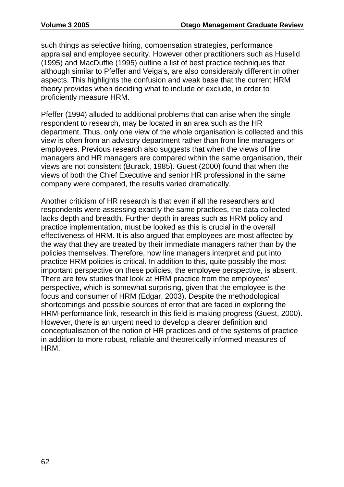such things as selective hiring, compensation strategies, performance appraisal and employee security. However other practitioners such as Huselid (1995) and MacDuffie (1995) outline a list of best practice techniques that although similar to Pfeffer and Veiga's, are also considerably different in other aspects. This highlights the confusion and weak base that the current HRM theory provides when deciding what to include or exclude, in order to proficiently measure HRM.

Pfeffer (1994) alluded to additional problems that can arise when the single respondent to research, may be located in an area such as the HR department. Thus, only one view of the whole organisation is collected and this view is often from an advisory department rather than from line managers or employees. Previous research also suggests that when the views of line managers and HR managers are compared within the same organisation, their views are not consistent (Burack, 1985). Guest (2000) found that when the views of both the Chief Executive and senior HR professional in the same company were compared, the results varied dramatically.

Another criticism of HR research is that even if all the researchers and respondents were assessing exactly the same practices, the data collected lacks depth and breadth. Further depth in areas such as HRM policy and practice implementation, must be looked as this is crucial in the overall effectiveness of HRM. It is also argued that employees are most affected by the way that they are treated by their immediate managers rather than by the policies themselves. Therefore, how line managers interpret and put into practice HRM policies is critical. In addition to this, quite possibly the most important perspective on these policies, the employee perspective, is absent. There are few studies that look at HRM practice from the employees' perspective, which is somewhat surprising, given that the employee is the focus and consumer of HRM (Edgar, 2003). Despite the methodological shortcomings and possible sources of error that are faced in exploring the HRM-performance link, research in this field is making progress (Guest, 2000). However, there is an urgent need to develop a clearer definition and conceptualisation of the notion of HR practices and of the systems of practice in addition to more robust, reliable and theoretically informed measures of HRM.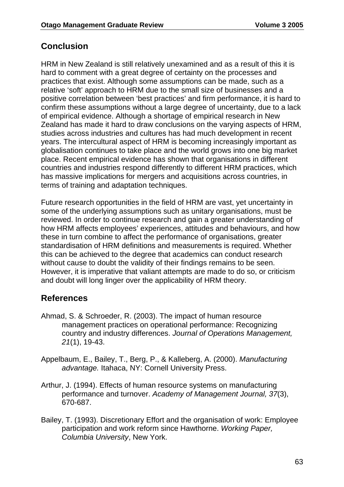## **Conclusion**

HRM in New Zealand is still relatively unexamined and as a result of this it is hard to comment with a great degree of certainty on the processes and practices that exist. Although some assumptions can be made, such as a relative 'soft' approach to HRM due to the small size of businesses and a positive correlation between 'best practices' and firm performance, it is hard to confirm these assumptions without a large degree of uncertainty, due to a lack of empirical evidence. Although a shortage of empirical research in New Zealand has made it hard to draw conclusions on the varying aspects of HRM, studies across industries and cultures has had much development in recent years. The intercultural aspect of HRM is becoming increasingly important as globalisation continues to take place and the world grows into one big market place. Recent empirical evidence has shown that organisations in different countries and industries respond differently to different HRM practices, which has massive implications for mergers and acquisitions across countries, in terms of training and adaptation techniques.

Future research opportunities in the field of HRM are vast, yet uncertainty in some of the underlying assumptions such as unitary organisations, must be reviewed. In order to continue research and gain a greater understanding of how HRM affects employees' experiences, attitudes and behaviours, and how these in turn combine to affect the performance of organisations, greater standardisation of HRM definitions and measurements is required. Whether this can be achieved to the degree that academics can conduct research without cause to doubt the validity of their findings remains to be seen. However, it is imperative that valiant attempts are made to do so, or criticism and doubt will long linger over the applicability of HRM theory.

# **References**

- Ahmad, S. & Schroeder, R. (2003). The impact of human resource management practices on operational performance: Recognizing country and industry differences. *Journal of Operations Management, 21*(1), 19-43.
- Appelbaum, E., Bailey, T., Berg, P., & Kalleberg, A. (2000). *Manufacturing advantage.* Itahaca, NY: Cornell University Press.
- Arthur, J. (1994). Effects of human resource systems on manufacturing performance and turnover. *Academy of Management Journal, 37*(3), 670-687.
- Bailey, T. (1993). Discretionary Effort and the organisation of work: Employee participation and work reform since Hawthorne. *Working Paper, Columbia University*, New York.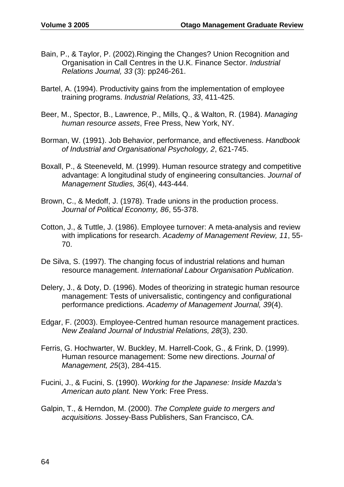- Bain, P., & Taylor, P. (2002).Ringing the Changes? Union Recognition and Organisation in Call Centres in the U.K. Finance Sector. *Industrial Relations Journal, 33* (3): pp246-261.
- Bartel, A. (1994). Productivity gains from the implementation of employee training programs. *Industrial Relations, 33*, 411-425.
- Beer, M., Spector, B., Lawrence, P., Mills, Q., & Walton, R. (1984). *Managing human resource assets*, Free Press, New York, NY.
- Borman, W. (1991). Job Behavior, performance, and effectiveness. *Handbook of Industrial and Organisational Psychology, 2*, 621-745.
- Boxall, P., & Steeneveld, M. (1999). Human resource strategy and competitive advantage: A longitudinal study of engineering consultancies. *Journal of Management Studies, 36*(4), 443-444.
- Brown, C., & Medoff, J. (1978). Trade unions in the production process. *Journal of Political Economy, 86*, 55-378.
- Cotton, J., & Tuttle, J. (1986). Employee turnover: A meta-analysis and review with implications for research. *Academy of Management Review, 11*, 55- 70.
- De Silva, S. (1997). The changing focus of industrial relations and human resource management. *International Labour Organisation Publication*.
- Delery, J., & Doty, D. (1996). Modes of theorizing in strategic human resource management: Tests of universalistic, contingency and configurational performance predictions. *Academy of Management Journal, 39*(4).
- Edgar, F. (2003). Employee-Centred human resource management practices. *New Zealand Journal of Industrial Relations, 28*(3), 230.
- Ferris, G. Hochwarter, W. Buckley, M. Harrell-Cook, G., & Frink, D. (1999). Human resource management: Some new directions. *Journal of Management, 25*(3), 284-415.
- Fucini, J., & Fucini, S. (1990). *Working for the Japanese: Inside Mazda's American auto plant.* New York: Free Press.
- Galpin, T., & Herndon, M. (2000). *The Complete guide to mergers and acquisitions.* Jossey-Bass Publishers, San Francisco, CA.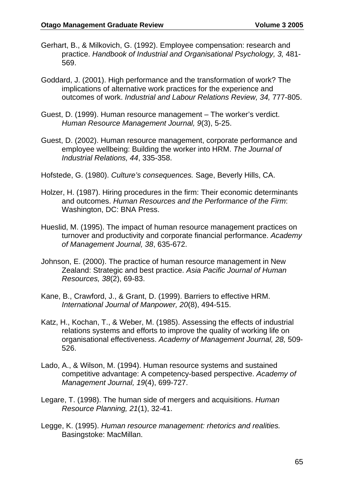- Gerhart, B., & Milkovich, G. (1992). Employee compensation: research and practice. *Handbook of Industrial and Organisational Psychology, 3,* 481- 569.
- Goddard, J. (2001). High performance and the transformation of work? The implications of alternative work practices for the experience and outcomes of work. *Industrial and Labour Relations Review, 34,* 777-805.
- Guest, D. (1999). Human resource management The worker's verdict. *Human Resource Management Journal, 9*(3), 5-25.
- Guest, D. (2002). Human resource management, corporate performance and employee wellbeing: Building the worker into HRM. *The Journal of Industrial Relations, 44*, 335-358.
- Hofstede, G. (1980). *Culture's consequences.* Sage, Beverly Hills, CA.
- Holzer, H. (1987). Hiring procedures in the firm: Their economic determinants and outcomes. *Human Resources and the Performance of the Firm*: Washington, DC: BNA Press.
- Hueslid, M. (1995). The impact of human resource management practices on turnover and productivity and corporate financial performance. *Academy of Management Journal, 38*, 635-672.
- Johnson, E. (2000). The practice of human resource management in New Zealand: Strategic and best practice. *Asia Pacific Journal of Human Resources, 38*(2), 69-83.
- Kane, B., Crawford, J., & Grant, D. (1999). Barriers to effective HRM. *International Journal of Manpower, 20*(8), 494-515.
- Katz, H., Kochan, T., & Weber, M. (1985). Assessing the effects of industrial relations systems and efforts to improve the quality of working life on organisational effectiveness. *Academy of Management Journal, 28,* 509- 526.
- Lado, A., & Wilson, M. (1994). Human resource systems and sustained competitive advantage: A competency-based perspective. *Academy of Management Journal, 19*(4), 699-727.
- Legare, T. (1998). The human side of mergers and acquisitions. *Human Resource Planning, 21*(1), 32-41.
- Legge, K. (1995). *Human resource management: rhetorics and realities.* Basingstoke: MacMillan.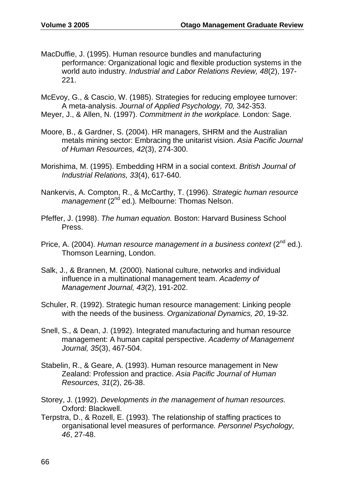- MacDuffie, J. (1995). Human resource bundles and manufacturing performance: Organizational logic and flexible production systems in the world auto industry. *Industrial and Labor Relations Review, 48*(2), 197- 221.
- McEvoy, G., & Cascio, W. (1985). Strategies for reducing employee turnover: A meta-analysis. *Journal of Applied Psychology, 70,* 342-353.
- Meyer, J., & Allen, N. (1997). *Commitment in the workplace.* London: Sage.
- Moore, B., & Gardner, S. (2004). HR managers, SHRM and the Australian metals mining sector: Embracing the unitarist vision. *Asia Pacific Journal of Human Resources, 42*(3), 274-300.
- Morishima, M. (1995). Embedding HRM in a social context. *British Journal of Industrial Relations, 33*(4), 617-640.
- Nankervis, A. Compton, R., & McCarthy, T. (1996). *Strategic human resource management* (2<sup>nd</sup> ed.). Melbourne: Thomas Nelson.
- Pfeffer, J. (1998). *The human equation.* Boston: Harvard Business School Press.
- Price, A. (2004). *Human resource management in a business context* (2<sup>nd</sup> ed.). Thomson Learning, London.
- Salk, J., & Brannen, M. (2000). National culture, networks and individual influence in a multinational management team. *Academy of Management Journal, 43*(2), 191-202.
- Schuler, R. (1992). Strategic human resource management: Linking people with the needs of the business. *Organizational Dynamics, 20*, 19-32.
- Snell, S., & Dean, J. (1992). Integrated manufacturing and human resource management: A human capital perspective. *Academy of Management Journal, 35*(3), 467-504.
- Stabelin, R., & Geare, A. (1993). Human resource management in New Zealand: Profession and practice. *Asia Pacific Journal of Human Resources, 31*(2), 26-38.
- Storey, J. (1992). *Developments in the management of human resources.* Oxford: Blackwell.
- Terpstra, D., & Rozell, E. (1993). The relationship of staffing practices to organisational level measures of performance*. Personnel Psychology, 46*, 27-48.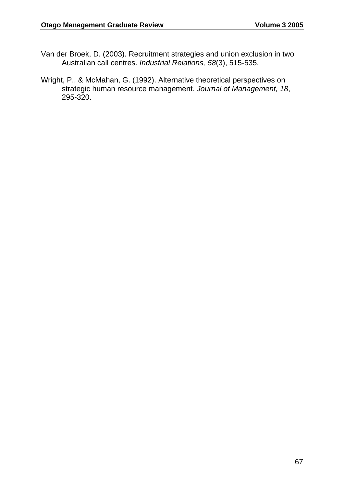- Van der Broek, D. (2003). Recruitment strategies and union exclusion in two Australian call centres. *Industrial Relations, 58*(3), 515-535.
- Wright, P., & McMahan, G. (1992). Alternative theoretical perspectives on strategic human resource management. *Journal of Management, 18*, 295-320.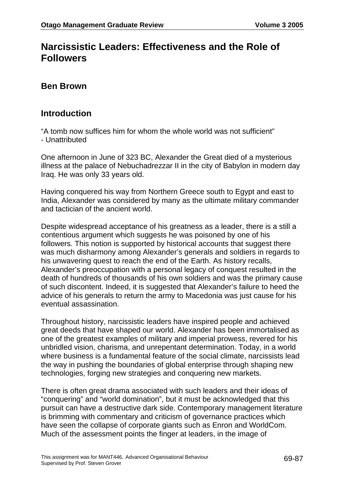# **Narcissistic Leaders: Effectiveness and the Role of Followers**

### **Ben Brown**

### **Introduction**

"A tomb now suffices him for whom the whole world was not sufficient" - Unattributed

One afternoon in June of 323 BC, Alexander the Great died of a mysterious illness at the palace of Nebuchadrezzar II in the city of Babylon in modern day Iraq. He was only 33 years old.

Having conquered his way from Northern Greece south to Egypt and east to India, Alexander was considered by many as the ultimate military commander and tactician of the ancient world.

Despite widespread acceptance of his greatness as a leader, there is a still a contentious argument which suggests he was poisoned by one of his followers. This notion is supported by historical accounts that suggest there was much disharmony among Alexander's generals and soldiers in regards to his unwavering quest to reach the end of the Earth. As history recalls, Alexander's preoccupation with a personal legacy of conquest resulted in the death of hundreds of thousands of his own soldiers and was the primary cause of such discontent. Indeed, it is suggested that Alexander's failure to heed the advice of his generals to return the army to Macedonia was just cause for his eventual assassination.

Throughout history, narcissistic leaders have inspired people and achieved great deeds that have shaped our world. Alexander has been immortalised as one of the greatest examples of military and imperial prowess, revered for his unbridled vision, charisma, and unrepentant determination. Today, in a world where business is a fundamental feature of the social climate, narcissists lead the way in pushing the boundaries of global enterprise through shaping new technologies, forging new strategies and conquering new markets.

There is often great drama associated with such leaders and their ideas of "conquering" and "world domination", but it must be acknowledged that this pursuit can have a destructive dark side. Contemporary management literature is brimming with commentary and criticism of governance practices which have seen the collapse of corporate giants such as Enron and WorldCom. Much of the assessment points the finger at leaders, in the image of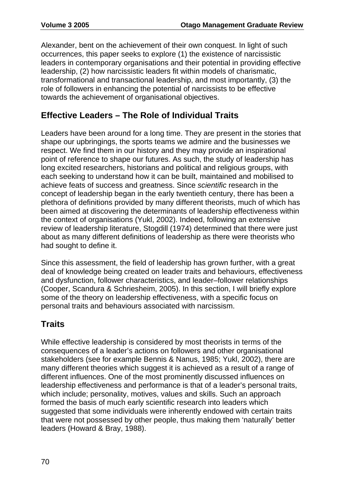Alexander, bent on the achievement of their own conquest. In light of such occurrences, this paper seeks to explore (1) the existence of narcissistic leaders in contemporary organisations and their potential in providing effective leadership, (2) how narcissistic leaders fit within models of charismatic, transformational and transactional leadership, and most importantly, (3) the role of followers in enhancing the potential of narcissists to be effective towards the achievement of organisational objectives.

## **Effective Leaders – The Role of Individual Traits**

Leaders have been around for a long time. They are present in the stories that shape our upbringings, the sports teams we admire and the businesses we respect. We find them in our history and they may provide an inspirational point of reference to shape our futures. As such, the study of leadership has long excited researchers, historians and political and religious groups, with each seeking to understand how it can be built, maintained and mobilised to achieve feats of success and greatness. Since *scientific* research in the concept of leadership began in the early twentieth century, there has been a plethora of definitions provided by many different theorists, much of which has been aimed at discovering the determinants of leadership effectiveness within the context of organisations (Yukl, 2002). Indeed, following an extensive review of leadership literature, Stogdill (1974) determined that there were just about as many different definitions of leadership as there were theorists who had sought to define it.

Since this assessment, the field of leadership has grown further, with a great deal of knowledge being created on leader traits and behaviours, effectiveness and dysfunction, follower characteristics, and leader–follower relationships (Cooper, Scandura & Schriesheim, 2005). In this section, I will briefly explore some of the theory on leadership effectiveness, with a specific focus on personal traits and behaviours associated with narcissism.

# **Traits**

While effective leadership is considered by most theorists in terms of the consequences of a leader's actions on followers and other organisational stakeholders (see for example Bennis & Nanus, 1985; Yukl, 2002), there are many different theories which suggest it is achieved as a result of a range of different influences. One of the most prominently discussed influences on leadership effectiveness and performance is that of a leader's personal traits, which include; personality, motives, values and skills. Such an approach formed the basis of much early scientific research into leaders which suggested that some individuals were inherently endowed with certain traits that were not possessed by other people, thus making them 'naturally' better leaders (Howard & Bray, 1988).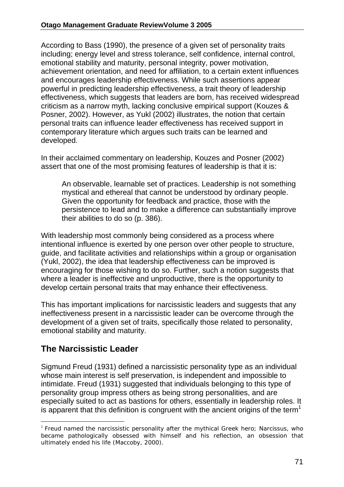According to Bass (1990), the presence of a given set of personality traits including; energy level and stress tolerance, self confidence, internal control, emotional stability and maturity, personal integrity, power motivation, achievement orientation, and need for affiliation, to a certain extent influences and encourages leadership effectiveness. While such assertions appear powerful in predicting leadership effectiveness, a trait theory of leadership effectiveness, which suggests that leaders are born, has received widespread criticism as a narrow myth, lacking conclusive empirical support (Kouzes & Posner, 2002). However, as Yukl (2002) illustrates, the notion that certain personal traits can influence leader effectiveness has received support in contemporary literature which argues such traits can be learned and developed.

In their acclaimed commentary on leadership, Kouzes and Posner (2002) assert that one of the most promising features of leadership is that it is:

An observable, learnable set of practices. Leadership is not something mystical and ethereal that cannot be understood by ordinary people. Given the opportunity for feedback and practice, those with the persistence to lead and to make a difference can substantially improve their abilities to do so (p. 386).

With leadership most commonly being considered as a process where intentional influence is exerted by one person over other people to structure, guide, and facilitate activities and relationships within a group or organisation (Yukl, 2002), the idea that leadership effectiveness can be improved is encouraging for those wishing to do so. Further, such a notion suggests that where a leader is ineffective and unproductive, there is the opportunity to develop certain personal traits that may enhance their effectiveness.

This has important implications for narcissistic leaders and suggests that any ineffectiveness present in a narcissistic leader can be overcome through the development of a given set of traits, specifically those related to personality, emotional stability and maturity.

# **The Narcissistic Leader**

Sigmund Freud (1931) defined a narcissistic personality type as an individual whose main interest is self preservation, is independent and impossible to intimidate. Freud (1931) suggested that individuals belonging to this type of personality group impress others as being strong personalities, and are especially suited to act as bastions for others, essentially in leadership roles. It is apparent that this definition is congruent with the ancient origins of the term<sup>1</sup>

<sup>&</sup>lt;sup>1</sup> Freud named the narcissistic personality after the mythical Greek hero; Narcissus, who became pathologically obsessed with himself and his reflection, an obsession that ultimately ended his life (Maccoby, 2000).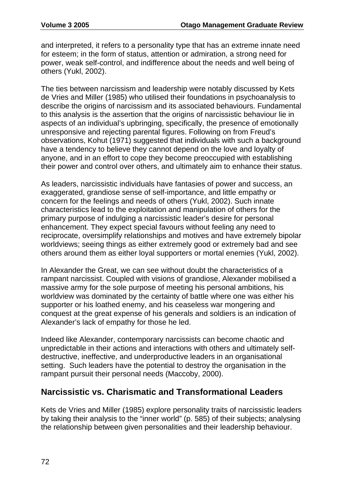and interpreted, it refers to a personality type that has an extreme innate need for esteem; in the form of status, attention or admiration, a strong need for power, weak self-control, and indifference about the needs and well being of others (Yukl, 2002).

The ties between narcissism and leadership were notably discussed by Kets de Vries and Miller (1985) who utilised their foundations in psychoanalysis to describe the origins of narcissism and its associated behaviours. Fundamental to this analysis is the assertion that the origins of narcissistic behaviour lie in aspects of an individual's upbringing, specifically, the presence of emotionally unresponsive and rejecting parental figures. Following on from Freud's observations, Kohut (1971) suggested that individuals with such a background have a tendency to believe they cannot depend on the love and loyalty of anyone, and in an effort to cope they become preoccupied with establishing their power and control over others, and ultimately aim to enhance their status.

As leaders, narcissistic individuals have fantasies of power and success, an exaggerated, grandiose sense of self-importance, and little empathy or concern for the feelings and needs of others (Yukl, 2002). Such innate characteristics lead to the exploitation and manipulation of others for the primary purpose of indulging a narcissistic leader's desire for personal enhancement. They expect special favours without feeling any need to reciprocate, oversimplify relationships and motives and have extremely bipolar worldviews; seeing things as either extremely good or extremely bad and see others around them as either loyal supporters or mortal enemies (Yukl, 2002).

In Alexander the Great, we can see without doubt the characteristics of a rampant narcissist. Coupled with visions of grandiose, Alexander mobilised a massive army for the sole purpose of meeting his personal ambitions, his worldview was dominated by the certainty of battle where one was either his supporter or his loathed enemy, and his ceaseless war mongering and conquest at the great expense of his generals and soldiers is an indication of Alexander's lack of empathy for those he led.

Indeed like Alexander, contemporary narcissists can become chaotic and unpredictable in their actions and interactions with others and ultimately selfdestructive, ineffective, and underproductive leaders in an organisational setting. Such leaders have the potential to destroy the organisation in the rampant pursuit their personal needs (Maccoby, 2000).

### **Narcissistic vs. Charismatic and Transformational Leaders**

Kets de Vries and Miller (1985) explore personality traits of narcissistic leaders by taking their analysis to the "inner world" (p. 585) of their subjects; analysing the relationship between given personalities and their leadership behaviour.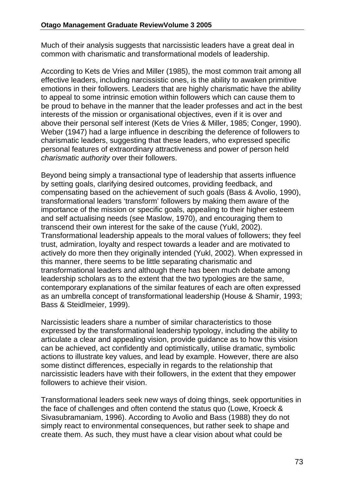Much of their analysis suggests that narcissistic leaders have a great deal in common with charismatic and transformational models of leadership.

According to Kets de Vries and Miller (1985), the most common trait among all effective leaders, including narcissistic ones, is the ability to awaken primitive emotions in their followers. Leaders that are highly charismatic have the ability to appeal to some intrinsic emotion within followers which can cause them to be proud to behave in the manner that the leader professes and act in the best interests of the mission or organisational objectives, even if it is over and above their personal self interest (Kets de Vries & Miller, 1985; Conger, 1990). Weber (1947) had a large influence in describing the deference of followers to charismatic leaders, suggesting that these leaders, who expressed specific personal features of extraordinary attractiveness and power of person held *charismatic authority* over their followers.

Beyond being simply a transactional type of leadership that asserts influence by setting goals, clarifying desired outcomes, providing feedback, and compensating based on the achievement of such goals (Bass & Avolio, 1990), transformational leaders 'transform' followers by making them aware of the importance of the mission or specific goals, appealing to their higher esteem and self actualising needs (see Maslow, 1970), and encouraging them to transcend their own interest for the sake of the cause (Yukl, 2002). Transformational leadership appeals to the moral values of followers; they feel trust, admiration, loyalty and respect towards a leader and are motivated to actively do more then they originally intended (Yukl, 2002). When expressed in this manner, there seems to be little separating charismatic and transformational leaders and although there has been much debate among leadership scholars as to the extent that the two typologies are the same, contemporary explanations of the similar features of each are often expressed as an umbrella concept of transformational leadership (House & Shamir, 1993; Bass & Steidlmeier, 1999).

Narcissistic leaders share a number of similar characteristics to those expressed by the transformational leadership typology, including the ability to articulate a clear and appealing vision, provide guidance as to how this vision can be achieved, act confidently and optimistically, utilise dramatic, symbolic actions to illustrate key values, and lead by example. However, there are also some distinct differences, especially in regards to the relationship that narcissistic leaders have with their followers, in the extent that they empower followers to achieve their vision.

Transformational leaders seek new ways of doing things, seek opportunities in the face of challenges and often contend the status quo (Lowe, Kroeck & Sivasubramaniam, 1996). According to Avolio and Bass (1988) they do not simply react to environmental consequences, but rather seek to shape and create them. As such, they must have a clear vision about what could be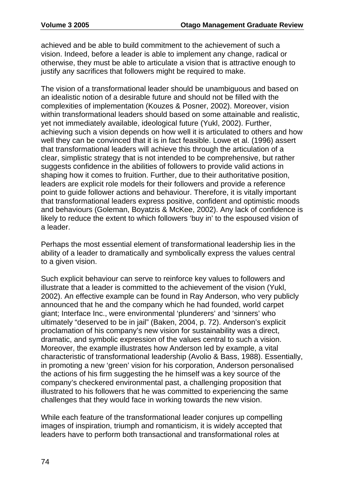achieved and be able to build commitment to the achievement of such a vision. Indeed, before a leader is able to implement any change, radical or otherwise, they must be able to articulate a vision that is attractive enough to justify any sacrifices that followers might be required to make.

The vision of a transformational leader should be unambiguous and based on an idealistic notion of a desirable future and should not be filled with the complexities of implementation (Kouzes & Posner, 2002). Moreover, vision within transformational leaders should based on some attainable and realistic, yet not immediately available, ideological future (Yukl, 2002). Further, achieving such a vision depends on how well it is articulated to others and how well they can be convinced that it is in fact feasible. Lowe et al. (1996) assert that transformational leaders will achieve this through the articulation of a clear, simplistic strategy that is not intended to be comprehensive, but rather suggests confidence in the abilities of followers to provide valid actions in shaping how it comes to fruition. Further, due to their authoritative position, leaders are explicit role models for their followers and provide a reference point to guide follower actions and behaviour. Therefore, it is vitally important that transformational leaders express positive, confident and optimistic moods and behaviours (Goleman, Boyatzis & McKee, 2002). Any lack of confidence is likely to reduce the extent to which followers 'buy in' to the espoused vision of a leader.

Perhaps the most essential element of transformational leadership lies in the ability of a leader to dramatically and symbolically express the values central to a given vision.

Such explicit behaviour can serve to reinforce key values to followers and illustrate that a leader is committed to the achievement of the vision (Yukl, 2002). An effective example can be found in Ray Anderson, who very publicly announced that he and the company which he had founded, world carpet giant; Interface Inc., were environmental 'plunderers' and 'sinners' who ultimately "deserved to be in jail" (Baken, 2004, p. 72). Anderson's explicit proclamation of his company's new vision for sustainability was a direct, dramatic, and symbolic expression of the values central to such a vision. Moreover, the example illustrates how Anderson led by example, a vital characteristic of transformational leadership (Avolio & Bass, 1988). Essentially, in promoting a new 'green' vision for his corporation, Anderson personalised the actions of his firm suggesting the he himself was a key source of the company's checkered environmental past, a challenging proposition that illustrated to his followers that he was committed to experiencing the same challenges that they would face in working towards the new vision.

While each feature of the transformational leader conjures up compelling images of inspiration, triumph and romanticism, it is widely accepted that leaders have to perform both transactional and transformational roles at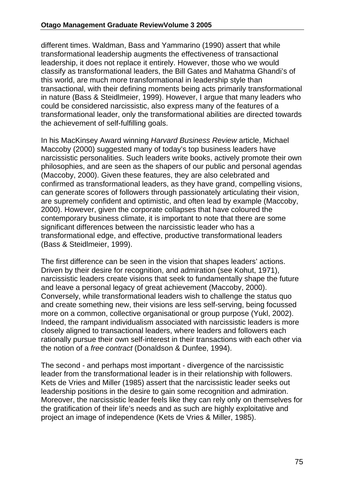different times. Waldman, Bass and Yammarino (1990) assert that while transformational leadership augments the effectiveness of transactional leadership, it does not replace it entirely. However, those who we would classify as transformational leaders, the Bill Gates and Mahatma Ghandi's of this world, are much more transformational in leadership style than transactional, with their defining moments being acts primarily transformational in nature (Bass & Steidlmeier, 1999). However, I argue that many leaders who could be considered narcissistic, also express many of the features of a transformational leader, only the transformational abilities are directed towards the achievement of self-fulfilling goals.

In his MacKinsey Award winning *Harvard Business Review* article, Michael Maccoby (2000) suggested many of today's top business leaders have narcissistic personalities. Such leaders write books, actively promote their own philosophies, and are seen as the shapers of our public and personal agendas (Maccoby, 2000). Given these features, they are also celebrated and confirmed as transformational leaders, as they have grand, compelling visions, can generate scores of followers through passionately articulating their vision, are supremely confident and optimistic, and often lead by example (Maccoby, 2000). However, given the corporate collapses that have coloured the contemporary business climate, it is important to note that there are some significant differences between the narcissistic leader who has a transformational edge, and effective, productive transformational leaders (Bass & Steidlmeier, 1999).

The first difference can be seen in the vision that shapes leaders' actions. Driven by their desire for recognition, and admiration (see Kohut, 1971), narcissistic leaders create visions that seek to fundamentally shape the future and leave a personal legacy of great achievement (Maccoby, 2000). Conversely, while transformational leaders wish to challenge the status quo and create something new, their visions are less self-serving, being focussed more on a common, collective organisational or group purpose (Yukl, 2002). Indeed, the rampant individualism associated with narcissistic leaders is more closely aligned to transactional leaders, where leaders and followers each rationally pursue their own self-interest in their transactions with each other via the notion of a *free contract* (Donaldson & Dunfee, 1994).

The second - and perhaps most important - divergence of the narcissistic leader from the transformational leader is in their relationship with followers. Kets de Vries and Miller (1985) assert that the narcissistic leader seeks out leadership positions in the desire to gain some recognition and admiration. Moreover, the narcissistic leader feels like they can rely only on themselves for the gratification of their life's needs and as such are highly exploitative and project an image of independence (Kets de Vries & Miller, 1985).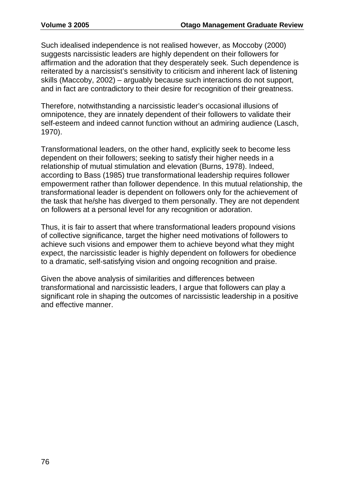Such idealised independence is not realised however, as Moccoby (2000) suggests narcissistic leaders are highly dependent on their followers for affirmation and the adoration that they desperately seek. Such dependence is reiterated by a narcissist's sensitivity to criticism and inherent lack of listening skills (Maccoby, 2002) – arguably because such interactions do not support, and in fact are contradictory to their desire for recognition of their greatness.

Therefore, notwithstanding a narcissistic leader's occasional illusions of omnipotence, they are innately dependent of their followers to validate their self-esteem and indeed cannot function without an admiring audience (Lasch, 1970).

Transformational leaders, on the other hand, explicitly seek to become less dependent on their followers; seeking to satisfy their higher needs in a relationship of mutual stimulation and elevation (Burns, 1978). Indeed, according to Bass (1985) true transformational leadership requires follower empowerment rather than follower dependence. In this mutual relationship, the transformational leader is dependent on followers only for the achievement of the task that he/she has diverged to them personally. They are not dependent on followers at a personal level for any recognition or adoration.

Thus, it is fair to assert that where transformational leaders propound visions of collective significance, target the higher need motivations of followers to achieve such visions and empower them to achieve beyond what they might expect, the narcissistic leader is highly dependent on followers for obedience to a dramatic, self-satisfying vision and ongoing recognition and praise.

Given the above analysis of similarities and differences between transformational and narcissistic leaders, I argue that followers can play a significant role in shaping the outcomes of narcissistic leadership in a positive and effective manner.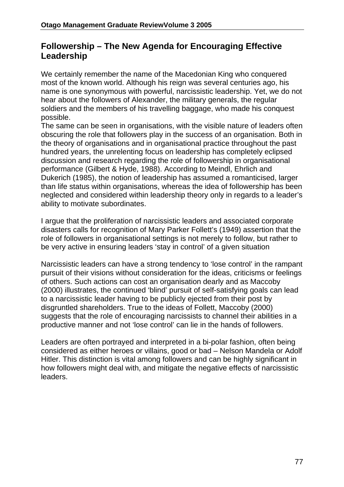## **Followership – The New Agenda for Encouraging Effective Leadership**

We certainly remember the name of the Macedonian King who conquered most of the known world. Although his reign was several centuries ago, his name is one synonymous with powerful, narcissistic leadership. Yet, we do not hear about the followers of Alexander, the military generals, the regular soldiers and the members of his travelling baggage, who made his conquest possible.

The same can be seen in organisations, with the visible nature of leaders often obscuring the role that followers play in the success of an organisation. Both in the theory of organisations and in organisational practice throughout the past hundred years, the unrelenting focus on leadership has completely eclipsed discussion and research regarding the role of followership in organisational performance (Gilbert & Hyde, 1988). According to Meindl, Ehrlich and Dukerich (1985), the notion of leadership has assumed a romanticised, larger than life status within organisations, whereas the idea of followership has been neglected and considered within leadership theory only in regards to a leader's ability to motivate subordinates.

I argue that the proliferation of narcissistic leaders and associated corporate disasters calls for recognition of Mary Parker Follett's (1949) assertion that the role of followers in organisational settings is not merely to follow, but rather to be very active in ensuring leaders 'stay in control' of a given situation

Narcissistic leaders can have a strong tendency to 'lose control' in the rampant pursuit of their visions without consideration for the ideas, criticisms or feelings of others. Such actions can cost an organisation dearly and as Maccoby (2000) illustrates, the continued 'blind' pursuit of self-satisfying goals can lead to a narcissistic leader having to be publicly ejected from their post by disgruntled shareholders. True to the ideas of Follett, Maccoby (2000) suggests that the role of encouraging narcissists to channel their abilities in a productive manner and not 'lose control' can lie in the hands of followers.

Leaders are often portrayed and interpreted in a bi-polar fashion, often being considered as either heroes or villains, good or bad – Nelson Mandela or Adolf Hitler. This distinction is vital among followers and can be highly significant in how followers might deal with, and mitigate the negative effects of narcissistic leaders.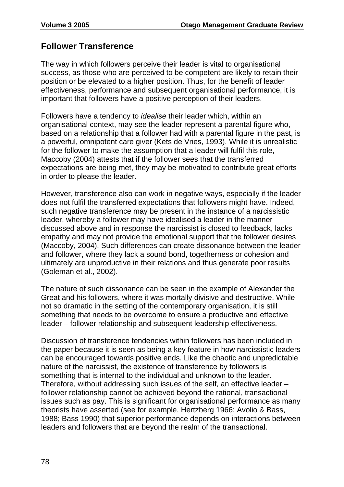## **Follower Transference**

The way in which followers perceive their leader is vital to organisational success, as those who are perceived to be competent are likely to retain their position or be elevated to a higher position. Thus, for the benefit of leader effectiveness, performance and subsequent organisational performance, it is important that followers have a positive perception of their leaders.

Followers have a tendency to *idealise* their leader which, within an organisational context, may see the leader represent a parental figure who, based on a relationship that a follower had with a parental figure in the past, is a powerful, omnipotent care giver (Kets de Vries, 1993). While it is unrealistic for the follower to make the assumption that a leader will fulfil this role, Maccoby (2004) attests that if the follower sees that the transferred expectations are being met, they may be motivated to contribute great efforts in order to please the leader.

However, transference also can work in negative ways, especially if the leader does not fulfil the transferred expectations that followers might have. Indeed, such negative transference may be present in the instance of a narcissistic leader, whereby a follower may have idealised a leader in the manner discussed above and in response the narcissist is closed to feedback, lacks empathy and may not provide the emotional support that the follower desires (Maccoby, 2004). Such differences can create dissonance between the leader and follower, where they lack a sound bond, togetherness or cohesion and ultimately are unproductive in their relations and thus generate poor results (Goleman et al., 2002).

The nature of such dissonance can be seen in the example of Alexander the Great and his followers, where it was mortally divisive and destructive. While not so dramatic in the setting of the contemporary organisation, it is still something that needs to be overcome to ensure a productive and effective leader – follower relationship and subsequent leadership effectiveness.

Discussion of transference tendencies within followers has been included in the paper because it is seen as being a key feature in how narcissistic leaders can be encouraged towards positive ends. Like the chaotic and unpredictable nature of the narcissist, the existence of transference by followers is something that is internal to the individual and unknown to the leader. Therefore, without addressing such issues of the self, an effective leader – follower relationship cannot be achieved beyond the rational, transactional issues such as pay. This is significant for organisational performance as many theorists have asserted (see for example, Hertzberg 1966; Avolio & Bass, 1988; Bass 1990) that superior performance depends on interactions between leaders and followers that are beyond the realm of the transactional.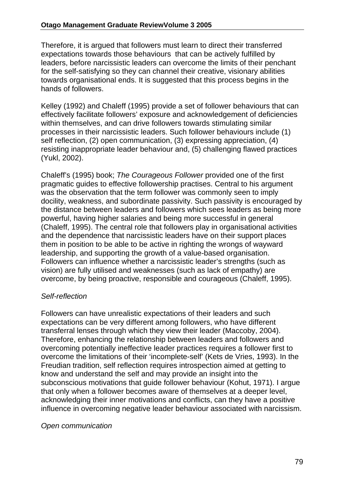Therefore, it is argued that followers must learn to direct their transferred expectations towards those behaviours that can be actively fulfilled by leaders, before narcissistic leaders can overcome the limits of their penchant for the self-satisfying so they can channel their creative, visionary abilities towards organisational ends. It is suggested that this process begins in the hands of followers.

Kelley (1992) and Chaleff (1995) provide a set of follower behaviours that can effectively facilitate followers' exposure and acknowledgement of deficiencies within themselves, and can drive followers towards stimulating similar processes in their narcissistic leaders. Such follower behaviours include (1) self reflection, (2) open communication, (3) expressing appreciation, (4) resisting inappropriate leader behaviour and, (5) challenging flawed practices (Yukl, 2002).

Chaleff's (1995) book; *The Courageous Follower* provided one of the first pragmatic guides to effective followership practises. Central to his argument was the observation that the term follower was commonly seen to imply docility, weakness, and subordinate passivity. Such passivity is encouraged by the distance between leaders and followers which sees leaders as being more powerful, having higher salaries and being more successful in general (Chaleff, 1995). The central role that followers play in organisational activities and the dependence that narcissistic leaders have on their support places them in position to be able to be active in righting the wrongs of wayward leadership, and supporting the growth of a value-based organisation. Followers can influence whether a narcissistic leader's strengths (such as vision) are fully utilised and weaknesses (such as lack of empathy) are overcome, by being proactive, responsible and courageous (Chaleff, 1995).

#### *Self-reflection*

Followers can have unrealistic expectations of their leaders and such expectations can be very different among followers, who have different transferral lenses through which they view their leader (Maccoby, 2004). Therefore, enhancing the relationship between leaders and followers and overcoming potentially ineffective leader practices requires a follower first to overcome the limitations of their 'incomplete-self' (Kets de Vries, 1993). In the Freudian tradition, self reflection requires introspection aimed at getting to know and understand the self and may provide an insight into the subconscious motivations that guide follower behaviour (Kohut, 1971). I argue that only when a follower becomes aware of themselves at a deeper level, acknowledging their inner motivations and conflicts, can they have a positive influence in overcoming negative leader behaviour associated with narcissism.

#### *Open communication*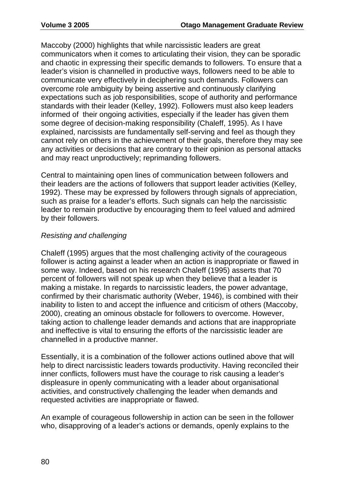Maccoby (2000) highlights that while narcissistic leaders are great communicators when it comes to articulating their vision, they can be sporadic and chaotic in expressing their specific demands to followers. To ensure that a leader's vision is channelled in productive ways, followers need to be able to communicate very effectively in deciphering such demands. Followers can overcome role ambiguity by being assertive and continuously clarifying expectations such as job responsibilities, scope of authority and performance standards with their leader (Kelley, 1992). Followers must also keep leaders informed of their ongoing activities, especially if the leader has given them some degree of decision-making responsibility (Chaleff, 1995). As I have explained, narcissists are fundamentally self-serving and feel as though they cannot rely on others in the achievement of their goals, therefore they may see any activities or decisions that are contrary to their opinion as personal attacks and may react unproductively; reprimanding followers.

Central to maintaining open lines of communication between followers and their leaders are the actions of followers that support leader activities (Kelley, 1992). These may be expressed by followers through signals of appreciation, such as praise for a leader's efforts. Such signals can help the narcissistic leader to remain productive by encouraging them to feel valued and admired by their followers.

#### *Resisting and challenging*

Chaleff (1995) argues that the most challenging activity of the courageous follower is acting against a leader when an action is inappropriate or flawed in some way. Indeed, based on his research Chaleff (1995) asserts that 70 percent of followers will not speak up when they believe that a leader is making a mistake. In regards to narcissistic leaders, the power advantage, confirmed by their charismatic authority (Weber, 1946), is combined with their inability to listen to and accept the influence and criticism of others (Maccoby, 2000), creating an ominous obstacle for followers to overcome. However, taking action to challenge leader demands and actions that are inappropriate and ineffective is vital to ensuring the efforts of the narcissistic leader are channelled in a productive manner.

Essentially, it is a combination of the follower actions outlined above that will help to direct narcissistic leaders towards productivity. Having reconciled their inner conflicts, followers must have the courage to risk causing a leader's displeasure in openly communicating with a leader about organisational activities, and constructively challenging the leader when demands and requested activities are inappropriate or flawed.

An example of courageous followership in action can be seen in the follower who, disapproving of a leader's actions or demands, openly explains to the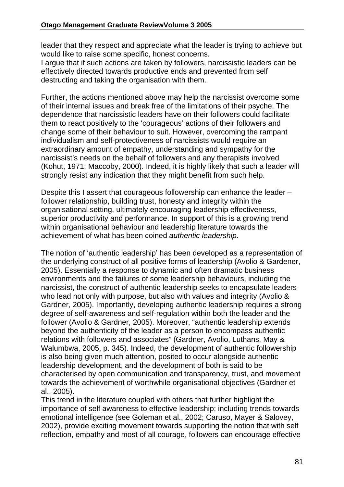leader that they respect and appreciate what the leader is trying to achieve but would like to raise some specific, honest concerns.

I argue that if such actions are taken by followers, narcissistic leaders can be effectively directed towards productive ends and prevented from self destructing and taking the organisation with them.

Further, the actions mentioned above may help the narcissist overcome some of their internal issues and break free of the limitations of their psyche. The dependence that narcissistic leaders have on their followers could facilitate them to react positively to the 'courageous' actions of their followers and change some of their behaviour to suit. However, overcoming the rampant individualism and self-protectiveness of narcissists would require an extraordinary amount of empathy, understanding and sympathy for the narcissist's needs on the behalf of followers and any therapists involved (Kohut, 1971; Maccoby, 2000). Indeed, it is highly likely that such a leader will strongly resist any indication that they might benefit from such help.

Despite this I assert that courageous followership can enhance the leader – follower relationship, building trust, honesty and integrity within the organisational setting, ultimately encouraging leadership effectiveness, superior productivity and performance. In support of this is a growing trend within organisational behaviour and leadership literature towards the achievement of what has been coined *authentic leadership*.

The notion of 'authentic leadership' has been developed as a representation of the underlying construct of all positive forms of leadership (Avolio & Gardener, 2005). Essentially a response to dynamic and often dramatic business environments and the failures of some leadership behaviours, including the narcissist, the construct of authentic leadership seeks to encapsulate leaders who lead not only with purpose, but also with values and integrity (Avolio & Gardner, 2005). Importantly, developing authentic leadership requires a strong degree of self-awareness and self-regulation within both the leader and the follower (Avolio & Gardner, 2005). Moreover, "authentic leadership extends beyond the authenticity of the leader as a person to encompass authentic relations with followers and associates" (Gardner, Avolio, Luthans, May & Walumbwa, 2005, p. 345). Indeed, the development of authentic followership is also being given much attention, posited to occur alongside authentic leadership development, and the development of both is said to be characterised by open communication and transparency, trust, and movement towards the achievement of worthwhile organisational objectives (Gardner et al., 2005).

This trend in the literature coupled with others that further highlight the importance of self awareness to effective leadership; including trends towards emotional intelligence (see Goleman et al., 2002; Caruso, Mayer & Salovey, 2002), provide exciting movement towards supporting the notion that with self reflection, empathy and most of all courage, followers can encourage effective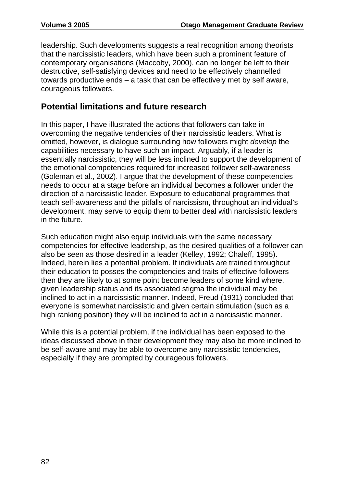leadership. Such developments suggests a real recognition among theorists that the narcissistic leaders, which have been such a prominent feature of contemporary organisations (Maccoby, 2000), can no longer be left to their destructive, self-satisfying devices and need to be effectively channelled towards productive ends – a task that can be effectively met by self aware, courageous followers.

## **Potential limitations and future research**

In this paper, I have illustrated the actions that followers can take in overcoming the negative tendencies of their narcissistic leaders. What is omitted, however, is dialogue surrounding how followers might *develop* the capabilities necessary to have such an impact. Arguably, if a leader is essentially narcissistic, they will be less inclined to support the development of the emotional competencies required for increased follower self-awareness (Goleman et al., 2002). I argue that the development of these competencies needs to occur at a stage before an individual becomes a follower under the direction of a narcissistic leader. Exposure to educational programmes that teach self-awareness and the pitfalls of narcissism, throughout an individual's development, may serve to equip them to better deal with narcissistic leaders in the future.

Such education might also equip individuals with the same necessary competencies for effective leadership, as the desired qualities of a follower can also be seen as those desired in a leader (Kelley, 1992; Chaleff, 1995). Indeed, herein lies a potential problem. If individuals are trained throughout their education to posses the competencies and traits of effective followers then they are likely to at some point become leaders of some kind where, given leadership status and its associated stigma the individual may be inclined to act in a narcissistic manner. Indeed, Freud (1931) concluded that everyone is somewhat narcissistic and given certain stimulation (such as a high ranking position) they will be inclined to act in a narcissistic manner.

While this is a potential problem, if the individual has been exposed to the ideas discussed above in their development they may also be more inclined to be self-aware and may be able to overcome any narcissistic tendencies, especially if they are prompted by courageous followers.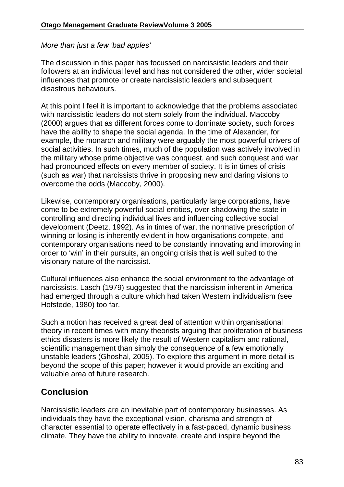#### *More than just a few 'bad apples'*

The discussion in this paper has focussed on narcissistic leaders and their followers at an individual level and has not considered the other, wider societal influences that promote or create narcissistic leaders and subsequent disastrous behaviours.

At this point I feel it is important to acknowledge that the problems associated with narcissistic leaders do not stem solely from the individual. Maccoby (2000) argues that as different forces come to dominate society, such forces have the ability to shape the social agenda. In the time of Alexander, for example, the monarch and military were arguably the most powerful drivers of social activities. In such times, much of the population was actively involved in the military whose prime objective was conquest, and such conquest and war had pronounced effects on every member of society. It is in times of crisis (such as war) that narcissists thrive in proposing new and daring visions to overcome the odds (Maccoby, 2000).

Likewise, contemporary organisations, particularly large corporations, have come to be extremely powerful social entities, over-shadowing the state in controlling and directing individual lives and influencing collective social development (Deetz, 1992). As in times of war, the normative prescription of winning or losing is inherently evident in how organisations compete, and contemporary organisations need to be constantly innovating and improving in order to 'win' in their pursuits, an ongoing crisis that is well suited to the visionary nature of the narcissist.

Cultural influences also enhance the social environment to the advantage of narcissists. Lasch (1979) suggested that the narcissism inherent in America had emerged through a culture which had taken Western individualism (see Hofstede, 1980) too far.

Such a notion has received a great deal of attention within organisational theory in recent times with many theorists arguing that proliferation of business ethics disasters is more likely the result of Western capitalism and rational, scientific management than simply the consequence of a few emotionally unstable leaders (Ghoshal, 2005). To explore this argument in more detail is beyond the scope of this paper; however it would provide an exciting and valuable area of future research.

### **Conclusion**

Narcissistic leaders are an inevitable part of contemporary businesses. As individuals they have the exceptional vision, charisma and strength of character essential to operate effectively in a fast-paced, dynamic business climate. They have the ability to innovate, create and inspire beyond the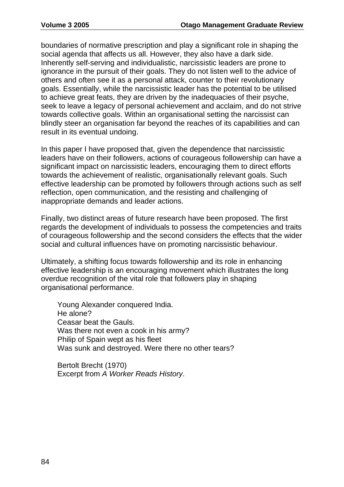boundaries of normative prescription and play a significant role in shaping the social agenda that affects us all. However, they also have a dark side. Inherently self-serving and individualistic, narcissistic leaders are prone to ignorance in the pursuit of their goals. They do not listen well to the advice of others and often see it as a personal attack, counter to their revolutionary goals. Essentially, while the narcissistic leader has the potential to be utilised to achieve great feats, they are driven by the inadequacies of their psyche, seek to leave a legacy of personal achievement and acclaim, and do not strive towards collective goals. Within an organisational setting the narcissist can blindly steer an organisation far beyond the reaches of its capabilities and can result in its eventual undoing.

In this paper I have proposed that, given the dependence that narcissistic leaders have on their followers, actions of courageous followership can have a significant impact on narcissistic leaders, encouraging them to direct efforts towards the achievement of realistic, organisationally relevant goals. Such effective leadership can be promoted by followers through actions such as self reflection, open communication, and the resisting and challenging of inappropriate demands and leader actions.

Finally, two distinct areas of future research have been proposed. The first regards the development of individuals to possess the competencies and traits of courageous followership and the second considers the effects that the wider social and cultural influences have on promoting narcissistic behaviour.

Ultimately, a shifting focus towards followership and its role in enhancing effective leadership is an encouraging movement which illustrates the long overdue recognition of the vital role that followers play in shaping organisational performance.

Young Alexander conquered India. He alone? Ceasar beat the Gauls. Was there not even a cook in his army? Philip of Spain wept as his fleet Was sunk and destroyed. Were there no other tears?

Bertolt Brecht (1970) Excerpt from *A Worker Reads History*.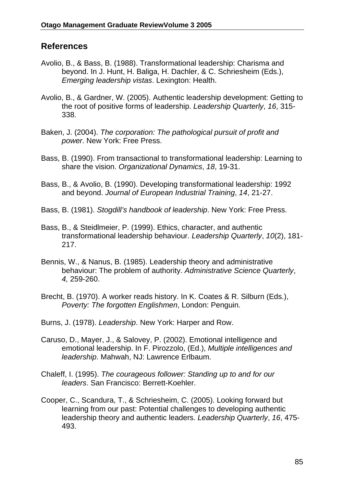### **References**

- Avolio, B., & Bass, B. (1988). Transformational leadership: Charisma and beyond. In J. Hunt, H. Baliga, H. Dachler, & C. Schriesheim (Eds.), *Emerging leadership vistas*. Lexington: Health.
- Avolio, B., & Gardner, W. (2005). Authentic leadership development: Getting to the root of positive forms of leadership. *Leadership Quarterly*, *16*, 315- 338.
- Baken, J. (2004). *The corporation: The pathological pursuit of profit and power*. New York: Free Press.
- Bass, B. (1990). From transactional to transformational leadership: Learning to share the vision. *Organizational Dynamics*, *18*, 19-31.
- Bass, B., & Avolio, B. (1990). Developing transformational leadership: 1992 and beyond. *Journal of European Industrial Training*, *14*, 21-27.
- Bass, B. (1981). *Stogdill's handbook of leadership*. New York: Free Press.
- Bass, B., & Steidlmeier, P. (1999). Ethics, character, and authentic transformational leadership behaviour. *Leadership Quarterly*, *10*(2), 181- 217.
- Bennis, W., & Nanus, B. (1985). Leadership theory and administrative behaviour: The problem of authority. *Administrative Science Quarterly*, *4,* 259-260.
- Brecht, B. (1970). A worker reads history. In K. Coates & R. Silburn (Eds.), *Poverty: The forgotten Englishmen*, London: Penguin.
- Burns, J. (1978). *Leadership*. New York: Harper and Row.
- Caruso, D., Mayer, J., & Salovey, P. (2002). Emotional intelligence and emotional leadership. In F. Pirozzolo, (Ed.), *Multiple intelligences and leadership*. Mahwah, NJ: Lawrence Erlbaum.
- Chaleff, I. (1995). *The courageous follower: Standing up to and for our leaders*. San Francisco: Berrett-Koehler.
- Cooper, C., Scandura, T., & Schriesheim, C. (2005). Looking forward but learning from our past: Potential challenges to developing authentic leadership theory and authentic leaders. *Leadership Quarterly*, *16*, 475- 493.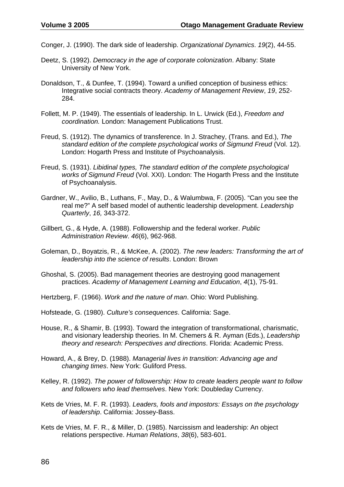Conger, J. (1990). The dark side of leadership. *Organizational Dynamics*. *19*(2), 44-55.

- Deetz, S. (1992). *Democracy in the age of corporate colonization*. Albany: State University of New York.
- Donaldson, T., & Dunfee, T. (1994). Toward a unified conception of business ethics: Integrative social contracts theory. *Academy of Management Review*, *19*, 252- 284.
- Follett, M. P. (1949). The essentials of leadership. In L. Urwick (Ed.), *Freedom and coordination.* London: Management Publications Trust.
- Freud, S. (1912). The dynamics of transference. In J. Strachey, (Trans. and Ed.), *The standard edition of the complete psychological works of Sigmund Freud* (Vol. 12). London: Hogarth Press and Institute of Psychoanalysis.
- Freud, S. (1931). *Libidinal types, The standard edition of the complete psychological works of Sigmund Freud* (Vol. XXI). London: The Hogarth Press and the Institute of Psychoanalysis.
- Gardner, W., Avilio, B., Luthans, F., May, D., & Walumbwa, F. (2005). "Can you see the real me?" A self based model of authentic leadership development. *Leadership Quarterly*, *16,* 343-372.
- Gillbert, G., & Hyde, A. (1988). Followership and the federal worker. *Public Administration Review*. *46*(6), 962-968.
- Goleman, D., Boyatzis, R., & McKee, A. (2002). *The new leaders: Transforming the art of leadership into the science of results*. London: Brown
- Ghoshal, S. (2005). Bad management theories are destroying good management practices. *Academy of Management Learning and Education*, *4*(1), 75-91.
- Hertzberg, F. (1966). *Work and the nature of man*. Ohio: Word Publishing.

Hofsteade, G. (1980). *Culture's consequences*. California: Sage.

- House, R., & Shamir, B. (1993). Toward the integration of transformational, charismatic, and visionary leadership theories. In M. Chemers & R. Ayman (Eds.), *Leadership theory and research: Perspectives and directions*. Florida: Academic Press.
- Howard, A., & Brey, D. (1988). *Managerial lives in transition: Advancing age and changing times*. New York: Guliford Press.
- Kelley, R. (1992). *The power of followership: How to create leaders people want to follow and followers who lead themselves*. New York: Doubleday Currency.
- Kets de Vries, M. F. R. (1993). *Leaders, fools and impostors: Essays on the psychology of leadership*. California: Jossey-Bass.
- Kets de Vries, M. F. R., & Miller, D. (1985). Narcissism and leadership: An object relations perspective. *Human Relations*, *38*(6), 583-601.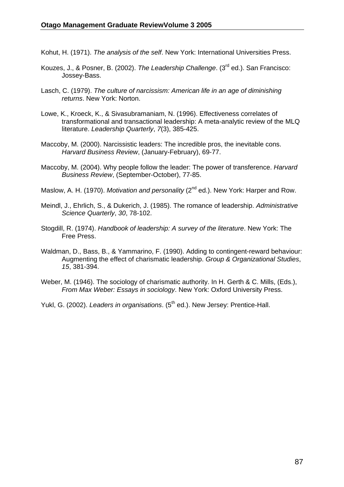Kohut, H. (1971). *The analysis of the self*. New York: International Universities Press.

- Kouzes, J., & Posner, B. (2002). *The Leadership Challenge*. (3rd ed.). San Francisco: Jossey-Bass.
- Lasch, C. (1979). *The culture of narcissism: American life in an age of diminishing returns*. New York: Norton.
- Lowe, K., Kroeck, K., & Sivasubramaniam, N. (1996). Effectiveness correlates of transformational and transactional leadership: A meta-analytic review of the MLQ literature. *Leadership Quarterly*, *7*(3), 385-425.
- Maccoby, M. (2000). Narcissistic leaders: The incredible pros, the inevitable cons. *Harvard Business Review*, (January-February), 69-77.
- Maccoby, M. (2004). Why people follow the leader: The power of transference. *Harvard Business Review*, (September-October), 77-85.
- Maslow, A. H. (1970). *Motivation and personality* (2<sup>nd</sup> ed.). New York: Harper and Row.
- Meindl, J., Ehrlich, S., & Dukerich, J. (1985). The romance of leadership. *Administrative Science Quarterly*, *30*, 78-102.
- Stogdill, R. (1974). *Handbook of leadership: A survey of the literature*. New York: The Free Press.
- Waldman, D., Bass, B., & Yammarino, F. (1990). Adding to contingent-reward behaviour: Augmenting the effect of charismatic leadership. *Group & Organizational Studies*, *15*, 381-394.
- Weber, M. (1946). The sociology of charismatic authority. In H. Gerth & C. Mills, (Eds.), *From Max Weber: Essays in sociology*. New York: Oxford University Press.
- Yukl, G. (2002). *Leaders in organisations*. (5<sup>th</sup> ed.). New Jersey: Prentice-Hall.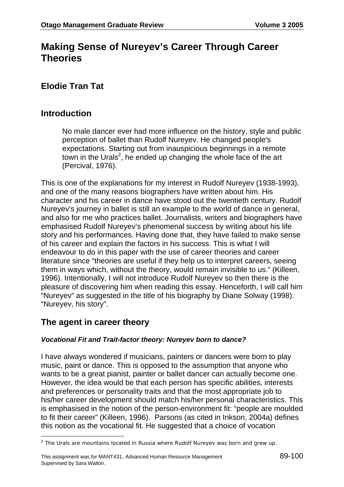# **Making Sense of Nureyev's Career Through Career Theories**

## **Elodie Tran Tat**

### **Introduction**

No male dancer ever had more influence on the history, style and public perception of ballet than Rudolf Nureyev. He changed people's expectations. Starting out from inauspicious beginnings in a remote town in the Urals<sup>2</sup>, he ended up changing the whole face of the art (Percival, 1976).

This is one of the explanations for my interest in Rudolf Nureyev (1938-1993), and one of the many reasons biographers have written about him. His character and his career in dance have stood out the twentieth century. Rudolf Nureyev's journey in ballet is still an example to the world of dance in general, and also for me who practices ballet. Journalists, writers and biographers have emphasised Rudolf Nureyev's phenomenal success by writing about his life story and his performances. Having done that, they have failed to make sense of his career and explain the factors in his success. This is what I will endeavour to do in this paper with the use of career theories and career literature since "theories are useful if they help us to interpret careers, seeing them in ways which, without the theory, would remain invisible to us." (Killeen, 1996). Intentionally, I will not introduce Rudolf Nureyev so then there is the pleasure of discovering him when reading this essay. Henceforth, I will call him "Nureyev" as suggested in the title of his biography by Diane Solway (1998): "Nureyev, his story".

### **The agent in career theory**

#### *Vocational Fit and Trait-factor theory: Nureyev born to dance?*

I have always wondered if musicians, painters or dancers were born to play music, paint or dance. This is opposed to the assumption that anyone who wants to be a great pianist, painter or ballet dancer can actually become one. However, the idea would be that each person has specific abilities, interests and preferences or personality traits and that the most appropriate job to his/her career development should match his/her personal characteristics. This is emphasised in the notion of the person-environment fit: "people are moulded to fit their career" (Killeen, 1996). Parsons (as cited in Inkson, 2004a) defines this notion as the vocational fit. He suggested that a choice of vocation

 $2$  The Urals are mountains located in Russia where Rudolf Nureyev was born and grew up.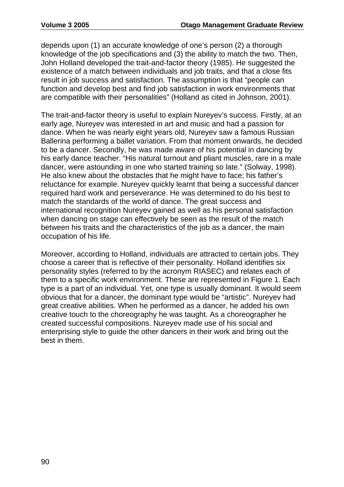depends upon (1) an accurate knowledge of one's person (2) a thorough knowledge of the job specifications and (3) the ability to match the two. Then, John Holland developed the trait-and-factor theory (1985). He suggested the existence of a match between individuals and job traits, and that a close fits result in job success and satisfaction. The assumption is that "people can function and develop best and find job satisfaction in work environments that are compatible with their personalities" (Holland as cited in Johnson, 2001).

The trait-and-factor theory is useful to explain Nureyev's success. Firstly, at an early age, Nureyev was interested in art and music and had a passion for dance. When he was nearly eight years old, Nureyev saw a famous Russian Ballerina performing a ballet variation. From that moment onwards, he decided to be a dancer. Secondly, he was made aware of his potential in dancing by his early dance teacher. "His natural turnout and pliant muscles, rare in a male dancer, were astounding in one who started training so late." (Solway, 1998). He also knew about the obstacles that he might have to face; his father's reluctance for example. Nureyev quickly learnt that being a successful dancer required hard work and perseverance. He was determined to do his best to match the standards of the world of dance. The great success and international recognition Nureyev gained as well as his personal satisfaction when dancing on stage can effectively be seen as the result of the match between his traits and the characteristics of the job as a dancer, the main occupation of his life.

Moreover, according to Holland, individuals are attracted to certain jobs. They choose a career that is reflective of their personality. Holland identifies six personality styles (referred to by the acronym RIASEC) and relates each of them to a specific work environment. These are represented in Figure 1. Each type is a part of an individual. Yet, one type is usually dominant. It would seem obvious that for a dancer, the dominant type would be "artistic". Nureyev had great creative abilities. When he performed as a dancer, he added his own creative touch to the choreography he was taught. As a choreographer he created successful compositions. Nureyev made use of his social and enterprising style to guide the other dancers in their work and bring out the best in them.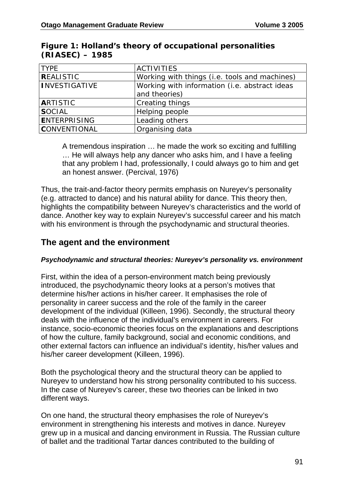| <b>TYPE</b>          | <b>ACTIVITIES</b>                             |  |
|----------------------|-----------------------------------------------|--|
| <b>REALISTIC</b>     | Working with things (i.e. tools and machines) |  |
| <b>INVESTIGATIVE</b> | Working with information (i.e. abstract ideas |  |
|                      | and theories)                                 |  |
| <b>ARTISTIC</b>      | Creating things                               |  |
| <b>SOCIAL</b>        | Helping people                                |  |
| <b>ENTERPRISING</b>  | Leading others                                |  |
| <b>CONVENTIONAL</b>  | Organising data                               |  |

#### **Figure 1: Holland's theory of occupational personalities (RIASEC) – 1985**

A tremendous inspiration … he made the work so exciting and fulfilling … He will always help any dancer who asks him, and I have a feeling that any problem I had, professionally, I could always go to him and get an honest answer. (Percival, 1976)

Thus, the trait-and-factor theory permits emphasis on Nureyev's personality (e.g. attracted to dance) and his natural ability for dance. This theory then, highlights the compatibility between Nureyev's characteristics and the world of dance. Another key way to explain Nureyev's successful career and his match with his environment is through the psychodynamic and structural theories.

## **The agent and the environment**

#### *Psychodynamic and structural theories: Nureyev's personality vs. environment*

First, within the idea of a person-environment match being previously introduced, the psychodynamic theory looks at a person's motives that determine his/her actions in his/her career. It emphasises the role of personality in career success and the role of the family in the career development of the individual (Killeen, 1996). Secondly, the structural theory deals with the influence of the individual's environment in careers. For instance, socio-economic theories focus on the explanations and descriptions of how the culture, family background, social and economic conditions, and other external factors can influence an individual's identity, his/her values and his/her career development (Killeen, 1996).

Both the psychological theory and the structural theory can be applied to Nureyev to understand how his strong personality contributed to his success. In the case of Nureyev's career, these two theories can be linked in two different ways.

On one hand, the structural theory emphasises the role of Nureyev's environment in strengthening his interests and motives in dance. Nureyev grew up in a musical and dancing environment in Russia. The Russian culture of ballet and the traditional Tartar dances contributed to the building of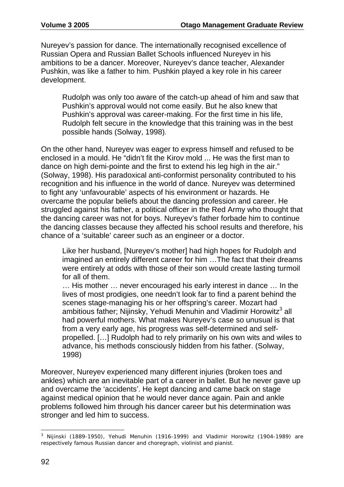Nureyev's passion for dance. The internationally recognised excellence of Russian Opera and Russian Ballet Schools influenced Nureyev in his ambitions to be a dancer. Moreover, Nureyev's dance teacher, Alexander Pushkin, was like a father to him. Pushkin played a key role in his career development.

Rudolph was only too aware of the catch-up ahead of him and saw that Pushkin's approval would not come easily. But he also knew that Pushkin's approval was career-making. For the first time in his life, Rudolph felt secure in the knowledge that this training was in the best possible hands (Solway, 1998).

On the other hand, Nureyev was eager to express himself and refused to be enclosed in a mould. He "didn't fit the Kirov mold ... He was the first man to dance on high demi-pointe and the first to extend his leg high in the air." (Solway, 1998). His paradoxical anti-conformist personality contributed to his recognition and his influence in the world of dance. Nureyev was determined to fight any 'unfavourable' aspects of his environment or hazards. He overcame the popular beliefs about the dancing profession and career. He struggled against his father, a political officer in the Red Army who thought that the dancing career was not for boys. Nureyev's father forbade him to continue the dancing classes because they affected his school results and therefore, his chance of a 'suitable' career such as an engineer or a doctor.

Like her husband, [Nureyev's mother] had high hopes for Rudolph and imagined an entirely different career for him …The fact that their dreams were entirely at odds with those of their son would create lasting turmoil for all of them.

… His mother … never encouraged his early interest in dance … In the lives of most prodigies, one needn't look far to find a parent behind the scenes stage-managing his or her offspring's career. Mozart had ambitious father; Nijinsky, Yehudi Menuhin and Vladimir Horowitz<sup>3</sup> all had powerful mothers. What makes Nureyev's case so unusual is that from a very early age, his progress was self-determined and selfpropelled. […] Rudolph had to rely primarily on his own wits and wiles to advance, his methods consciously hidden from his father. (Solway, 1998)

Moreover, Nureyev experienced many different injuries (broken toes and ankles) which are an inevitable part of a career in ballet. But he never gave up and overcame the 'accidents'. He kept dancing and came back on stage against medical opinion that he would never dance again. Pain and ankle problems followed him through his dancer career but his determination was stronger and led him to success.

  $^3$  Nijinski (1889-1950), Yehudi Menuhin (1916-1999) and Vladimir Horowitz (1904-1989) are respectively famous Russian dancer and choregraph, violinist and pianist.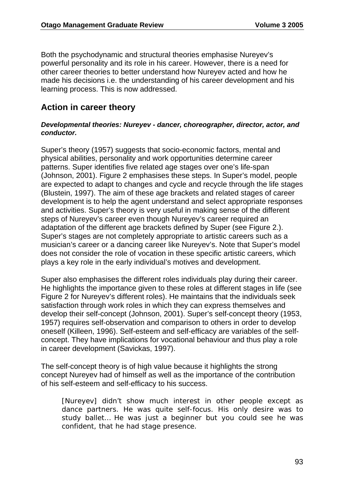Both the psychodynamic and structural theories emphasise Nureyev's powerful personality and its role in his career. However, there is a need for other career theories to better understand how Nureyev acted and how he made his decisions i.e. the understanding of his career development and his learning process. This is now addressed.

## **Action in career theory**

#### *Developmental theories: Nureyev - dancer, choreographer, director, actor, and conductor.*

Super's theory (1957) suggests that socio-economic factors, mental and physical abilities, personality and work opportunities determine career patterns. Super identifies five related age stages over one's life-span (Johnson, 2001). Figure 2 emphasises these steps. In Super's model, people are expected to adapt to changes and cycle and recycle through the life stages (Blustein, 1997). The aim of these age brackets and related stages of career development is to help the agent understand and select appropriate responses and activities. Super's theory is very useful in making sense of the different steps of Nureyev's career even though Nureyev's career required an adaptation of the different age brackets defined by Super (see Figure 2.). Super's stages are not completely appropriate to artistic careers such as a musician's career or a dancing career like Nureyev's. Note that Super's model does not consider the role of vocation in these specific artistic careers, which plays a key role in the early individual's motives and development.

Super also emphasises the different roles individuals play during their career. He highlights the importance given to these roles at different stages in life (see Figure 2 for Nureyev's different roles). He maintains that the individuals seek satisfaction through work roles in which they can express themselves and develop their self-concept (Johnson, 2001). Super's self-concept theory (1953, 1957) requires self-observation and comparison to others in order to develop oneself (Killeen, 1996). Self-esteem and self-efficacy are variables of the selfconcept. They have implications for vocational behaviour and thus play a role in career development (Savickas, 1997).

The self-concept theory is of high value because it highlights the strong concept Nureyev had of himself as well as the importance of the contribution of his self-esteem and self-efficacy to his success.

[Nureyev] didn't show much interest in other people except as dance partners. He was quite self-focus. His only desire was to study ballet… He was just a beginner but you could see he was confident, that he had stage presence.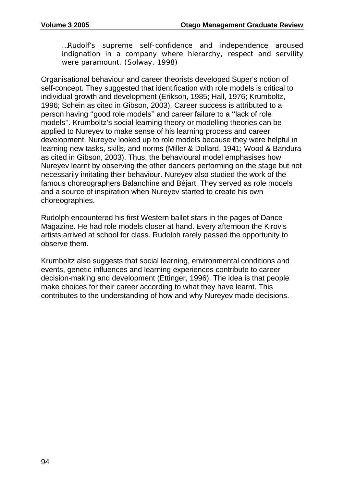…Rudolf's supreme self-confidence and independence aroused indignation in a company where hierarchy, respect and servility were paramount. (Solway, 1998)

Organisational behaviour and career theorists developed Super's notion of self-concept. They suggested that identification with role models is critical to individual growth and development (Erikson, 1985; Hall, 1976; Krumboltz, 1996; Schein as cited in Gibson, 2003). Career success is attributed to a person having ''good role models'' and career failure to a ''lack of role models''. Krumboltz's social learning theory or modelling theories can be applied to Nureyev to make sense of his learning process and career development. Nureyev looked up to role models because they were helpful in learning new tasks, skills, and norms (Miller & Dollard, 1941; Wood & Bandura as cited in Gibson, 2003). Thus, the behavioural model emphasises how Nureyev learnt by observing the other dancers performing on the stage but not necessarily imitating their behaviour. Nureyev also studied the work of the famous choreographers Balanchine and Béjart. They served as role models and a source of inspiration when Nureyev started to create his own choreographies.

Rudolph encountered his first Western ballet stars in the pages of Dance Magazine. He had role models closer at hand. Every afternoon the Kirov's artists arrived at school for class. Rudolph rarely passed the opportunity to observe them.

Krumboltz also suggests that social learning, environmental conditions and events, genetic influences and learning experiences contribute to career decision-making and development (Ettinger, 1996). The idea is that people make choices for their career according to what they have learnt. This contributes to the understanding of how and why Nureyev made decisions.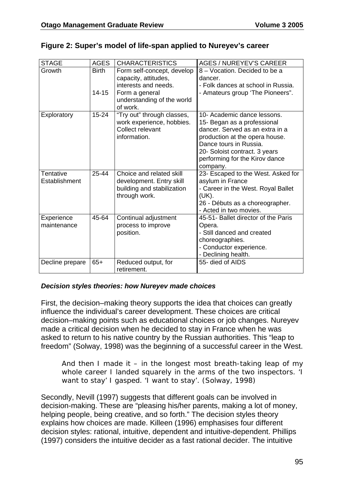| <b>STAGE</b>    | <b>AGES</b>  | <b>CHARACTERISTICS</b>                 | <b>AGES / NUREYEV'S CAREER</b>                 |
|-----------------|--------------|----------------------------------------|------------------------------------------------|
| Growth          | <b>Birth</b> | Form self-concept, develop             | 8 - Vocation. Decided to be a                  |
|                 |              | capacity, attitudes,                   | dancer.                                        |
|                 |              | interests and needs.                   | - Folk dances at school in Russia.             |
|                 | $14 - 15$    | Form a general                         | - Amateurs group 'The Pioneers".               |
|                 |              | understanding of the world<br>of work. |                                                |
| Exploratory     | $15 - 24$    | "Try out" through classes,             | 10- Academic dance lessons.                    |
|                 |              | work experience, hobbies.              | 15- Began as a professional                    |
|                 |              | Collect relevant                       | dancer. Served as an extra in a                |
|                 |              | information.                           | production at the opera house.                 |
|                 |              |                                        | Dance tours in Russia.                         |
|                 |              |                                        | 20- Soloist contract. 3 years                  |
|                 |              |                                        | performing for the Kirov dance                 |
|                 |              |                                        | company.                                       |
| Tentative       | 25-44        | Choice and related skill               | 23- Escaped to the West. Asked for             |
| Establishment   |              | development. Entry skill               | asylum in France                               |
|                 |              | building and stabilization             | - Career in the West. Royal Ballet             |
|                 |              | through work.                          | (UK).                                          |
|                 |              |                                        | 26 - Débuts as a choreographer.                |
|                 |              |                                        | - Acted in two movies.                         |
| Experience      | 45-64        | Continual adjustment                   | 45-51- Ballet director of the Paris            |
| maintenance     |              | process to improve                     | Opera.                                         |
|                 |              | position.                              | - Still danced and created                     |
|                 |              |                                        | choreographies.                                |
|                 |              |                                        | - Conductor experience.<br>- Declining health. |
| Decline prepare | $65+$        | Reduced output, for                    | 55- died of AIDS                               |
|                 |              | retirement.                            |                                                |

#### **Figure 2: Super's model of life-span applied to Nureyev's career**

#### *Decision styles theories: how Nureyev made choices*

First, the decision–making theory supports the idea that choices can greatly influence the individual's career development. These choices are critical decision–making points such as educational choices or job changes. Nureyev made a critical decision when he decided to stay in France when he was asked to return to his native country by the Russian authorities. This "leap to freedom" (Solway, 1998) was the beginning of a successful career in the West.

And then I made it – in the longest most breath-taking leap of my whole career I landed squarely in the arms of the two inspectors. 'I want to stay' I gasped. 'I want to stay'. (Solway, 1998)

Secondly, Nevill (1997) suggests that different goals can be involved in decision-making. These are "pleasing his/her parents, making a lot of money, helping people, being creative, and so forth." The decision styles theory explains how choices are made. Killeen (1996) emphasises four different decision styles: rational, intuitive, dependent and intuitive-dependent. Phillips (1997) considers the intuitive decider as a fast rational decider. The intuitive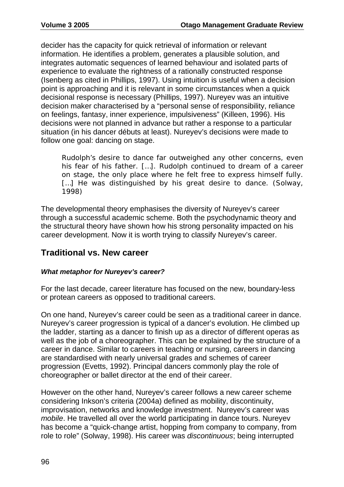decider has the capacity for quick retrieval of information or relevant information. He identifies a problem, generates a plausible solution, and integrates automatic sequences of learned behaviour and isolated parts of experience to evaluate the rightness of a rationally constructed response (Isenberg as cited in Phillips, 1997). Using intuition is useful when a decision point is approaching and it is relevant in some circumstances when a quick decisional response is necessary (Phillips, 1997). Nureyev was an intuitive decision maker characterised by a "personal sense of responsibility, reliance on feelings, fantasy, inner experience, impulsiveness" (Killeen, 1996). His decisions were not planned in advance but rather a response to a particular situation (in his dancer débuts at least). Nureyev's decisions were made to follow one goal: dancing on stage.

Rudolph's desire to dance far outweighed any other concerns, even his fear of his father. […]. Rudolph continued to dream of a career on stage, the only place where he felt free to express himself fully. [...] He was distinguished by his great desire to dance. (Solway, 1998)

The developmental theory emphasises the diversity of Nureyev's career through a successful academic scheme. Both the psychodynamic theory and the structural theory have shown how his strong personality impacted on his career development. Now it is worth trying to classify Nureyev's career.

### **Traditional vs. New career**

#### *What metaphor for Nureyev's career?*

For the last decade, career literature has focused on the new, boundary-less or protean careers as opposed to traditional careers.

On one hand, Nureyev's career could be seen as a traditional career in dance. Nureyev's career progression is typical of a dancer's evolution. He climbed up the ladder, starting as a dancer to finish up as a director of different operas as well as the job of a choreographer. This can be explained by the structure of a career in dance. Similar to careers in teaching or nursing, careers in dancing are standardised with nearly universal grades and schemes of career progression (Evetts, 1992). Principal dancers commonly play the role of choreographer or ballet director at the end of their career.

However on the other hand, Nureyev's career follows a new career scheme considering Inkson's criteria (2004a) defined as mobility, discontinuity, improvisation, networks and knowledge investment. Nureyev's career was *mobile*. He travelled all over the world participating in dance tours. Nureyev has become a "quick-change artist, hopping from company to company, from role to role" (Solway, 1998). His career was *discontinuous*; being interrupted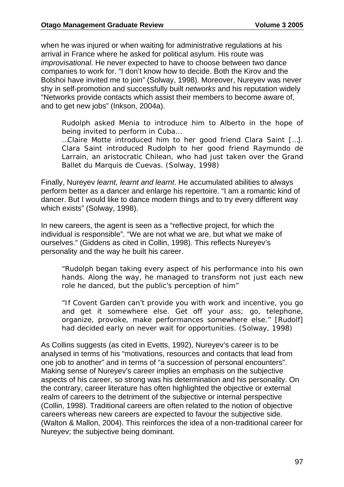when he was injured or when waiting for administrative regulations at his arrival in France where he asked for political asylum. His route was *improvisational*. He never expected to have to choose between two dance companies to work for. "I don't know how to decide. Both the Kirov and the Bolshoi have invited me to join" (Solway, 1998). Moreover, Nureyev was never shy in self-promotion and successfully built *networks* and his reputation widely "Networks provide contacts which assist their members to become aware of, and to get new jobs" (Inkson, 2004a).

Rudolph asked Menia to introduce him to Alberto in the hope of being invited to perform in Cuba…

…Claire Motte introduced him to her good friend Clara Saint […]. Clara Saint introduced Rudolph to her good friend Raymundo de Larrain, an aristocratic Chilean, who had just taken over the Grand Ballet du Marquis de Cuevas. (Solway, 1998)

Finally, Nureyev *learnt, learnt and learnt*. He accumulated abilities to always perform better as a dancer and enlarge his repertoire. "I am a romantic kind of dancer. But I would like to dance modern things and to try every different way which exists" (Solway, 1998).

In new careers, the agent is seen as a "reflective project, for which the individual is responsible". "We are not what we are, but what we make of ourselves." (Giddens as cited in Collin, 1998). This reflects Nureyev's personality and the way he built his career.

"Rudolph began taking every aspect of his performance into his own hands. Along the way, he managed to transform not just each new role he danced, but the public's perception of him"

"If Covent Garden can't provide you with work and incentive, you go and get it somewhere else. Get off your ass; go, telephone, organize, provoke, make performances somewhere else." [Rudolf] had decided early on never wait for opportunities. (Solway, 1998)

As Collins suggests (as cited in Evetts, 1992), Nureyev's career is to be analysed in terms of his "motivations, resources and contacts that lead from one job to another" and in terms of "a succession of personal encounters". Making sense of Nureyev's career implies an emphasis on the subjective aspects of his career, so strong was his determination and his personality. On the contrary, career literature has often highlighted the objective or external realm of careers to the detriment of the subjective or internal perspective (Collin, 1998). Traditional careers are often related to the notion of objective careers whereas new careers are expected to favour the subjective side. (Walton & Mallon, 2004). This reinforces the idea of a non-traditional career for Nureyev; the subjective being dominant.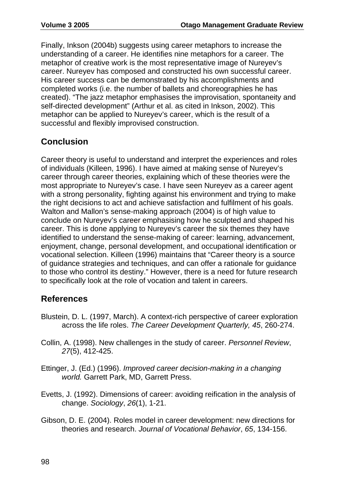Finally, Inkson (2004b) suggests using career metaphors to increase the understanding of a career. He identifies nine metaphors for a career. The metaphor of creative work is the most representative image of Nureyev's career. Nureyev has composed and constructed his own successful career. His career success can be demonstrated by his accomplishments and completed works (i.e. the number of ballets and choreographies he has created). "The jazz metaphor emphasises the improvisation, spontaneity and self-directed development" (Arthur et al. as cited in Inkson, 2002). This metaphor can be applied to Nureyev's career, which is the result of a successful and flexibly improvised construction.

# **Conclusion**

Career theory is useful to understand and interpret the experiences and roles of individuals (Killeen, 1996). I have aimed at making sense of Nureyev's career through career theories, explaining which of these theories were the most appropriate to Nureyev's case. I have seen Nureyev as a career agent with a strong personality, fighting against his environment and trying to make the right decisions to act and achieve satisfaction and fulfilment of his goals. Walton and Mallon's sense-making approach (2004) is of high value to conclude on Nureyev's career emphasising how he sculpted and shaped his career. This is done applying to Nureyev's career the six themes they have identified to understand the sense-making of career: learning, advancement, enjoyment, change, personal development, and occupational identification or vocational selection. Killeen (1996) maintains that "Career theory is a source of guidance strategies and techniques, and can offer a rationale for guidance to those who control its destiny." However, there is a need for future research to specifically look at the role of vocation and talent in careers.

### **References**

- Blustein, D. L. (1997, March). A context-rich perspective of career exploration across the life roles. *The Career Development Quarterly, 45*, 260-274.
- Collin, A. (1998). New challenges in the study of career. *Personnel Review*, *27*(5), 412-425.
- Ettinger, J. (Ed.) (1996). *Improved career decision-making in a changing world.* Garrett Park, MD, Garrett Press.
- Evetts, J. (1992). Dimensions of career: avoiding reification in the analysis of change. *Sociology*, *26*(1), 1-21.
- Gibson, D. E. (2004). Roles model in career development: new directions for theories and research. *Journal of Vocational Behavior*, *65*, 134-156.